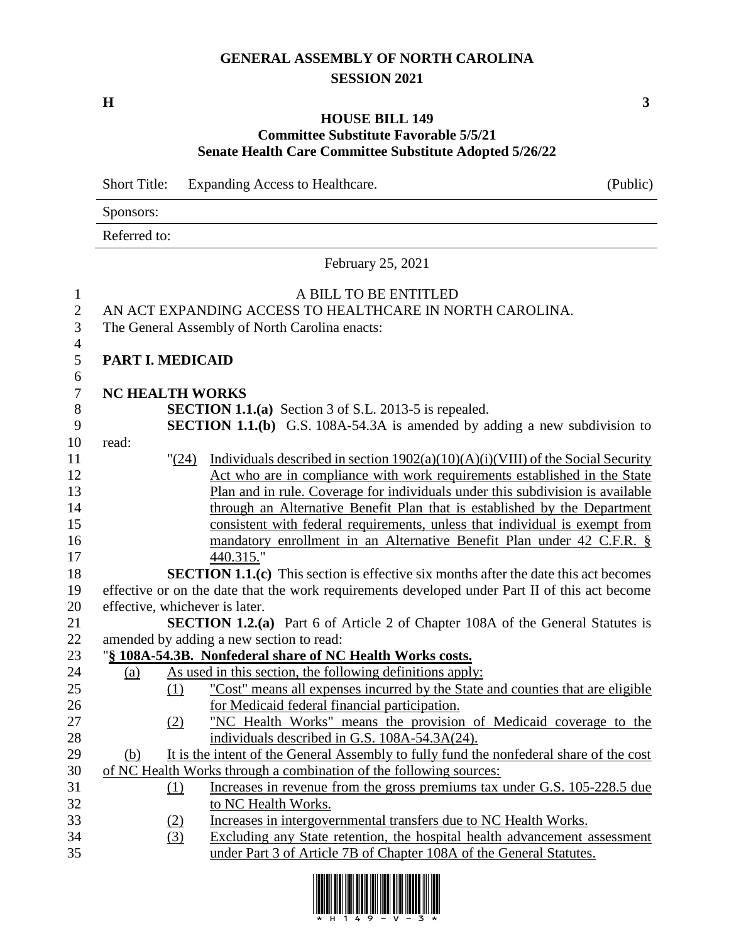## **GENERAL ASSEMBLY OF NORTH CAROLINA SESSION 2021**

#### **HOUSE BILL 149 Committee Substitute Favorable 5/5/21 Senate Health Care Committee Substitute Adopted 5/26/22**

Short Title: Expanding Access to Healthcare. (Public)

Sponsors:

Referred to:

February 25, 2021

# A BILL TO BE ENTITLED

AN ACT EXPANDING ACCESS TO HEALTHCARE IN NORTH CAROLINA.

The General Assembly of North Carolina enacts:

**PART I. MEDICAID**

- **NC HEALTH WORKS**
- **SECTION 1.1.(a)** Section 3 of S.L. 2013-5 is repealed.
- **SECTION 1.1.(b)** G.S. 108A-54.3A is amended by adding a new subdivision to
- read:

- "(24) Individuals described in section 1902(a)(10)(A)(i)(VIII) of the Social Security Act who are in compliance with work requirements established in the State Plan and in rule. Coverage for individuals under this subdivision is available through an Alternative Benefit Plan that is established by the Department consistent with federal requirements, unless that individual is exempt from 16 mandatory enrollment in an Alternative Benefit Plan under 42 C.F.R. § 440.315."
- **SECTION 1.1.(c)** This section is effective six months after the date this act becomes effective or on the date that the work requirements developed under Part II of this act become effective, whichever is later.

 **SECTION 1.2.(a)** Part 6 of Article 2 of Chapter 108A of the General Statutes is amended by adding a new section to read:

## "**§ 108A-54.3B. Nonfederal share of NC Health Works costs.**

- 24 (a) As used in this section, the following definitions apply: (1) "Cost" means all expenses incurred by the State and counties that are eligible for Medicaid federal financial participation. (2) "NC Health Works" means the provision of Medicaid coverage to the
- individuals described in G.S. 108A-54.3A(24). (b) It is the intent of the General Assembly to fully fund the nonfederal share of the cost
- of NC Health Works through a combination of the following sources: (1) Increases in revenue from the gross premiums tax under G.S. 105-228.5 due
- to NC Health Works.
- (2) Increases in intergovernmental transfers due to NC Health Works.
- (3) Excluding any State retention, the hospital health advancement assessment under Part 3 of Article 7B of Chapter 108A of the General Statutes.

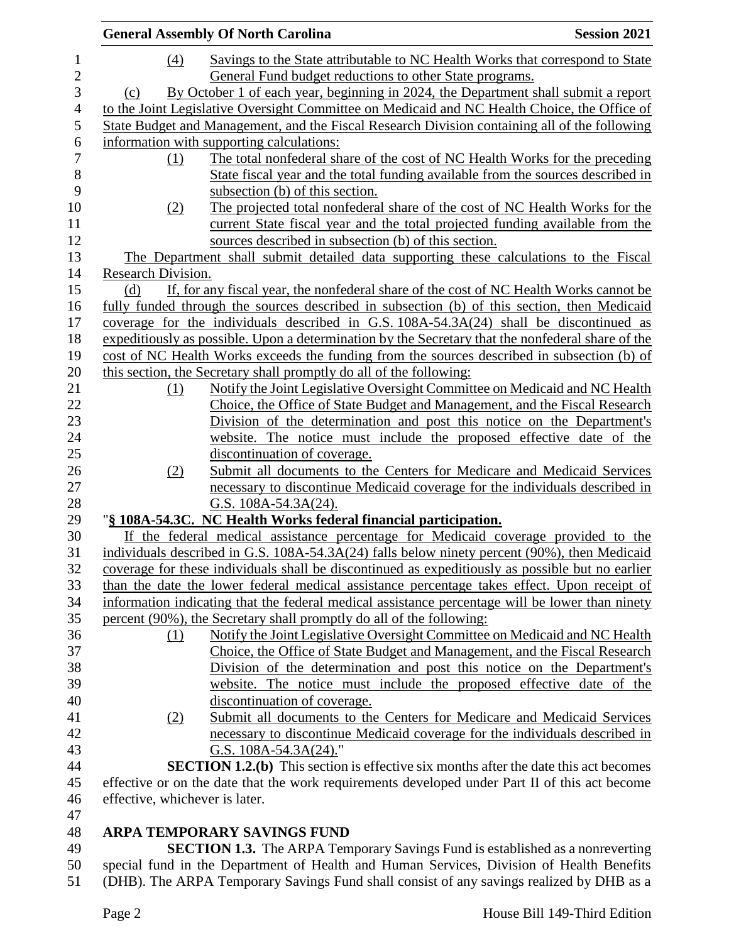|                                | <b>General Assembly Of North Carolina</b>                                                         | <b>Session 2021</b> |
|--------------------------------|---------------------------------------------------------------------------------------------------|---------------------|
| (4)                            | Savings to the State attributable to NC Health Works that correspond to State                     |                     |
|                                | General Fund budget reductions to other State programs.                                           |                     |
| (c)                            | By October 1 of each year, beginning in 2024, the Department shall submit a report                |                     |
|                                | to the Joint Legislative Oversight Committee on Medicaid and NC Health Choice, the Office of      |                     |
|                                | State Budget and Management, and the Fiscal Research Division containing all of the following     |                     |
|                                | information with supporting calculations:                                                         |                     |
| (1)                            | The total nonfederal share of the cost of NC Health Works for the preceding                       |                     |
|                                | State fiscal year and the total funding available from the sources described in                   |                     |
|                                | subsection (b) of this section.                                                                   |                     |
| (2)                            | The projected total nonfederal share of the cost of NC Health Works for the                       |                     |
|                                | current State fiscal year and the total projected funding available from the                      |                     |
|                                | sources described in subsection (b) of this section.                                              |                     |
|                                | The Department shall submit detailed data supporting these calculations to the Fiscal             |                     |
| Research Division.             |                                                                                                   |                     |
| (d)                            | If, for any fiscal year, the nonfederal share of the cost of NC Health Works cannot be            |                     |
|                                | fully funded through the sources described in subsection (b) of this section, then Medicaid       |                     |
|                                | coverage for the individuals described in G.S. $108A-54.3A(24)$ shall be discontinued as          |                     |
|                                | expeditiously as possible. Upon a determination by the Secretary that the nonfederal share of the |                     |
|                                | cost of NC Health Works exceeds the funding from the sources described in subsection (b) of       |                     |
|                                | this section, the Secretary shall promptly do all of the following:                               |                     |
| (1)                            | Notify the Joint Legislative Oversight Committee on Medicaid and NC Health                        |                     |
|                                | Choice, the Office of State Budget and Management, and the Fiscal Research                        |                     |
|                                | Division of the determination and post this notice on the Department's                            |                     |
|                                | website. The notice must include the proposed effective date of the                               |                     |
|                                | discontinuation of coverage.                                                                      |                     |
| (2)                            | Submit all documents to the Centers for Medicare and Medicaid Services                            |                     |
|                                | necessary to discontinue Medicaid coverage for the individuals described in                       |                     |
|                                | G.S. $108A-54.3A(24)$ .                                                                           |                     |
|                                | "§ 108A-54.3C. NC Health Works federal financial participation.                                   |                     |
|                                | If the federal medical assistance percentage for Medicaid coverage provided to the                |                     |
|                                | individuals described in G.S. 108A-54.3A(24) falls below ninety percent (90%), then Medicaid      |                     |
|                                | coverage for these individuals shall be discontinued as expeditiously as possible but no earlier  |                     |
|                                | than the date the lower federal medical assistance percentage takes effect. Upon receipt of       |                     |
|                                | information indicating that the federal medical assistance percentage will be lower than ninety   |                     |
|                                | percent (90%), the Secretary shall promptly do all of the following:                              |                     |
| (1)                            | Notify the Joint Legislative Oversight Committee on Medicaid and NC Health                        |                     |
|                                | Choice, the Office of State Budget and Management, and the Fiscal Research                        |                     |
|                                | Division of the determination and post this notice on the Department's                            |                     |
|                                | website. The notice must include the proposed effective date of the                               |                     |
|                                | discontinuation of coverage.                                                                      |                     |
| (2)                            | Submit all documents to the Centers for Medicare and Medicaid Services                            |                     |
|                                | necessary to discontinue Medicaid coverage for the individuals described in                       |                     |
|                                | G.S. 108A-54.3A(24)."                                                                             |                     |
|                                | <b>SECTION 1.2.(b)</b> This section is effective six months after the date this act becomes       |                     |
|                                | effective or on the date that the work requirements developed under Part II of this act become    |                     |
| effective, whichever is later. |                                                                                                   |                     |
|                                |                                                                                                   |                     |
|                                | ARPA TEMPORARY SAVINGS FUND                                                                       |                     |
|                                | <b>SECTION 1.3.</b> The ARPA Temporary Savings Fund is established as a nonreverting              |                     |

 special fund in the Department of Health and Human Services, Division of Health Benefits (DHB). The ARPA Temporary Savings Fund shall consist of any savings realized by DHB as a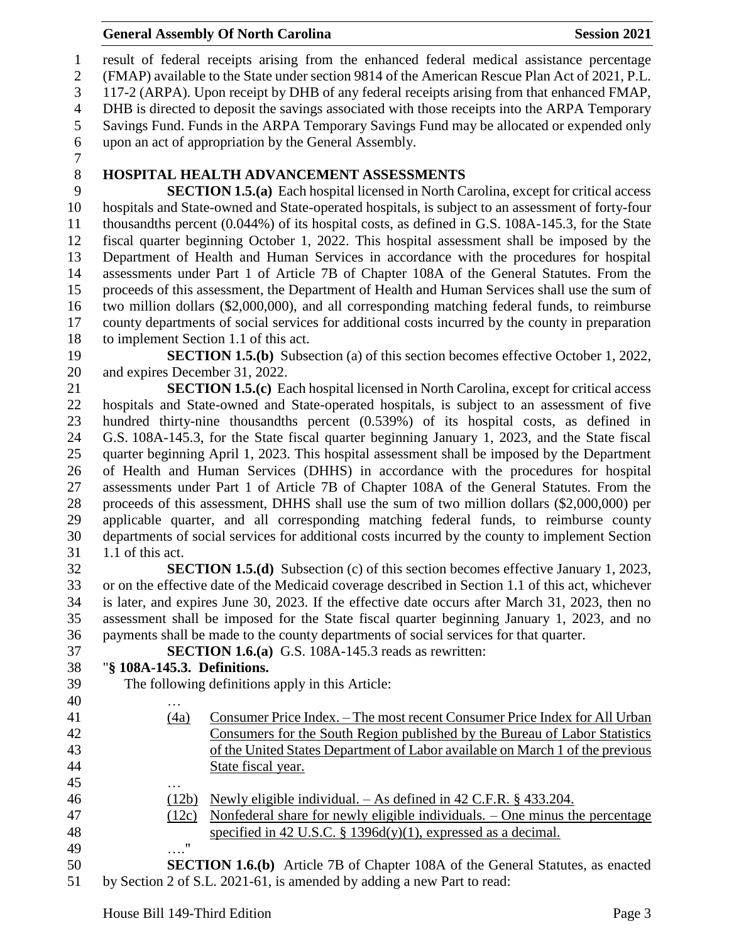#### **General Assembly Of North Carolina Session 2021**

 result of federal receipts arising from the enhanced federal medical assistance percentage (FMAP) available to the State under section 9814 of the American Rescue Plan Act of 2021, P.L. 117-2 (ARPA). Upon receipt by DHB of any federal receipts arising from that enhanced FMAP, DHB is directed to deposit the savings associated with those receipts into the ARPA Temporary Savings Fund. Funds in the ARPA Temporary Savings Fund may be allocated or expended only upon an act of appropriation by the General Assembly.

### **HOSPITAL HEALTH ADVANCEMENT ASSESSMENTS**

 **SECTION 1.5.(a)** Each hospital licensed in North Carolina, except for critical access hospitals and State-owned and State-operated hospitals, is subject to an assessment of forty-four thousandths percent (0.044%) of its hospital costs, as defined in G.S. 108A-145.3, for the State fiscal quarter beginning October 1, 2022. This hospital assessment shall be imposed by the Department of Health and Human Services in accordance with the procedures for hospital assessments under Part 1 of Article 7B of Chapter 108A of the General Statutes. From the proceeds of this assessment, the Department of Health and Human Services shall use the sum of two million dollars (\$2,000,000), and all corresponding matching federal funds, to reimburse county departments of social services for additional costs incurred by the county in preparation to implement Section 1.1 of this act.

 **SECTION 1.5.(b)** Subsection (a) of this section becomes effective October 1, 2022, and expires December 31, 2022.

 **SECTION 1.5.(c)** Each hospital licensed in North Carolina, except for critical access hospitals and State-owned and State-operated hospitals, is subject to an assessment of five hundred thirty-nine thousandths percent (0.539%) of its hospital costs, as defined in G.S. 108A-145.3, for the State fiscal quarter beginning January 1, 2023, and the State fiscal quarter beginning April 1, 2023. This hospital assessment shall be imposed by the Department of Health and Human Services (DHHS) in accordance with the procedures for hospital assessments under Part 1 of Article 7B of Chapter 108A of the General Statutes. From the proceeds of this assessment, DHHS shall use the sum of two million dollars (\$2,000,000) per applicable quarter, and all corresponding matching federal funds, to reimburse county departments of social services for additional costs incurred by the county to implement Section 1.1 of this act.

 **SECTION 1.5.(d)** Subsection (c) of this section becomes effective January 1, 2023, or on the effective date of the Medicaid coverage described in Section 1.1 of this act, whichever is later, and expires June 30, 2023. If the effective date occurs after March 31, 2023, then no assessment shall be imposed for the State fiscal quarter beginning January 1, 2023, and no payments shall be made to the county departments of social services for that quarter.

**SECTION 1.6.(a)** G.S. 108A-145.3 reads as rewritten:

# "**§ 108A-145.3. Definitions.**

- The following definitions apply in this Article:
- … (4a) Consumer Price Index. – The most recent Consumer Price Index for All Urban Consumers for the South Region published by the Bureau of Labor Statistics of the United States Department of Labor available on March 1 of the previous State fiscal year. … (12b) Newly eligible individual. – As defined in 42 C.F.R. § 433.204. (12c) Nonfederal share for newly eligible individuals. – One minus the percentage specified in 42 U.S.C. § 1396d(y)(1), expressed as a decimal. …."
- **SECTION 1.6.(b)** Article 7B of Chapter 108A of the General Statutes, as enacted by Section 2 of S.L. 2021-61, is amended by adding a new Part to read: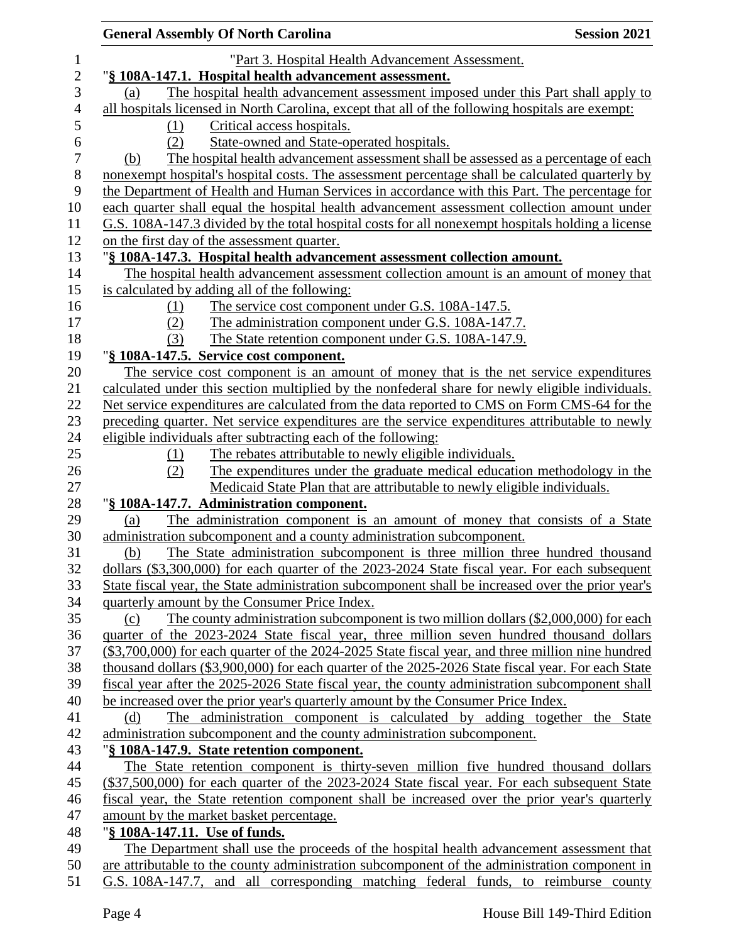|     | <b>General Assembly Of North Carolina</b>                                                          | <b>Session 2021</b> |
|-----|----------------------------------------------------------------------------------------------------|---------------------|
|     | "Part 3. Hospital Health Advancement Assessment.                                                   |                     |
|     | "§ 108A-147.1. Hospital health advancement assessment.                                             |                     |
| (a) | The hospital health advancement assessment imposed under this Part shall apply to                  |                     |
|     | all hospitals licensed in North Carolina, except that all of the following hospitals are exempt:   |                     |
| (1) | Critical access hospitals.                                                                         |                     |
| (2) | State-owned and State-operated hospitals.                                                          |                     |
| (b) | The hospital health advancement assessment shall be assessed as a percentage of each               |                     |
|     | nonexempt hospital's hospital costs. The assessment percentage shall be calculated quarterly by    |                     |
|     | the Department of Health and Human Services in accordance with this Part. The percentage for       |                     |
|     | each quarter shall equal the hospital health advancement assessment collection amount under        |                     |
|     | G.S. 108A-147.3 divided by the total hospital costs for all nonexempt hospitals holding a license  |                     |
|     | on the first day of the assessment quarter.                                                        |                     |
|     | "§ 108A-147.3. Hospital health advancement assessment collection amount.                           |                     |
|     | The hospital health advancement assessment collection amount is an amount of money that            |                     |
|     | is calculated by adding all of the following:                                                      |                     |
| (1) | The service cost component under G.S. 108A-147.5.                                                  |                     |
| (2) | The administration component under G.S. 108A-147.7.                                                |                     |
| (3) | The State retention component under G.S. 108A-147.9.                                               |                     |
|     | "§ 108A-147.5. Service cost component.                                                             |                     |
|     | The service cost component is an amount of money that is the net service expenditures              |                     |
|     | calculated under this section multiplied by the nonfederal share for newly eligible individuals.   |                     |
|     | Net service expenditures are calculated from the data reported to CMS on Form CMS-64 for the       |                     |
|     | preceding quarter. Net service expenditures are the service expenditures attributable to newly     |                     |
|     | eligible individuals after subtracting each of the following:                                      |                     |
| (1) | The rebates attributable to newly eligible individuals.                                            |                     |
| (2) | The expenditures under the graduate medical education methodology in the                           |                     |
|     | Medicaid State Plan that are attributable to newly eligible individuals.                           |                     |
|     | "§ 108A-147.7. Administration component.                                                           |                     |
| (a) | The administration component is an amount of money that consists of a State                        |                     |
|     | administration subcomponent and a county administration subcomponent.                              |                     |
| (b) | The State administration subcomponent is three million three hundred thousand                      |                     |
|     | dollars (\$3,300,000) for each quarter of the 2023-2024 State fiscal year. For each subsequent     |                     |
|     | State fiscal year, the State administration subcomponent shall be increased over the prior year's  |                     |
|     | quarterly amount by the Consumer Price Index.                                                      |                     |
| (c) | The county administration subcomponent is two million dollars (\$2,000,000) for each               |                     |
|     | quarter of the 2023-2024 State fiscal year, three million seven hundred thousand dollars           |                     |
|     | (\$3,700,000) for each quarter of the 2024-2025 State fiscal year, and three million nine hundred  |                     |
|     | thousand dollars (\$3,900,000) for each quarter of the 2025-2026 State fiscal year. For each State |                     |
|     | fiscal year after the 2025-2026 State fiscal year, the county administration subcomponent shall    |                     |
|     | be increased over the prior year's quarterly amount by the Consumer Price Index.                   |                     |
| (d) | The administration component is calculated by adding together the State                            |                     |
|     | administration subcomponent and the county administration subcomponent.                            |                     |
|     | "§ 108A-147.9. State retention component.                                                          |                     |
|     | The State retention component is thirty-seven million five hundred thousand dollars                |                     |
|     | (\$37,500,000) for each quarter of the 2023-2024 State fiscal year. For each subsequent State      |                     |
|     | fiscal year, the State retention component shall be increased over the prior year's quarterly      |                     |
|     | amount by the market basket percentage.                                                            |                     |
|     | "§ 108A-147.11. Use of funds.                                                                      |                     |
|     | The Department shall use the proceeds of the hospital health advancement assessment that           |                     |
|     | are attributable to the county administration subcomponent of the administration component in      |                     |
|     | G.S. 108A-147.7, and all corresponding matching federal funds, to reimburse county                 |                     |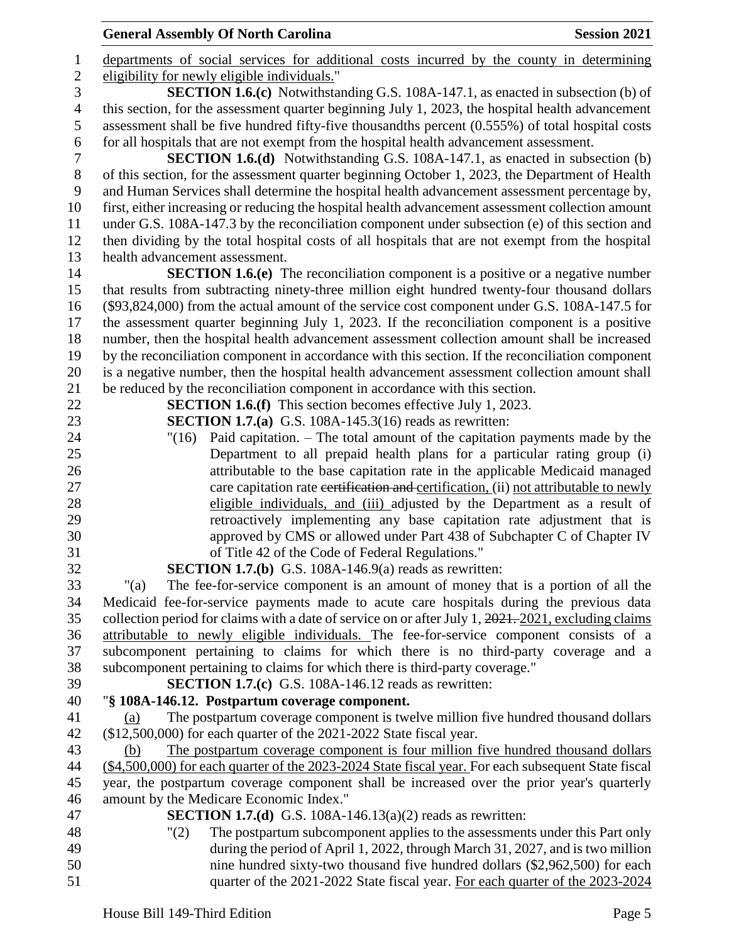departments of social services for additional costs incurred by the county in determining eligibility for newly eligible individuals." **SECTION 1.6.(c)** Notwithstanding G.S. 108A-147.1, as enacted in subsection (b) of this section, for the assessment quarter beginning July 1, 2023, the hospital health advancement assessment shall be five hundred fifty-five thousandths percent (0.555%) of total hospital costs for all hospitals that are not exempt from the hospital health advancement assessment. **SECTION 1.6.(d)** Notwithstanding G.S. 108A-147.1, as enacted in subsection (b) of this section, for the assessment quarter beginning October 1, 2023, the Department of Health and Human Services shall determine the hospital health advancement assessment percentage by, first, either increasing or reducing the hospital health advancement assessment collection amount under G.S. 108A-147.3 by the reconciliation component under subsection (e) of this section and then dividing by the total hospital costs of all hospitals that are not exempt from the hospital health advancement assessment. **SECTION 1.6.(e)** The reconciliation component is a positive or a negative number that results from subtracting ninety-three million eight hundred twenty-four thousand dollars (\$93,824,000) from the actual amount of the service cost component under G.S. 108A-147.5 for the assessment quarter beginning July 1, 2023. If the reconciliation component is a positive number, then the hospital health advancement assessment collection amount shall be increased by the reconciliation component in accordance with this section. If the reconciliation component is a negative number, then the hospital health advancement assessment collection amount shall be reduced by the reconciliation component in accordance with this section. **SECTION 1.6.(f)** This section becomes effective July 1, 2023. **SECTION 1.7.(a)** G.S. 108A-145.3(16) reads as rewritten: "(16) Paid capitation. – The total amount of the capitation payments made by the Department to all prepaid health plans for a particular rating group (i) attributable to the base capitation rate in the applicable Medicaid managed care capitation rate certification and certification, (ii) not attributable to newly 28 eligible individuals, and (iii) adjusted by the Department as a result of retroactively implementing any base capitation rate adjustment that is approved by CMS or allowed under Part 438 of Subchapter C of Chapter IV of Title 42 of the Code of Federal Regulations." **SECTION 1.7.(b)** G.S. 108A-146.9(a) reads as rewritten: "(a) The fee-for-service component is an amount of money that is a portion of all the Medicaid fee-for-service payments made to acute care hospitals during the previous data collection period for claims with a date of service on or after July 1, 2021. 2021, excluding claims attributable to newly eligible individuals. The fee-for-service component consists of a subcomponent pertaining to claims for which there is no third-party coverage and a subcomponent pertaining to claims for which there is third-party coverage." **SECTION 1.7.(c)** G.S. 108A-146.12 reads as rewritten: "**§ 108A-146.12. Postpartum coverage component.** (a) The postpartum coverage component is twelve million five hundred thousand dollars (\$12,500,000) for each quarter of the 2021-2022 State fiscal year. (b) The postpartum coverage component is four million five hundred thousand dollars (\$4,500,000) for each quarter of the 2023-2024 State fiscal year. For each subsequent State fiscal year, the postpartum coverage component shall be increased over the prior year's quarterly amount by the Medicare Economic Index." **SECTION 1.7.(d)** G.S. 108A-146.13(a)(2) reads as rewritten: "(2) The postpartum subcomponent applies to the assessments under this Part only during the period of April 1, 2022, through March 31, 2027, and is two million nine hundred sixty-two thousand five hundred dollars (\$2,962,500) for each quarter of the 2021-2022 State fiscal year. For each quarter of the 2023-2024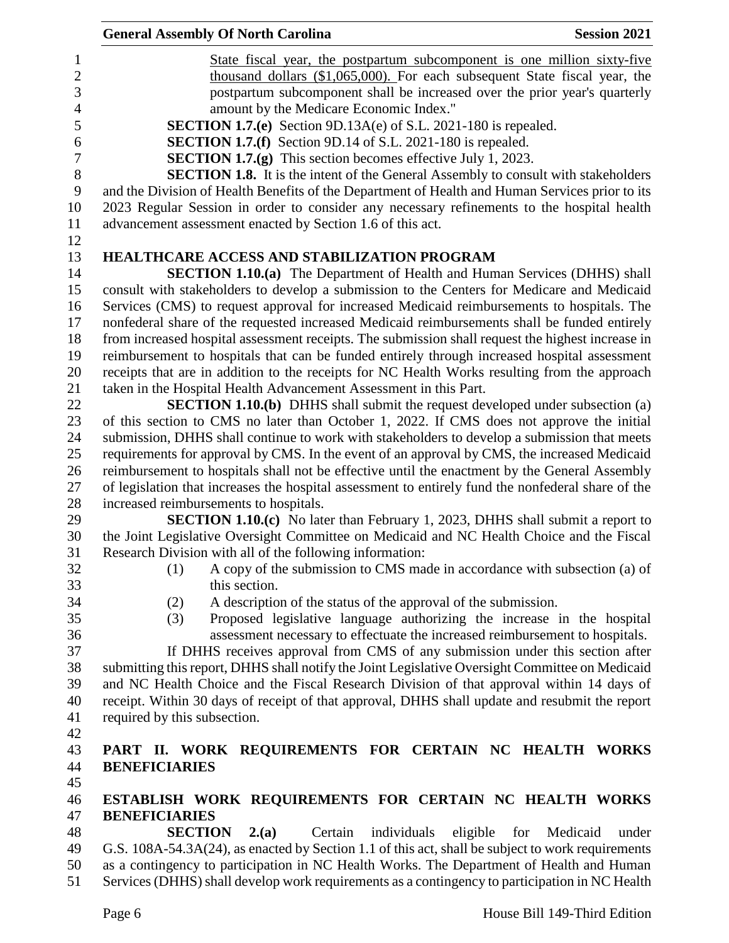|                              | <b>General Assembly Of North Carolina</b>                                                          | <b>Session 2021</b>                                                          |
|------------------------------|----------------------------------------------------------------------------------------------------|------------------------------------------------------------------------------|
|                              |                                                                                                    | State fiscal year, the postpartum subcomponent is one million sixty-five     |
|                              |                                                                                                    | thousand dollars (\$1,065,000). For each subsequent State fiscal year, the   |
|                              |                                                                                                    | postpartum subcomponent shall be increased over the prior year's quarterly   |
|                              | amount by the Medicare Economic Index."                                                            |                                                                              |
|                              | <b>SECTION 1.7.(e)</b> Section 9D.13A(e) of S.L. 2021-180 is repealed.                             |                                                                              |
|                              | <b>SECTION 1.7.(f)</b> Section 9D.14 of S.L. 2021-180 is repealed.                                 |                                                                              |
|                              | <b>SECTION 1.7.(g)</b> This section becomes effective July 1, 2023.                                |                                                                              |
|                              | <b>SECTION 1.8.</b> It is the intent of the General Assembly to consult with stakeholders          |                                                                              |
|                              | and the Division of Health Benefits of the Department of Health and Human Services prior to its    |                                                                              |
|                              | 2023 Regular Session in order to consider any necessary refinements to the hospital health         |                                                                              |
|                              | advancement assessment enacted by Section 1.6 of this act.                                         |                                                                              |
|                              |                                                                                                    |                                                                              |
|                              | <b>HEALTHCARE ACCESS AND STABILIZATION PROGRAM</b>                                                 |                                                                              |
|                              | <b>SECTION 1.10.(a)</b> The Department of Health and Human Services (DHHS) shall                   |                                                                              |
|                              | consult with stakeholders to develop a submission to the Centers for Medicare and Medicaid         |                                                                              |
|                              | Services (CMS) to request approval for increased Medicaid reimbursements to hospitals. The         |                                                                              |
|                              | nonfederal share of the requested increased Medicaid reimbursements shall be funded entirely       |                                                                              |
|                              | from increased hospital assessment receipts. The submission shall request the highest increase in  |                                                                              |
|                              | reimbursement to hospitals that can be funded entirely through increased hospital assessment       |                                                                              |
|                              | receipts that are in addition to the receipts for NC Health Works resulting from the approach      |                                                                              |
|                              | taken in the Hospital Health Advancement Assessment in this Part.                                  |                                                                              |
|                              | <b>SECTION 1.10.(b)</b> DHHS shall submit the request developed under subsection (a)               |                                                                              |
|                              | of this section to CMS no later than October 1, 2022. If CMS does not approve the initial          |                                                                              |
|                              | submission, DHHS shall continue to work with stakeholders to develop a submission that meets       |                                                                              |
|                              | requirements for approval by CMS. In the event of an approval by CMS, the increased Medicaid       |                                                                              |
|                              | reimbursement to hospitals shall not be effective until the enactment by the General Assembly      |                                                                              |
|                              | of legislation that increases the hospital assessment to entirely fund the nonfederal share of the |                                                                              |
|                              | increased reimbursements to hospitals.                                                             |                                                                              |
|                              | <b>SECTION 1.10.(c)</b> No later than February 1, 2023, DHHS shall submit a report to              |                                                                              |
|                              | the Joint Legislative Oversight Committee on Medicaid and NC Health Choice and the Fiscal          |                                                                              |
|                              | Research Division with all of the following information:                                           |                                                                              |
| (1)                          |                                                                                                    | A copy of the submission to CMS made in accordance with subsection (a) of    |
|                              | this section.                                                                                      |                                                                              |
| (2)                          | A description of the status of the approval of the submission.                                     |                                                                              |
| (3)                          |                                                                                                    | Proposed legislative language authorizing the increase in the hospital       |
|                              |                                                                                                    | assessment necessary to effectuate the increased reimbursement to hospitals. |
|                              | If DHHS receives approval from CMS of any submission under this section after                      |                                                                              |
|                              | submitting this report, DHHS shall notify the Joint Legislative Oversight Committee on Medicaid    |                                                                              |
|                              | and NC Health Choice and the Fiscal Research Division of that approval within 14 days of           |                                                                              |
|                              | receipt. Within 30 days of receipt of that approval, DHHS shall update and resubmit the report     |                                                                              |
| required by this subsection. |                                                                                                    |                                                                              |
|                              |                                                                                                    |                                                                              |
|                              | PART II. WORK REQUIREMENTS FOR CERTAIN NC HEALTH WORKS                                             |                                                                              |
| <b>BENEFICIARIES</b>         |                                                                                                    |                                                                              |
|                              |                                                                                                    |                                                                              |
|                              | ESTABLISH WORK REQUIREMENTS FOR CERTAIN NC HEALTH WORKS                                            |                                                                              |
| <b>BENEFICIARIES</b>         |                                                                                                    |                                                                              |
|                              | <b>SECTION</b><br>Certain<br>individuals<br>2(a)                                                   | eligible<br>for<br>Medicaid<br>under                                         |
|                              | G.S. 108A-54.3A(24), as enacted by Section 1.1 of this act, shall be subject to work requirements  |                                                                              |
|                              | as a contingency to participation in NC Health Works. The Department of Health and Human           |                                                                              |
|                              |                                                                                                    |                                                                              |

Services (DHHS) shall develop work requirements as a contingency to participation in NC Health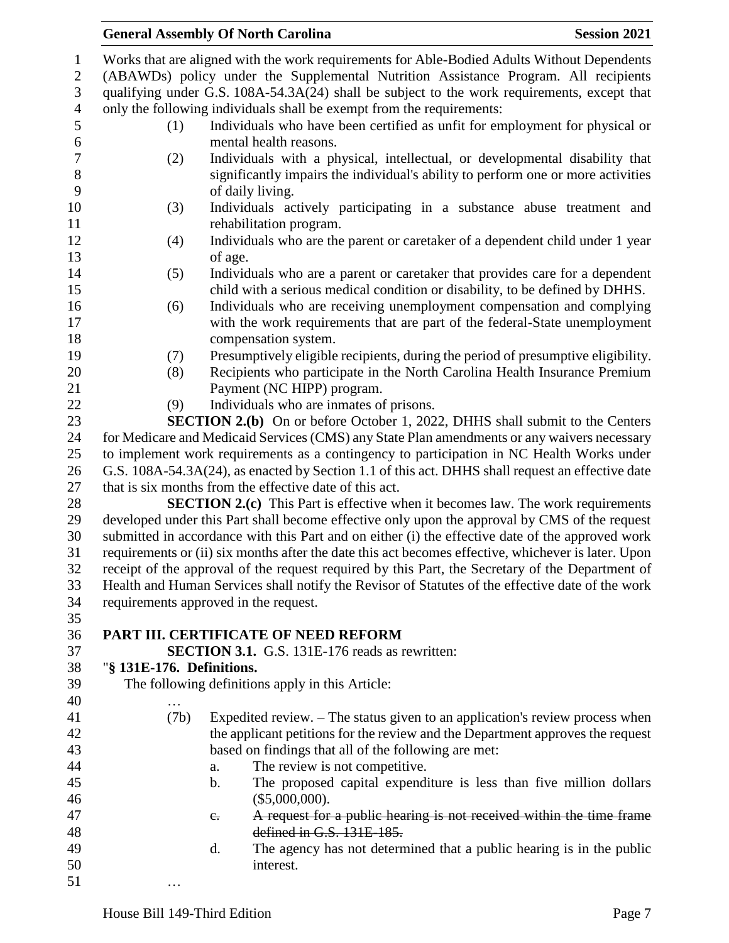|                  |                           | <b>General Assembly Of North Carolina</b>                                                           | <b>Session 2021</b> |
|------------------|---------------------------|-----------------------------------------------------------------------------------------------------|---------------------|
| $\mathbf{1}$     |                           | Works that are aligned with the work requirements for Able-Bodied Adults Without Dependents         |                     |
| $\sqrt{2}$       |                           | (ABAWDs) policy under the Supplemental Nutrition Assistance Program. All recipients                 |                     |
| 3                |                           | qualifying under G.S. 108A-54.3A(24) shall be subject to the work requirements, except that         |                     |
| $\overline{4}$   |                           | only the following individuals shall be exempt from the requirements:                               |                     |
| 5                | (1)                       | Individuals who have been certified as unfit for employment for physical or                         |                     |
| $\sqrt{6}$       |                           | mental health reasons.                                                                              |                     |
| $\boldsymbol{7}$ | (2)                       | Individuals with a physical, intellectual, or developmental disability that                         |                     |
| 8                |                           | significantly impairs the individual's ability to perform one or more activities                    |                     |
| 9                |                           | of daily living.                                                                                    |                     |
| 10               | (3)                       | Individuals actively participating in a substance abuse treatment and                               |                     |
| 11               |                           | rehabilitation program.                                                                             |                     |
| 12               | (4)                       | Individuals who are the parent or caretaker of a dependent child under 1 year                       |                     |
| 13               |                           | of age.                                                                                             |                     |
| 14               | (5)                       | Individuals who are a parent or caretaker that provides care for a dependent                        |                     |
| 15               |                           | child with a serious medical condition or disability, to be defined by DHHS.                        |                     |
| 16               | (6)                       | Individuals who are receiving unemployment compensation and complying                               |                     |
| 17               |                           | with the work requirements that are part of the federal-State unemployment                          |                     |
| 18               |                           | compensation system.                                                                                |                     |
| 19               | (7)                       | Presumptively eligible recipients, during the period of presumptive eligibility.                    |                     |
| 20               | (8)                       | Recipients who participate in the North Carolina Health Insurance Premium                           |                     |
| 21               |                           | Payment (NC HIPP) program.                                                                          |                     |
| 22               | (9)                       | Individuals who are inmates of prisons.                                                             |                     |
| 23               |                           | SECTION 2.(b) On or before October 1, 2022, DHHS shall submit to the Centers                        |                     |
| 24               |                           | for Medicare and Medicaid Services (CMS) any State Plan amendments or any waivers necessary         |                     |
| 25               |                           | to implement work requirements as a contingency to participation in NC Health Works under           |                     |
| 26               |                           | G.S. 108A-54.3A(24), as enacted by Section 1.1 of this act. DHHS shall request an effective date    |                     |
| 27               |                           | that is six months from the effective date of this act.                                             |                     |
| 28               |                           | <b>SECTION 2.(c)</b> This Part is effective when it becomes law. The work requirements              |                     |
| 29               |                           | developed under this Part shall become effective only upon the approval by CMS of the request       |                     |
| 30               |                           | submitted in accordance with this Part and on either (i) the effective date of the approved work    |                     |
| 31               |                           | requirements or (ii) six months after the date this act becomes effective, whichever is later. Upon |                     |
| 32               |                           | receipt of the approval of the request required by this Part, the Secretary of the Department of    |                     |
| 33               |                           | Health and Human Services shall notify the Revisor of Statutes of the effective date of the work    |                     |
| 34               |                           | requirements approved in the request.                                                               |                     |
| 35               |                           |                                                                                                     |                     |
| 36               |                           | PART III. CERTIFICATE OF NEED REFORM                                                                |                     |
| 37               |                           | <b>SECTION 3.1.</b> G.S. 131E-176 reads as rewritten:                                               |                     |
| 38               | "§ 131E-176. Definitions. |                                                                                                     |                     |
| 39               |                           | The following definitions apply in this Article:                                                    |                     |
| 40               |                           |                                                                                                     |                     |
| 41               | (7b)                      | Expedited review. – The status given to an application's review process when                        |                     |
| 42               |                           | the applicant petitions for the review and the Department approves the request                      |                     |
| 43               |                           | based on findings that all of the following are met:                                                |                     |
| 44               |                           | The review is not competitive.<br>a.                                                                |                     |
| 45               |                           | The proposed capital expenditure is less than five million dollars<br>b.                            |                     |
| 46               |                           | (\$5,000,000).                                                                                      |                     |
| 47               |                           | A request for a public hearing is not received within the time frame<br>$e_{i}$                     |                     |
| 48               |                           | defined in G.S. 131E-185.                                                                           |                     |
| 49               |                           | The agency has not determined that a public hearing is in the public<br>d.                          |                     |
| 50               |                           | interest.                                                                                           |                     |
| 51               |                           |                                                                                                     |                     |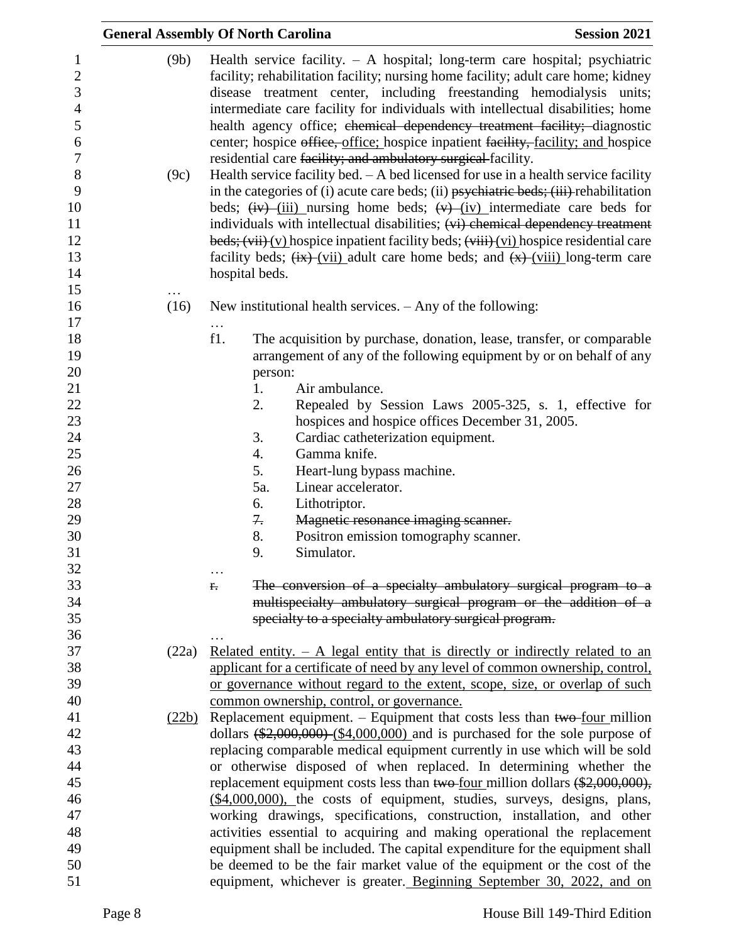| <b>General Assembly Of North Carolina</b> |              |                 |                |                                                                                                                                                                                                                                                                                                                                                                                                                                                                                                                                                                                                                                                                                                                                                                                                                                                                                                                                                                                                                                                                                                                                                    | <b>Session 2021</b> |
|-------------------------------------------|--------------|-----------------|----------------|----------------------------------------------------------------------------------------------------------------------------------------------------------------------------------------------------------------------------------------------------------------------------------------------------------------------------------------------------------------------------------------------------------------------------------------------------------------------------------------------------------------------------------------------------------------------------------------------------------------------------------------------------------------------------------------------------------------------------------------------------------------------------------------------------------------------------------------------------------------------------------------------------------------------------------------------------------------------------------------------------------------------------------------------------------------------------------------------------------------------------------------------------|---------------------|
|                                           | (9b)<br>(9c) |                 |                | Health service facility. $- A$ hospital; long-term care hospital; psychiatric<br>facility; rehabilitation facility; nursing home facility; adult care home; kidney<br>disease treatment center, including freestanding hemodialysis units;<br>intermediate care facility for individuals with intellectual disabilities; home<br>health agency office; ehemical dependency treatment facility; diagnostic<br>center; hospice office, office; hospice inpatient facility, facility; and hospice<br>residential care facility; and ambulatory surgical facility.<br>Health service facility bed. $- A$ bed licensed for use in a health service facility<br>in the categories of (i) acute care beds; (ii) $p$ sychiatric beds; (iii) rehabilitation<br>beds; $\frac{div}{dv}$ (iii) nursing home beds; $\frac{dv}{dv}$ (iv) intermediate care beds for<br>individuals with intellectual disabilities; (vi) chemical dependency treatment<br>beds; $(vii)(y)$ hospice inpatient facility beds; $(viii)(yi)$ hospice residential care<br>facility beds; $\frac{f(x)}{f(x)}$ (vii) adult care home beds; and $\frac{f(x)}{g(x)}$ (viii) long-term care |                     |
|                                           |              |                 | hospital beds. |                                                                                                                                                                                                                                                                                                                                                                                                                                                                                                                                                                                                                                                                                                                                                                                                                                                                                                                                                                                                                                                                                                                                                    |                     |
|                                           |              |                 |                |                                                                                                                                                                                                                                                                                                                                                                                                                                                                                                                                                                                                                                                                                                                                                                                                                                                                                                                                                                                                                                                                                                                                                    |                     |
|                                           | (16)         |                 |                | New institutional health services. $-$ Any of the following:                                                                                                                                                                                                                                                                                                                                                                                                                                                                                                                                                                                                                                                                                                                                                                                                                                                                                                                                                                                                                                                                                       |                     |
|                                           |              | $\cdots$<br>f1. |                | The acquisition by purchase, donation, lease, transfer, or comparable                                                                                                                                                                                                                                                                                                                                                                                                                                                                                                                                                                                                                                                                                                                                                                                                                                                                                                                                                                                                                                                                              |                     |
|                                           |              |                 |                | arrangement of any of the following equipment by or on behalf of any                                                                                                                                                                                                                                                                                                                                                                                                                                                                                                                                                                                                                                                                                                                                                                                                                                                                                                                                                                                                                                                                               |                     |
|                                           |              |                 | person:        |                                                                                                                                                                                                                                                                                                                                                                                                                                                                                                                                                                                                                                                                                                                                                                                                                                                                                                                                                                                                                                                                                                                                                    |                     |
|                                           |              |                 | 1.             | Air ambulance.                                                                                                                                                                                                                                                                                                                                                                                                                                                                                                                                                                                                                                                                                                                                                                                                                                                                                                                                                                                                                                                                                                                                     |                     |
|                                           |              |                 | 2.             | Repealed by Session Laws 2005-325, s. 1, effective for                                                                                                                                                                                                                                                                                                                                                                                                                                                                                                                                                                                                                                                                                                                                                                                                                                                                                                                                                                                                                                                                                             |                     |
|                                           |              |                 |                | hospices and hospice offices December 31, 2005.                                                                                                                                                                                                                                                                                                                                                                                                                                                                                                                                                                                                                                                                                                                                                                                                                                                                                                                                                                                                                                                                                                    |                     |
|                                           |              |                 | 3.             | Cardiac catheterization equipment.                                                                                                                                                                                                                                                                                                                                                                                                                                                                                                                                                                                                                                                                                                                                                                                                                                                                                                                                                                                                                                                                                                                 |                     |
|                                           |              |                 | 4.             | Gamma knife.                                                                                                                                                                                                                                                                                                                                                                                                                                                                                                                                                                                                                                                                                                                                                                                                                                                                                                                                                                                                                                                                                                                                       |                     |
|                                           |              |                 | 5.             | Heart-lung bypass machine.                                                                                                                                                                                                                                                                                                                                                                                                                                                                                                                                                                                                                                                                                                                                                                                                                                                                                                                                                                                                                                                                                                                         |                     |
|                                           |              |                 | 5a.            | Linear accelerator.                                                                                                                                                                                                                                                                                                                                                                                                                                                                                                                                                                                                                                                                                                                                                                                                                                                                                                                                                                                                                                                                                                                                |                     |
|                                           |              |                 | 6.             | Lithotriptor.                                                                                                                                                                                                                                                                                                                                                                                                                                                                                                                                                                                                                                                                                                                                                                                                                                                                                                                                                                                                                                                                                                                                      |                     |
|                                           |              |                 | 7.             | Magnetic resonance imaging scanner.                                                                                                                                                                                                                                                                                                                                                                                                                                                                                                                                                                                                                                                                                                                                                                                                                                                                                                                                                                                                                                                                                                                |                     |
|                                           |              |                 | 8.             | Positron emission tomography scanner.                                                                                                                                                                                                                                                                                                                                                                                                                                                                                                                                                                                                                                                                                                                                                                                                                                                                                                                                                                                                                                                                                                              |                     |
|                                           |              |                 | 9.             | Simulator.                                                                                                                                                                                                                                                                                                                                                                                                                                                                                                                                                                                                                                                                                                                                                                                                                                                                                                                                                                                                                                                                                                                                         |                     |
|                                           |              |                 |                |                                                                                                                                                                                                                                                                                                                                                                                                                                                                                                                                                                                                                                                                                                                                                                                                                                                                                                                                                                                                                                                                                                                                                    |                     |
|                                           |              | $f$ .           |                | The conversion of a specialty ambulatory surgical program to a                                                                                                                                                                                                                                                                                                                                                                                                                                                                                                                                                                                                                                                                                                                                                                                                                                                                                                                                                                                                                                                                                     |                     |
|                                           |              |                 |                | multispecialty ambulatory surgical program or the addition of a                                                                                                                                                                                                                                                                                                                                                                                                                                                                                                                                                                                                                                                                                                                                                                                                                                                                                                                                                                                                                                                                                    |                     |
|                                           |              |                 |                | specialty to a specialty ambulatory surgical program.                                                                                                                                                                                                                                                                                                                                                                                                                                                                                                                                                                                                                                                                                                                                                                                                                                                                                                                                                                                                                                                                                              |                     |
|                                           |              |                 |                |                                                                                                                                                                                                                                                                                                                                                                                                                                                                                                                                                                                                                                                                                                                                                                                                                                                                                                                                                                                                                                                                                                                                                    |                     |
|                                           | (22a)        |                 |                | Related entity. $- A$ legal entity that is directly or indirectly related to an<br>applicant for a certificate of need by any level of common ownership, control,                                                                                                                                                                                                                                                                                                                                                                                                                                                                                                                                                                                                                                                                                                                                                                                                                                                                                                                                                                                  |                     |
|                                           |              |                 |                | or governance without regard to the extent, scope, size, or overlap of such                                                                                                                                                                                                                                                                                                                                                                                                                                                                                                                                                                                                                                                                                                                                                                                                                                                                                                                                                                                                                                                                        |                     |
|                                           |              |                 |                | common ownership, control, or governance.                                                                                                                                                                                                                                                                                                                                                                                                                                                                                                                                                                                                                                                                                                                                                                                                                                                                                                                                                                                                                                                                                                          |                     |
|                                           | (22b)        |                 |                | Replacement equipment. $-$ Equipment that costs less than two-four million                                                                                                                                                                                                                                                                                                                                                                                                                                                                                                                                                                                                                                                                                                                                                                                                                                                                                                                                                                                                                                                                         |                     |
|                                           |              |                 |                | dollars $(\frac{$2,000,000}{0.000})$ (\$4,000,000) and is purchased for the sole purpose of                                                                                                                                                                                                                                                                                                                                                                                                                                                                                                                                                                                                                                                                                                                                                                                                                                                                                                                                                                                                                                                        |                     |
|                                           |              |                 |                | replacing comparable medical equipment currently in use which will be sold                                                                                                                                                                                                                                                                                                                                                                                                                                                                                                                                                                                                                                                                                                                                                                                                                                                                                                                                                                                                                                                                         |                     |
|                                           |              |                 |                | or otherwise disposed of when replaced. In determining whether the                                                                                                                                                                                                                                                                                                                                                                                                                                                                                                                                                                                                                                                                                                                                                                                                                                                                                                                                                                                                                                                                                 |                     |
|                                           |              |                 |                | replacement equipment costs less than two-four million dollars $(*2,000,000)$ ,                                                                                                                                                                                                                                                                                                                                                                                                                                                                                                                                                                                                                                                                                                                                                                                                                                                                                                                                                                                                                                                                    |                     |
|                                           |              |                 |                | $(\$4,000,000)$ , the costs of equipment, studies, surveys, designs, plans,                                                                                                                                                                                                                                                                                                                                                                                                                                                                                                                                                                                                                                                                                                                                                                                                                                                                                                                                                                                                                                                                        |                     |
|                                           |              |                 |                | working drawings, specifications, construction, installation, and other                                                                                                                                                                                                                                                                                                                                                                                                                                                                                                                                                                                                                                                                                                                                                                                                                                                                                                                                                                                                                                                                            |                     |
|                                           |              |                 |                | activities essential to acquiring and making operational the replacement                                                                                                                                                                                                                                                                                                                                                                                                                                                                                                                                                                                                                                                                                                                                                                                                                                                                                                                                                                                                                                                                           |                     |
|                                           |              |                 |                | equipment shall be included. The capital expenditure for the equipment shall                                                                                                                                                                                                                                                                                                                                                                                                                                                                                                                                                                                                                                                                                                                                                                                                                                                                                                                                                                                                                                                                       |                     |
|                                           |              |                 |                | be deemed to be the fair market value of the equipment or the cost of the                                                                                                                                                                                                                                                                                                                                                                                                                                                                                                                                                                                                                                                                                                                                                                                                                                                                                                                                                                                                                                                                          |                     |
|                                           |              |                 |                | equipment, whichever is greater. Beginning September 30, 2022, and on                                                                                                                                                                                                                                                                                                                                                                                                                                                                                                                                                                                                                                                                                                                                                                                                                                                                                                                                                                                                                                                                              |                     |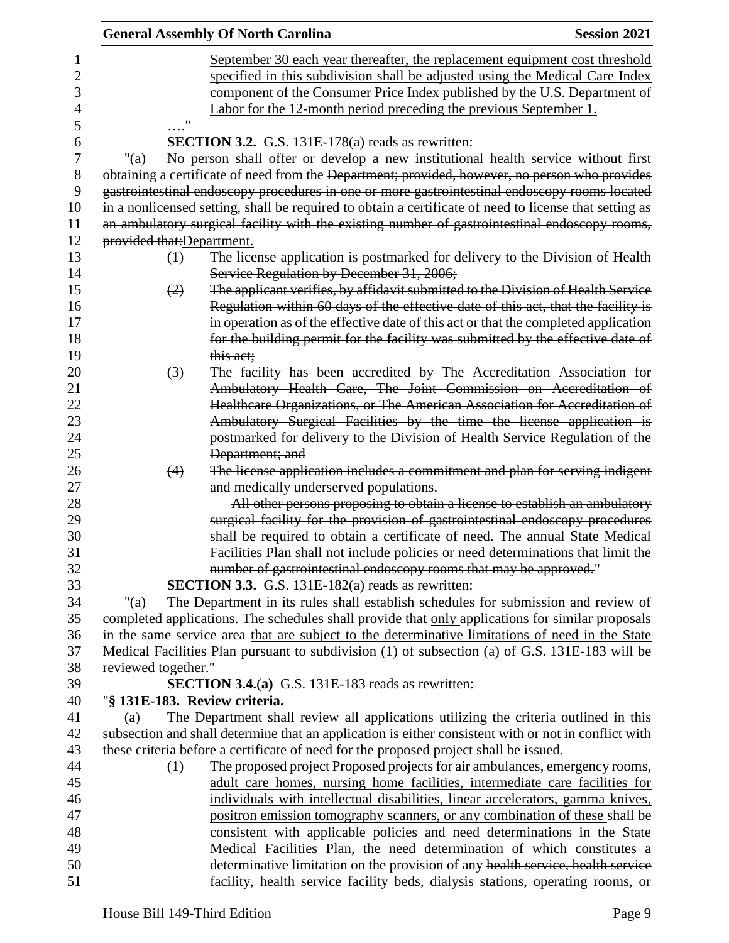|                            | <b>General Assembly Of North Carolina</b>                                                              | <b>Session 2021</b> |
|----------------------------|--------------------------------------------------------------------------------------------------------|---------------------|
|                            | September 30 each year thereafter, the replacement equipment cost threshold                            |                     |
|                            | specified in this subdivision shall be adjusted using the Medical Care Index                           |                     |
|                            | component of the Consumer Price Index published by the U.S. Department of                              |                     |
|                            | Labor for the 12-month period preceding the previous September 1.                                      |                     |
| $\ldots$ <sup>11</sup>     |                                                                                                        |                     |
|                            | <b>SECTION 3.2.</b> G.S. 131E-178(a) reads as rewritten:                                               |                     |
| " $(a)$                    | No person shall offer or develop a new institutional health service without first                      |                     |
|                            | obtaining a certificate of need from the Department; provided, however, no person who provides         |                     |
|                            | gastrointestinal endoscopy procedures in one or more gastrointestinal endoscopy rooms located          |                     |
|                            | in a nonlicensed setting, shall be required to obtain a certificate of need to license that setting as |                     |
|                            | an ambulatory surgical facility with the existing number of gastrointestinal endoscopy rooms,          |                     |
| provided that: Department. |                                                                                                        |                     |
| $\leftrightarrow$          | The license application is postmarked for delivery to the Division of Health                           |                     |
|                            | Service Regulation by December 31, 2006;                                                               |                     |
| (2)                        | The applicant verifies, by affidavit submitted to the Division of Health Service                       |                     |
|                            | Regulation within 60 days of the effective date of this act, that the facility is                      |                     |
|                            | in operation as of the effective date of this act or that the completed application                    |                     |
|                            | for the building permit for the facility was submitted by the effective date of                        |                     |
|                            | this act;                                                                                              |                     |
| $\left(3\right)$           | The facility has been accredited by The Accreditation Association for                                  |                     |
|                            | Ambulatory Health Care, The Joint Commission on Accreditation of                                       |                     |
|                            | Healthcare Organizations, or The American Association for Accreditation of                             |                     |
|                            | Ambulatory Surgical Facilities by the time the license application is                                  |                     |
|                            | postmarked for delivery to the Division of Health Service Regulation of the                            |                     |
|                            | Department; and                                                                                        |                     |
| (4)                        | The license application includes a commitment and plan for serving indigent                            |                     |
|                            | and medically underserved populations.                                                                 |                     |
|                            | All other persons proposing to obtain a license to establish an ambulatory                             |                     |
|                            | surgical facility for the provision of gastrointestinal endoscopy procedures                           |                     |
|                            | shall be required to obtain a certificate of need. The annual State Medical                            |                     |
|                            | Facilities Plan shall not include policies or need determinations that limit the                       |                     |
|                            | number of gastrointestinal endoscopy rooms that may be approved."                                      |                     |
|                            | <b>SECTION 3.3.</b> G.S. 131E-182(a) reads as rewritten:                                               |                     |
| " $(a)$                    | The Department in its rules shall establish schedules for submission and review of                     |                     |
|                            | completed applications. The schedules shall provide that only applications for similar proposals       |                     |
|                            | in the same service area that are subject to the determinative limitations of need in the State        |                     |
|                            | Medical Facilities Plan pursuant to subdivision (1) of subsection (a) of G.S. 131E-183 will be         |                     |
| reviewed together."        |                                                                                                        |                     |
|                            | <b>SECTION 3.4.(a)</b> G.S. 131E-183 reads as rewritten:                                               |                     |
|                            | "§ 131E-183. Review criteria.                                                                          |                     |
| (a)                        | The Department shall review all applications utilizing the criteria outlined in this                   |                     |
|                            | subsection and shall determine that an application is either consistent with or not in conflict with   |                     |
|                            | these criteria before a certificate of need for the proposed project shall be issued.                  |                     |
| (1)                        | The proposed project Proposed projects for air ambulances, emergency rooms,                            |                     |
|                            | adult care homes, nursing home facilities, intermediate care facilities for                            |                     |
|                            | individuals with intellectual disabilities, linear accelerators, gamma knives,                         |                     |
|                            | positron emission tomography scanners, or any combination of these shall be                            |                     |
|                            | consistent with applicable policies and need determinations in the State                               |                     |
|                            | Medical Facilities Plan, the need determination of which constitutes a                                 |                     |
|                            | determinative limitation on the provision of any health service, health service                        |                     |
|                            | facility, health service facility beds, dialysis stations, operating rooms, or                         |                     |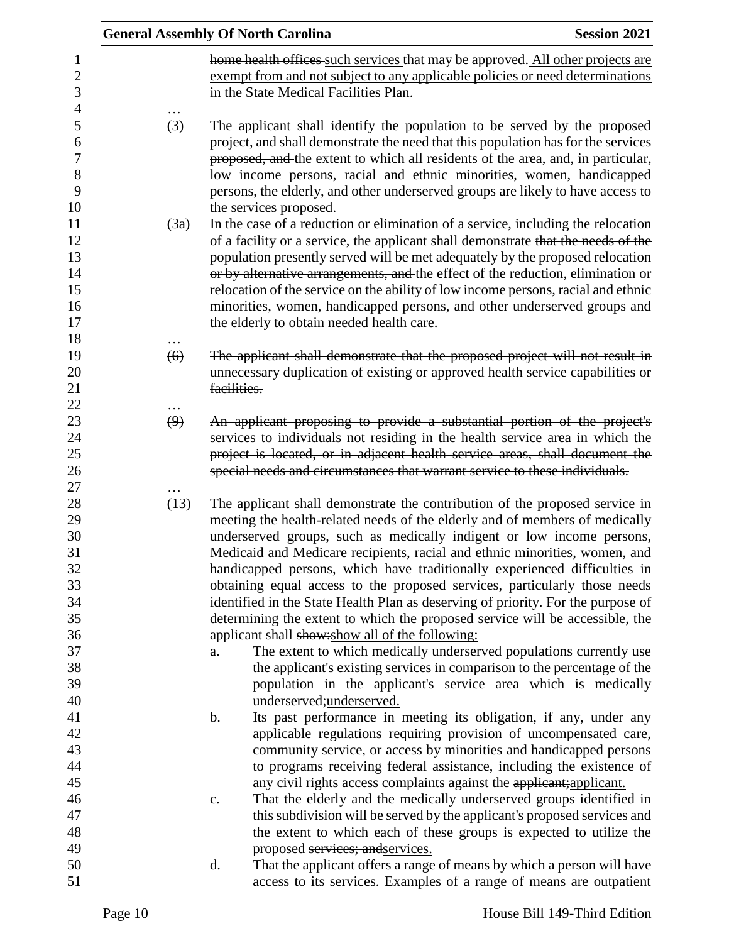|                   | <b>General Assembly Of North Carolina</b>                                                                                                                                                                                                                                                                                                                                                                                                                                                                                                                       | <b>Session 2021</b> |
|-------------------|-----------------------------------------------------------------------------------------------------------------------------------------------------------------------------------------------------------------------------------------------------------------------------------------------------------------------------------------------------------------------------------------------------------------------------------------------------------------------------------------------------------------------------------------------------------------|---------------------|
|                   | home health offices such services that may be approved. All other projects are<br>exempt from and not subject to any applicable policies or need determinations<br>in the State Medical Facilities Plan.                                                                                                                                                                                                                                                                                                                                                        |                     |
| (3)               | The applicant shall identify the population to be served by the proposed<br>project, and shall demonstrate the need that this population has for the services<br>proposed, and the extent to which all residents of the area, and, in particular,<br>low income persons, racial and ethnic minorities, women, handicapped<br>persons, the elderly, and other underserved groups are likely to have access to                                                                                                                                                    |                     |
| (3a)              | the services proposed.<br>In the case of a reduction or elimination of a service, including the relocation<br>of a facility or a service, the applicant shall demonstrate that the needs of the<br>population presently served will be met adequately by the proposed relocation<br>or by alternative arrangements, and the effect of the reduction, elimination or<br>relocation of the service on the ability of low income persons, racial and ethnic<br>minorities, women, handicapped persons, and other underserved groups and                            |                     |
|                   | the elderly to obtain needed health care.                                                                                                                                                                                                                                                                                                                                                                                                                                                                                                                       |                     |
| (6)               | The applicant shall demonstrate that the proposed project will not result in                                                                                                                                                                                                                                                                                                                                                                                                                                                                                    |                     |
|                   | unnecessary duplication of existing or approved health service capabilities or<br>facilities.                                                                                                                                                                                                                                                                                                                                                                                                                                                                   |                     |
| $\left( 9\right)$ | An applicant proposing to provide a substantial portion of the project's<br>services to individuals not residing in the health service area in which the<br>project is located, or in adjacent health service areas, shall document the<br>special needs and circumstances that warrant service to these individuals.                                                                                                                                                                                                                                           |                     |
| (13)              | The applicant shall demonstrate the contribution of the proposed service in<br>meeting the health-related needs of the elderly and of members of medically<br>underserved groups, such as medically indigent or low income persons,<br>Medicaid and Medicare recipients, racial and ethnic minorities, women, and<br>handicapped persons, which have traditionally experienced difficulties in<br>obtaining equal access to the proposed services, particularly those needs<br>identified in the State Health Plan as deserving of priority. For the purpose of |                     |
|                   | determining the extent to which the proposed service will be accessible, the<br>applicant shall show: show all of the following:                                                                                                                                                                                                                                                                                                                                                                                                                                |                     |
|                   | The extent to which medically underserved populations currently use<br>a.<br>the applicant's existing services in comparison to the percentage of the<br>population in the applicant's service area which is medically                                                                                                                                                                                                                                                                                                                                          |                     |
|                   | underserved;underserved.<br>Its past performance in meeting its obligation, if any, under any<br>$\mathbf b$ .<br>applicable regulations requiring provision of uncompensated care,                                                                                                                                                                                                                                                                                                                                                                             |                     |
|                   | community service, or access by minorities and handicapped persons<br>to programs receiving federal assistance, including the existence of<br>any civil rights access complaints against the applicant; applicant.                                                                                                                                                                                                                                                                                                                                              |                     |
|                   | That the elderly and the medically underserved groups identified in<br>c.<br>this subdivision will be served by the applicant's proposed services and<br>the extent to which each of these groups is expected to utilize the                                                                                                                                                                                                                                                                                                                                    |                     |
|                   | proposed services; and services.<br>d.<br>That the applicant offers a range of means by which a person will have                                                                                                                                                                                                                                                                                                                                                                                                                                                |                     |
|                   | access to its services. Examples of a range of means are outpatient                                                                                                                                                                                                                                                                                                                                                                                                                                                                                             |                     |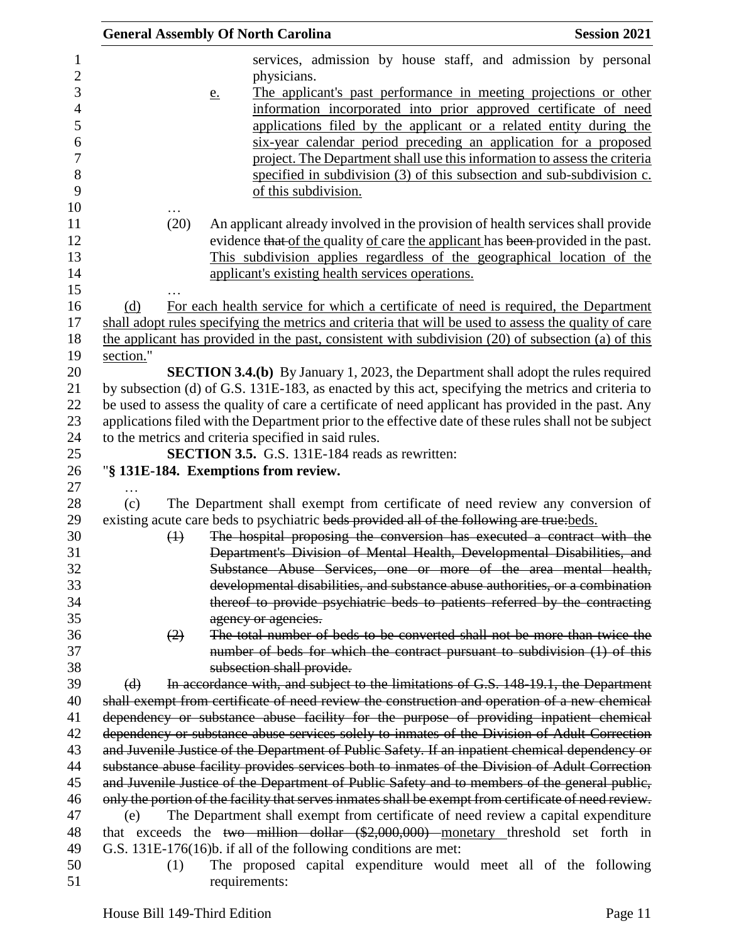|           |                   | <b>General Assembly Of North Carolina</b>                                                                                                                                                       |                                                                           |  |  | <b>Session 2021</b> |
|-----------|-------------------|-------------------------------------------------------------------------------------------------------------------------------------------------------------------------------------------------|---------------------------------------------------------------------------|--|--|---------------------|
|           |                   |                                                                                                                                                                                                 | services, admission by house staff, and admission by personal             |  |  |                     |
|           |                   | physicians.                                                                                                                                                                                     |                                                                           |  |  |                     |
|           |                   | e.                                                                                                                                                                                              | The applicant's past performance in meeting projections or other          |  |  |                     |
|           |                   |                                                                                                                                                                                                 | information incorporated into prior approved certificate of need          |  |  |                     |
|           |                   |                                                                                                                                                                                                 | applications filed by the applicant or a related entity during the        |  |  |                     |
|           |                   |                                                                                                                                                                                                 | six-year calendar period preceding an application for a proposed          |  |  |                     |
|           |                   |                                                                                                                                                                                                 | project. The Department shall use this information to assess the criteria |  |  |                     |
|           |                   |                                                                                                                                                                                                 | specified in subdivision (3) of this subsection and sub-subdivision c.    |  |  |                     |
|           |                   |                                                                                                                                                                                                 | of this subdivision.                                                      |  |  |                     |
|           | (20)              |                                                                                                                                                                                                 |                                                                           |  |  |                     |
|           |                   | An applicant already involved in the provision of health services shall provide<br>evidence that of the quality of care the applicant has been provided in the past.                            |                                                                           |  |  |                     |
|           |                   | This subdivision applies regardless of the geographical location of the                                                                                                                         |                                                                           |  |  |                     |
|           |                   | applicant's existing health services operations.                                                                                                                                                |                                                                           |  |  |                     |
|           |                   |                                                                                                                                                                                                 |                                                                           |  |  |                     |
| (d)       |                   | For each health service for which a certificate of need is required, the Department                                                                                                             |                                                                           |  |  |                     |
|           |                   | shall adopt rules specifying the metrics and criteria that will be used to assess the quality of care                                                                                           |                                                                           |  |  |                     |
|           |                   | the applicant has provided in the past, consistent with subdivision (20) of subsection (a) of this                                                                                              |                                                                           |  |  |                     |
| section." |                   |                                                                                                                                                                                                 |                                                                           |  |  |                     |
|           |                   | <b>SECTION 3.4.(b)</b> By January 1, 2023, the Department shall adopt the rules required                                                                                                        |                                                                           |  |  |                     |
|           |                   | by subsection (d) of G.S. 131E-183, as enacted by this act, specifying the metrics and criteria to                                                                                              |                                                                           |  |  |                     |
|           |                   | be used to assess the quality of care a certificate of need applicant has provided in the past. Any                                                                                             |                                                                           |  |  |                     |
|           |                   | applications filed with the Department prior to the effective date of these rules shall not be subject                                                                                          |                                                                           |  |  |                     |
|           |                   | to the metrics and criteria specified in said rules.                                                                                                                                            |                                                                           |  |  |                     |
|           |                   | <b>SECTION 3.5.</b> G.S. 131E-184 reads as rewritten:                                                                                                                                           |                                                                           |  |  |                     |
|           |                   | "§ 131E-184. Exemptions from review.                                                                                                                                                            |                                                                           |  |  |                     |
| (c)       |                   | The Department shall exempt from certificate of need review any conversion of                                                                                                                   |                                                                           |  |  |                     |
|           |                   | existing acute care beds to psychiatric beds provided all of the following are true: beds.                                                                                                      |                                                                           |  |  |                     |
|           | $\leftrightarrow$ | The hospital proposing the conversion has executed a contract with the                                                                                                                          |                                                                           |  |  |                     |
|           |                   | Department's Division of Mental Health, Developmental Disabilities, and                                                                                                                         |                                                                           |  |  |                     |
|           |                   | Substance Abuse Services, one or more of the area mental health,                                                                                                                                |                                                                           |  |  |                     |
|           |                   | developmental disabilities, and substance abuse authorities, or a combination                                                                                                                   |                                                                           |  |  |                     |
|           |                   | thereof to provide psychiatric beds to patients referred by the contracting                                                                                                                     |                                                                           |  |  |                     |
|           |                   | agency or agencies.                                                                                                                                                                             |                                                                           |  |  |                     |
|           | (2)               | The total number of beds to be converted shall not be more than twice the                                                                                                                       |                                                                           |  |  |                     |
|           |                   | number of beds for which the contract pursuant to subdivision (1) of this                                                                                                                       |                                                                           |  |  |                     |
|           |                   | subsection shall provide.                                                                                                                                                                       |                                                                           |  |  |                     |
| $\Theta$  |                   | In accordance with, and subject to the limitations of G.S. 148-19.1, the Department                                                                                                             |                                                                           |  |  |                     |
|           |                   | shall exempt from certificate of need review the construction and operation of a new chemical                                                                                                   |                                                                           |  |  |                     |
|           |                   | dependency or substance abuse facility for the purpose of providing inpatient chemical                                                                                                          |                                                                           |  |  |                     |
|           |                   | dependency or substance abuse services solely to inmates of the Division of Adult Correction<br>and Juvenile Justice of the Department of Public Safety. If an inpatient chemical dependency or |                                                                           |  |  |                     |
|           |                   | substance abuse facility provides services both to inmates of the Division of Adult Correction                                                                                                  |                                                                           |  |  |                     |
|           |                   | and Juvenile Justice of the Department of Public Safety and to members of the general public,                                                                                                   |                                                                           |  |  |                     |
|           |                   | only the portion of the facility that serves inmates shall be exempt from certificate of need review.                                                                                           |                                                                           |  |  |                     |
| (e)       |                   | The Department shall exempt from certificate of need review a capital expenditure                                                                                                               |                                                                           |  |  |                     |
|           |                   | that exceeds the two million dollar (\$2,000,000) monetary threshold set forth in                                                                                                               |                                                                           |  |  |                     |
|           |                   | G.S. 131E-176(16)b. if all of the following conditions are met:                                                                                                                                 |                                                                           |  |  |                     |
|           | (1)               | The proposed capital expenditure would meet all of the following                                                                                                                                |                                                                           |  |  |                     |
|           |                   | requirements:                                                                                                                                                                                   |                                                                           |  |  |                     |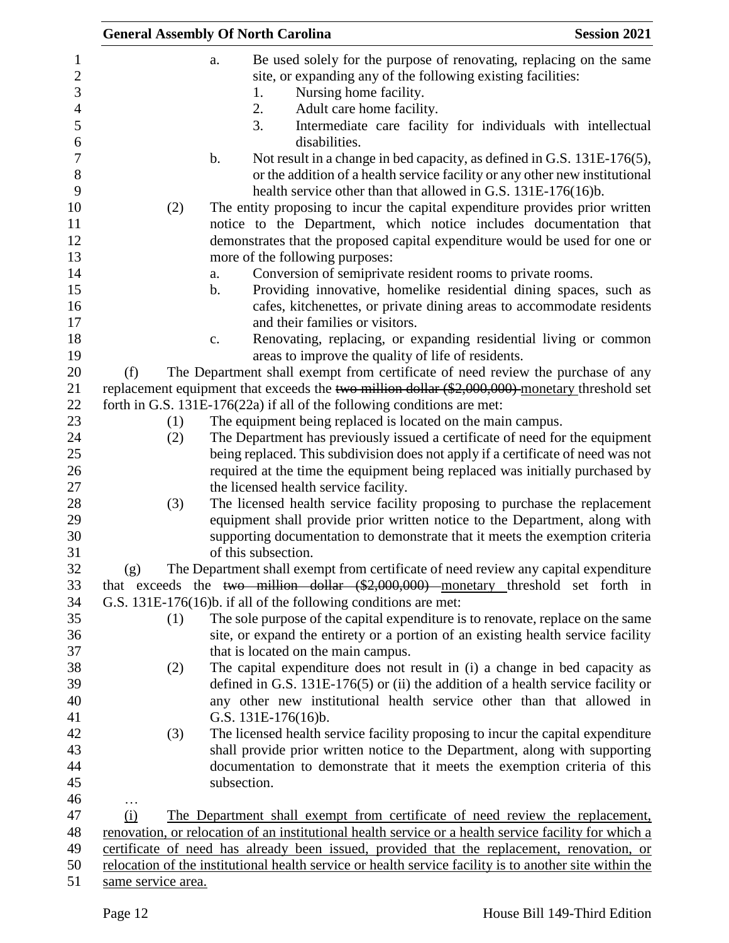|     | <b>General Assembly Of North Carolina</b> |               |                     |               |                                                                                                                                                                                                     |  |  | <b>Session 2021</b> |
|-----|-------------------------------------------|---------------|---------------------|---------------|-----------------------------------------------------------------------------------------------------------------------------------------------------------------------------------------------------|--|--|---------------------|
|     |                                           | a.            |                     |               | Be used solely for the purpose of renovating, replacing on the same                                                                                                                                 |  |  |                     |
|     |                                           |               |                     |               | site, or expanding any of the following existing facilities:                                                                                                                                        |  |  |                     |
|     |                                           |               | 1.                  |               | Nursing home facility.                                                                                                                                                                              |  |  |                     |
|     |                                           |               | 2.                  |               | Adult care home facility.                                                                                                                                                                           |  |  |                     |
|     |                                           |               | 3.                  |               | Intermediate care facility for individuals with intellectual                                                                                                                                        |  |  |                     |
|     |                                           |               |                     | disabilities. |                                                                                                                                                                                                     |  |  |                     |
|     |                                           | $\mathbf b$ . |                     |               | Not result in a change in bed capacity, as defined in G.S. 131E-176(5),                                                                                                                             |  |  |                     |
|     |                                           |               |                     |               | or the addition of a health service facility or any other new institutional                                                                                                                         |  |  |                     |
|     |                                           |               |                     |               | health service other than that allowed in G.S. 131E-176(16)b.                                                                                                                                       |  |  |                     |
|     | (2)                                       |               |                     |               | The entity proposing to incur the capital expenditure provides prior written                                                                                                                        |  |  |                     |
|     |                                           |               |                     |               | notice to the Department, which notice includes documentation that                                                                                                                                  |  |  |                     |
|     |                                           |               |                     |               | demonstrates that the proposed capital expenditure would be used for one or                                                                                                                         |  |  |                     |
|     |                                           |               |                     |               | more of the following purposes:                                                                                                                                                                     |  |  |                     |
|     |                                           | a.            |                     |               | Conversion of semiprivate resident rooms to private rooms.                                                                                                                                          |  |  |                     |
|     |                                           | $\mathbf b$ . |                     |               | Providing innovative, homelike residential dining spaces, such as                                                                                                                                   |  |  |                     |
|     |                                           |               |                     |               | cafes, kitchenettes, or private dining areas to accommodate residents                                                                                                                               |  |  |                     |
|     |                                           |               |                     |               | and their families or visitors.                                                                                                                                                                     |  |  |                     |
|     |                                           | c.            |                     |               | Renovating, replacing, or expanding residential living or common                                                                                                                                    |  |  |                     |
|     |                                           |               |                     |               | areas to improve the quality of life of residents.                                                                                                                                                  |  |  |                     |
| (f) |                                           |               |                     |               | The Department shall exempt from certificate of need review the purchase of any                                                                                                                     |  |  |                     |
|     |                                           |               |                     |               | replacement equipment that exceeds the two million dollar (\$2,000,000) monetary threshold set                                                                                                      |  |  |                     |
|     |                                           |               |                     |               | forth in G.S. $131E-176(22a)$ if all of the following conditions are met:                                                                                                                           |  |  |                     |
|     | (1)                                       |               |                     |               | The equipment being replaced is located on the main campus.                                                                                                                                         |  |  |                     |
|     | (2)                                       |               |                     |               | The Department has previously issued a certificate of need for the equipment                                                                                                                        |  |  |                     |
|     |                                           |               |                     |               | being replaced. This subdivision does not apply if a certificate of need was not                                                                                                                    |  |  |                     |
|     |                                           |               |                     |               | required at the time the equipment being replaced was initially purchased by                                                                                                                        |  |  |                     |
|     |                                           |               |                     |               | the licensed health service facility.                                                                                                                                                               |  |  |                     |
|     | (3)                                       |               |                     |               | The licensed health service facility proposing to purchase the replacement                                                                                                                          |  |  |                     |
|     |                                           |               |                     |               | equipment shall provide prior written notice to the Department, along with                                                                                                                          |  |  |                     |
|     |                                           |               |                     |               | supporting documentation to demonstrate that it meets the exemption criteria                                                                                                                        |  |  |                     |
|     |                                           |               | of this subsection. |               |                                                                                                                                                                                                     |  |  |                     |
| (g) |                                           |               |                     |               | The Department shall exempt from certificate of need review any capital expenditure                                                                                                                 |  |  |                     |
|     |                                           |               |                     |               | that exceeds the two million dollar (\$2,000,000) monetary threshold set forth in                                                                                                                   |  |  |                     |
|     |                                           |               |                     |               | G.S. 131E-176(16)b. if all of the following conditions are met:                                                                                                                                     |  |  |                     |
|     | (1)                                       |               |                     |               | The sole purpose of the capital expenditure is to renovate, replace on the same                                                                                                                     |  |  |                     |
|     |                                           |               |                     |               | site, or expand the entirety or a portion of an existing health service facility                                                                                                                    |  |  |                     |
|     |                                           |               |                     |               | that is located on the main campus.                                                                                                                                                                 |  |  |                     |
|     | (2)                                       |               |                     |               | The capital expenditure does not result in (i) a change in bed capacity as                                                                                                                          |  |  |                     |
|     |                                           |               |                     |               | defined in G.S. $131E-176(5)$ or (ii) the addition of a health service facility or                                                                                                                  |  |  |                     |
|     |                                           |               |                     |               | any other new institutional health service other than that allowed in                                                                                                                               |  |  |                     |
|     |                                           |               | G.S. 131E-176(16)b. |               |                                                                                                                                                                                                     |  |  |                     |
|     | (3)                                       |               |                     |               | The licensed health service facility proposing to incur the capital expenditure                                                                                                                     |  |  |                     |
|     |                                           |               |                     |               | shall provide prior written notice to the Department, along with supporting                                                                                                                         |  |  |                     |
|     |                                           |               |                     |               | documentation to demonstrate that it meets the exemption criteria of this                                                                                                                           |  |  |                     |
|     |                                           | subsection.   |                     |               |                                                                                                                                                                                                     |  |  |                     |
| .   |                                           |               |                     |               |                                                                                                                                                                                                     |  |  |                     |
| (i) |                                           |               |                     |               | The Department shall exempt from certificate of need review the replacement,                                                                                                                        |  |  |                     |
|     |                                           |               |                     |               | renovation, or relocation of an institutional health service or a health service facility for which a<br>certificate of need has already been issued, provided that the replacement, renovation, or |  |  |                     |
|     |                                           |               |                     |               | relocation of the institutional health service or health service facility is to another site within the                                                                                             |  |  |                     |
|     | same service area.                        |               |                     |               |                                                                                                                                                                                                     |  |  |                     |
|     |                                           |               |                     |               |                                                                                                                                                                                                     |  |  |                     |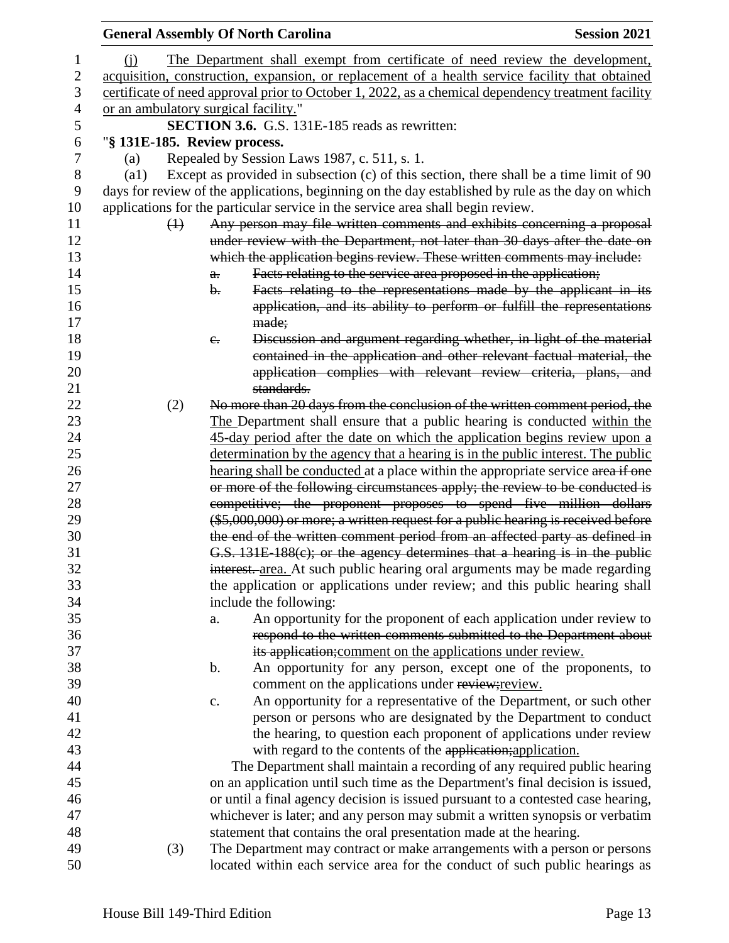|                    |                              |                | <b>General Assembly Of North Carolina</b>                                                                                                                            | <b>Session 2021</b> |
|--------------------|------------------------------|----------------|----------------------------------------------------------------------------------------------------------------------------------------------------------------------|---------------------|
| (i)                |                              |                | The Department shall exempt from certificate of need review the development,                                                                                         |                     |
|                    |                              |                | acquisition, construction, expansion, or replacement of a health service facility that obtained                                                                      |                     |
|                    |                              |                | certificate of need approval prior to October 1, 2022, as a chemical dependency treatment facility                                                                   |                     |
|                    |                              |                | or an ambulatory surgical facility."                                                                                                                                 |                     |
|                    |                              |                | <b>SECTION 3.6.</b> G.S. 131E-185 reads as rewritten:                                                                                                                |                     |
|                    | "§ 131E-185. Review process. |                |                                                                                                                                                                      |                     |
| (a)                |                              |                | Repealed by Session Laws 1987, c. 511, s. 1.                                                                                                                         |                     |
| $\left( a1\right)$ |                              |                | Except as provided in subsection (c) of this section, there shall be a time limit of 90                                                                              |                     |
|                    |                              |                | days for review of the applications, beginning on the day established by rule as the day on which                                                                    |                     |
|                    |                              |                | applications for the particular service in the service area shall begin review.                                                                                      |                     |
|                    | $\leftrightarrow$            |                | Any person may file written comments and exhibits concerning a proposal                                                                                              |                     |
|                    |                              |                | under review with the Department, not later than 30 days after the date on                                                                                           |                     |
|                    |                              |                | which the application begins review. These written comments may include:                                                                                             |                     |
|                    |                              | $a$ .          | Facts relating to the service area proposed in the application;                                                                                                      |                     |
|                    |                              | $\mathbf{b}$ . | Facts relating to the representations made by the applicant in its                                                                                                   |                     |
|                    |                              |                | application, and its ability to perform or fulfill the representations                                                                                               |                     |
|                    |                              |                | made;                                                                                                                                                                |                     |
|                    |                              | $e_{\cdot}$    | Discussion and argument regarding whether, in light of the material                                                                                                  |                     |
|                    |                              |                | contained in the application and other relevant factual material, the                                                                                                |                     |
|                    |                              |                | application complies with relevant review criteria, plans, and                                                                                                       |                     |
|                    |                              |                | standards.                                                                                                                                                           |                     |
|                    | (2)                          |                | No more than 20 days from the conclusion of the written comment period, the                                                                                          |                     |
|                    |                              |                | The Department shall ensure that a public hearing is conducted within the                                                                                            |                     |
|                    |                              |                | 45-day period after the date on which the application begins review upon a                                                                                           |                     |
|                    |                              |                | determination by the agency that a hearing is in the public interest. The public<br>hearing shall be conducted at a place within the appropriate service area if one |                     |
|                    |                              |                | or more of the following circumstances apply; the review to be conducted is                                                                                          |                     |
|                    |                              |                | competitive; the proponent proposes to spend five million dollars                                                                                                    |                     |
|                    |                              |                | (\$5,000,000) or more; a written request for a public hearing is received before                                                                                     |                     |
|                    |                              |                | the end of the written comment period from an affected party as defined in                                                                                           |                     |
|                    |                              |                | G.S. 131E-188(c); or the agency determines that a hearing is in the public                                                                                           |                     |
|                    |                              |                | interest. area. At such public hearing oral arguments may be made regarding                                                                                          |                     |
|                    |                              |                | the application or applications under review; and this public hearing shall                                                                                          |                     |
|                    |                              |                | include the following:                                                                                                                                               |                     |
|                    |                              | a.             | An opportunity for the proponent of each application under review to                                                                                                 |                     |
|                    |                              |                | respond to the written comments submitted to the Department about                                                                                                    |                     |
|                    |                              |                | its application; comment on the applications under review.                                                                                                           |                     |
|                    |                              | b.             | An opportunity for any person, except one of the proponents, to                                                                                                      |                     |
|                    |                              |                | comment on the applications under review; review.                                                                                                                    |                     |
|                    |                              | $\mathbf{c}.$  | An opportunity for a representative of the Department, or such other                                                                                                 |                     |
|                    |                              |                | person or persons who are designated by the Department to conduct                                                                                                    |                     |
|                    |                              |                | the hearing, to question each proponent of applications under review                                                                                                 |                     |
|                    |                              |                | with regard to the contents of the application; application.                                                                                                         |                     |
|                    |                              |                | The Department shall maintain a recording of any required public hearing                                                                                             |                     |
|                    |                              |                | on an application until such time as the Department's final decision is issued,                                                                                      |                     |
|                    |                              |                | or until a final agency decision is issued pursuant to a contested case hearing,                                                                                     |                     |
|                    |                              |                | whichever is later; and any person may submit a written synopsis or verbatim                                                                                         |                     |
|                    |                              |                | statement that contains the oral presentation made at the hearing.                                                                                                   |                     |
|                    | (3)                          |                | The Department may contract or make arrangements with a person or persons<br>located within each service area for the conduct of such public hearings as             |                     |
|                    |                              |                |                                                                                                                                                                      |                     |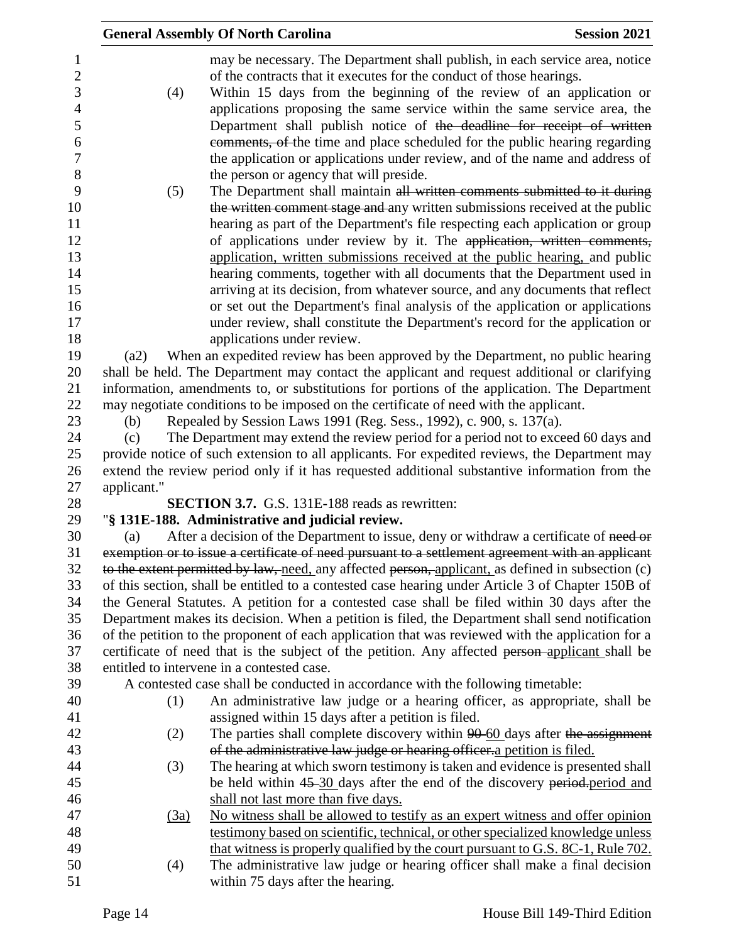|             | <b>General Assembly Of North Carolina</b><br><b>Session 2021</b>                                                                                                                                                                                                                                                                                                                                                                                                                 |
|-------------|----------------------------------------------------------------------------------------------------------------------------------------------------------------------------------------------------------------------------------------------------------------------------------------------------------------------------------------------------------------------------------------------------------------------------------------------------------------------------------|
| (4)         | may be necessary. The Department shall publish, in each service area, notice<br>of the contracts that it executes for the conduct of those hearings.<br>Within 15 days from the beginning of the review of an application or<br>applications proposing the same service within the same service area, the                                                                                                                                                                        |
|             | Department shall publish notice of the deadline for receipt of written<br>comments, of the time and place scheduled for the public hearing regarding<br>the application or applications under review, and of the name and address of<br>the person or agency that will preside.                                                                                                                                                                                                  |
| (5)         | The Department shall maintain all written comments submitted to it during<br>the written comment stage and any written submissions received at the public<br>hearing as part of the Department's file respecting each application or group<br>of applications under review by it. The application, written comments,<br>application, written submissions received at the public hearing, and public<br>hearing comments, together with all documents that the Department used in |
|             | arriving at its decision, from whatever source, and any documents that reflect<br>or set out the Department's final analysis of the application or applications<br>under review, shall constitute the Department's record for the application or                                                                                                                                                                                                                                 |
| (a2)        | applications under review.<br>When an expedited review has been approved by the Department, no public hearing<br>shall be held. The Department may contact the applicant and request additional or clarifying                                                                                                                                                                                                                                                                    |
| (b)         | information, amendments to, or substitutions for portions of the application. The Department<br>may negotiate conditions to be imposed on the certificate of need with the applicant.<br>Repealed by Session Laws 1991 (Reg. Sess., 1992), c. 900, s. 137(a).                                                                                                                                                                                                                    |
| (c)         | The Department may extend the review period for a period not to exceed 60 days and<br>provide notice of such extension to all applicants. For expedited reviews, the Department may                                                                                                                                                                                                                                                                                              |
| applicant." | extend the review period only if it has requested additional substantive information from the<br><b>SECTION 3.7.</b> G.S. 131E-188 reads as rewritten:                                                                                                                                                                                                                                                                                                                           |
|             | "§ 131E-188. Administrative and judicial review.                                                                                                                                                                                                                                                                                                                                                                                                                                 |
| (a)         | After a decision of the Department to issue, deny or withdraw a certificate of need or                                                                                                                                                                                                                                                                                                                                                                                           |
|             | exemption or to issue a certificate of need pursuant to a settlement agreement with an applicant<br>to the extent permitted by law, need, any affected person, applicant, as defined in subsection (c)                                                                                                                                                                                                                                                                           |
|             | of this section, shall be entitled to a contested case hearing under Article 3 of Chapter 150B of<br>the General Statutes. A petition for a contested case shall be filed within 30 days after the                                                                                                                                                                                                                                                                               |
|             | Department makes its decision. When a petition is filed, the Department shall send notification<br>of the petition to the proponent of each application that was reviewed with the application for a                                                                                                                                                                                                                                                                             |
|             | certificate of need that is the subject of the petition. Any affected person-applicant shall be                                                                                                                                                                                                                                                                                                                                                                                  |
|             | entitled to intervene in a contested case.                                                                                                                                                                                                                                                                                                                                                                                                                                       |
|             | A contested case shall be conducted in accordance with the following timetable:                                                                                                                                                                                                                                                                                                                                                                                                  |
| (1)         | An administrative law judge or a hearing officer, as appropriate, shall be<br>assigned within 15 days after a petition is filed.                                                                                                                                                                                                                                                                                                                                                 |
| (2)         | The parties shall complete discovery within 90-60 days after the assignment<br>of the administrative law judge or hearing officer a petition is filed.                                                                                                                                                                                                                                                                                                                           |
|             | The hearing at which sworn testimony is taken and evidence is presented shall                                                                                                                                                                                                                                                                                                                                                                                                    |
| (3)         | be held within 45-30 days after the end of the discovery period-period and                                                                                                                                                                                                                                                                                                                                                                                                       |
|             | shall not last more than five days.                                                                                                                                                                                                                                                                                                                                                                                                                                              |
| (3a)        | No witness shall be allowed to testify as an expert witness and offer opinion                                                                                                                                                                                                                                                                                                                                                                                                    |
|             | testimony based on scientific, technical, or other specialized knowledge unless<br>that witness is properly qualified by the court pursuant to G.S. 8C-1, Rule 702.                                                                                                                                                                                                                                                                                                              |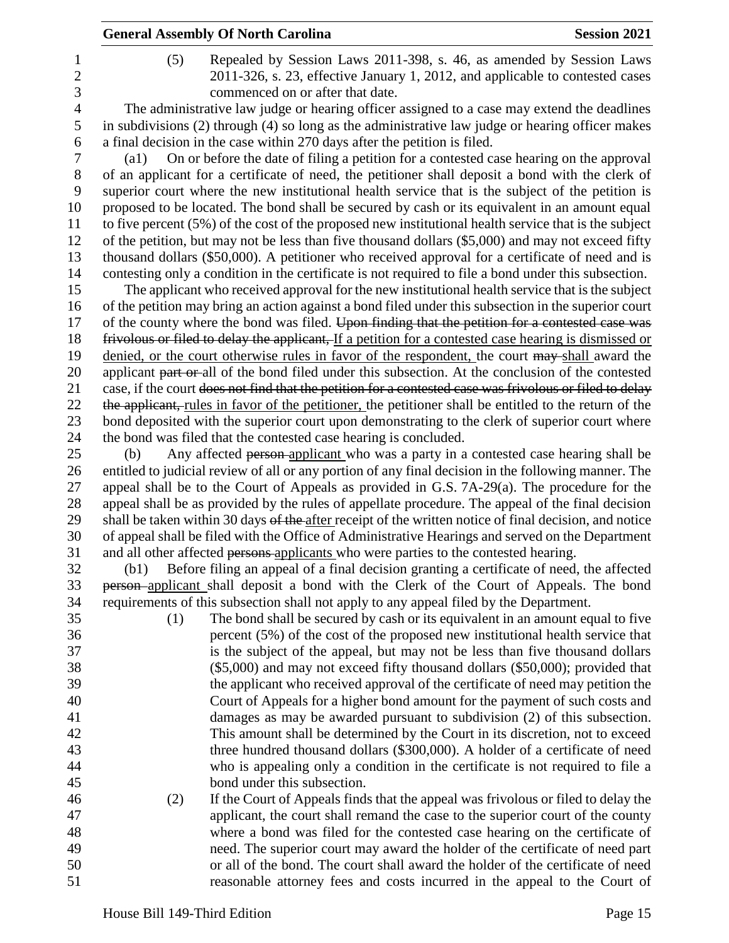|                | <b>General Assembly Of North Carolina</b>                                                                                                                          | <b>Session 2021</b> |
|----------------|--------------------------------------------------------------------------------------------------------------------------------------------------------------------|---------------------|
| 1              | Repealed by Session Laws 2011-398, s. 46, as amended by Session Laws<br>(5)                                                                                        |                     |
| $\overline{c}$ | 2011-326, s. 23, effective January 1, 2012, and applicable to contested cases                                                                                      |                     |
| 3              | commenced on or after that date.                                                                                                                                   |                     |
| $\overline{4}$ | The administrative law judge or hearing officer assigned to a case may extend the deadlines                                                                        |                     |
| 5              | in subdivisions (2) through (4) so long as the administrative law judge or hearing officer makes                                                                   |                     |
| 6              | a final decision in the case within 270 days after the petition is filed.                                                                                          |                     |
| 7              | On or before the date of filing a petition for a contested case hearing on the approval<br>$\left( a1\right)$                                                      |                     |
| 8              | of an applicant for a certificate of need, the petitioner shall deposit a bond with the clerk of                                                                   |                     |
| 9              | superior court where the new institutional health service that is the subject of the petition is                                                                   |                     |
| 10             | proposed to be located. The bond shall be secured by cash or its equivalent in an amount equal                                                                     |                     |
| 11             | to five percent (5%) of the cost of the proposed new institutional health service that is the subject                                                              |                     |
| 12             | of the petition, but may not be less than five thousand dollars (\$5,000) and may not exceed fifty                                                                 |                     |
| 13             | thousand dollars (\$50,000). A petitioner who received approval for a certificate of need and is                                                                   |                     |
| 14             | contesting only a condition in the certificate is not required to file a bond under this subsection.                                                               |                     |
| 15             | The applicant who received approval for the new institutional health service that is the subject                                                                   |                     |
| 16             | of the petition may bring an action against a bond filed under this subsection in the superior court                                                               |                     |
| 17             | of the county where the bond was filed. Upon finding that the petition for a contested case was                                                                    |                     |
| 18             | frivolous or filed to delay the applicant, If a petition for a contested case hearing is dismissed or                                                              |                     |
| 19             | denied, or the court otherwise rules in favor of the respondent, the court may shall award the                                                                     |                     |
| 20             | applicant part or all of the bond filed under this subsection. At the conclusion of the contested                                                                  |                     |
| 21             | case, if the court does not find that the petition for a contested case was frivolous or filed to delay                                                            |                     |
| 22             | the applicant, rules in favor of the petitioner, the petitioner shall be entitled to the return of the                                                             |                     |
| 23<br>24       | bond deposited with the superior court upon demonstrating to the clerk of superior court where<br>the bond was filed that the contested case hearing is concluded. |                     |
| 25             | Any affected person-applicant who was a party in a contested case hearing shall be<br>(b)                                                                          |                     |
| 26             | entitled to judicial review of all or any portion of any final decision in the following manner. The                                                               |                     |
| 27             | appeal shall be to the Court of Appeals as provided in G.S. 7A-29(a). The procedure for the                                                                        |                     |
| 28             | appeal shall be as provided by the rules of appellate procedure. The appeal of the final decision                                                                  |                     |
| 29             | shall be taken within 30 days of the after receipt of the written notice of final decision, and notice                                                             |                     |
| 30             | of appeal shall be filed with the Office of Administrative Hearings and served on the Department                                                                   |                     |
| 31             | and all other affected persons-applicants who were parties to the contested hearing.                                                                               |                     |
| 32             | Before filing an appeal of a final decision granting a certificate of need, the affected<br>(b1)                                                                   |                     |
| 33             | <b>person</b> -applicant shall deposit a bond with the Clerk of the Court of Appeals. The bond                                                                     |                     |
| 34             | requirements of this subsection shall not apply to any appeal filed by the Department.                                                                             |                     |
| 35             | The bond shall be secured by cash or its equivalent in an amount equal to five<br>(1)                                                                              |                     |
| 36             | percent (5%) of the cost of the proposed new institutional health service that                                                                                     |                     |
| 37             | is the subject of the appeal, but may not be less than five thousand dollars                                                                                       |                     |
| 38             | $(\$5,000)$ and may not exceed fifty thousand dollars $(\$50,000)$ ; provided that                                                                                 |                     |
| 39             | the applicant who received approval of the certificate of need may petition the                                                                                    |                     |
| 40             | Court of Appeals for a higher bond amount for the payment of such costs and                                                                                        |                     |
| 41             | damages as may be awarded pursuant to subdivision (2) of this subsection.                                                                                          |                     |
| 42             | This amount shall be determined by the Court in its discretion, not to exceed                                                                                      |                     |
| 43             | three hundred thousand dollars (\$300,000). A holder of a certificate of need                                                                                      |                     |
| 44             | who is appealing only a condition in the certificate is not required to file a                                                                                     |                     |
| 45             | bond under this subsection.                                                                                                                                        |                     |
| 46             | If the Court of Appeals finds that the appeal was frivolous or filed to delay the<br>(2)                                                                           |                     |
| 47             | applicant, the court shall remand the case to the superior court of the county                                                                                     |                     |
| 48             | where a bond was filed for the contested case hearing on the certificate of                                                                                        |                     |
| 49             | need. The superior court may award the holder of the certificate of need part                                                                                      |                     |
| 50<br>51       | or all of the bond. The court shall award the holder of the certificate of need                                                                                    |                     |
|                | reasonable attorney fees and costs incurred in the appeal to the Court of                                                                                          |                     |
|                | House Bill 149-Third Edition                                                                                                                                       | Page 15             |
|                |                                                                                                                                                                    |                     |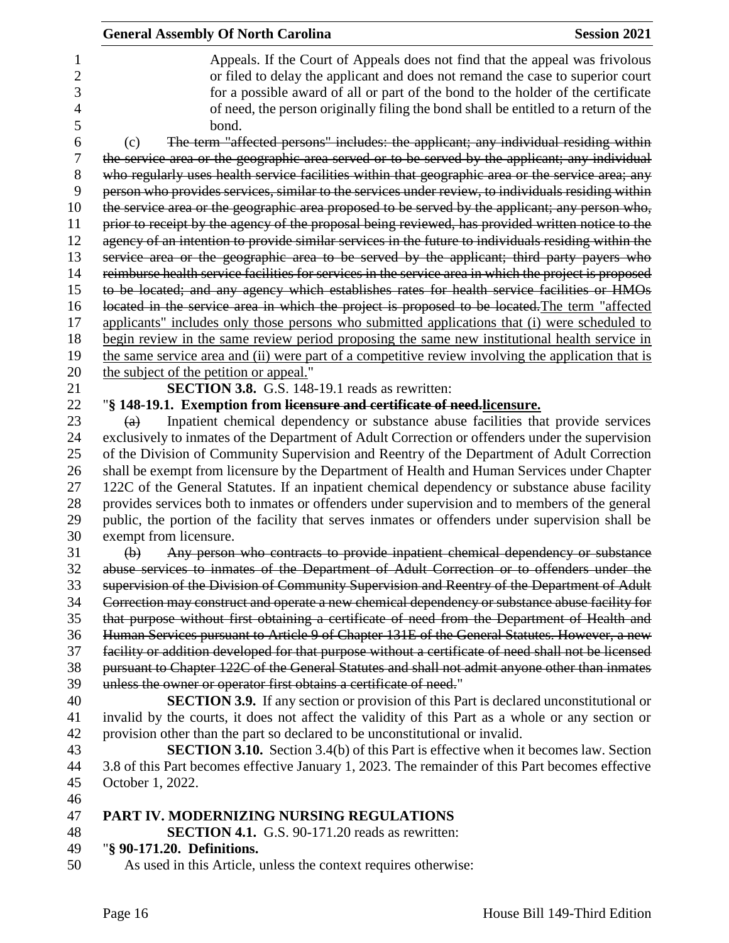|                | <b>General Assembly Of North Carolina</b><br><b>Session 2021</b>                                       |
|----------------|--------------------------------------------------------------------------------------------------------|
| 1              | Appeals. If the Court of Appeals does not find that the appeal was frivolous                           |
| $\overline{c}$ | or filed to delay the applicant and does not remand the case to superior court                         |
| 3              | for a possible award of all or part of the bond to the holder of the certificate                       |
| 4              | of need, the person originally filing the bond shall be entitled to a return of the                    |
| 5              | bond.                                                                                                  |
| 6              | The term "affected persons" includes: the applicant; any individual residing within<br>(c)             |
| 7              | the service area or the geographic area served or to be served by the applicant; any individual        |
| 8              | who regularly uses health service facilities within that geographic area or the service area; any      |
| 9              | person who provides services, similar to the services under review, to individuals residing within     |
| 10             | the service area or the geographic area proposed to be served by the applicant; any person who,        |
| 11             | prior to receipt by the agency of the proposal being reviewed, has provided written notice to the      |
| 12             | agency of an intention to provide similar services in the future to individuals residing within the    |
| 13             | service area or the geographic area to be served by the applicant; third party payers who              |
| 14             | reimburse health service facilities for services in the service area in which the project is proposed  |
| 15             | to be located; and any agency which establishes rates for health service facilities or HMOs            |
| 16             | located in the service area in which the project is proposed to be located. The term "affected         |
| 17             | applicants" includes only those persons who submitted applications that (i) were scheduled to          |
| 18             | begin review in the same review period proposing the same new institutional health service in          |
| 19             | the same service area and (ii) were part of a competitive review involving the application that is     |
| 20<br>21       | the subject of the petition or appeal."<br><b>SECTION 3.8.</b> G.S. 148-19.1 reads as rewritten:       |
| 22             | "§ 148-19.1. Exemption from licensure and certificate of need.licensure.                               |
| 23             | Inpatient chemical dependency or substance abuse facilities that provide services<br>$\left( a\right)$ |
| 24             | exclusively to inmates of the Department of Adult Correction or offenders under the supervision        |
| 25             | of the Division of Community Supervision and Reentry of the Department of Adult Correction             |
| 26             | shall be exempt from licensure by the Department of Health and Human Services under Chapter            |
| 27             | 122C of the General Statutes. If an inpatient chemical dependency or substance abuse facility          |
| 28             | provides services both to inmates or offenders under supervision and to members of the general         |
| 29             | public, the portion of the facility that serves inmates or offenders under supervision shall be        |
| 30             | exempt from licensure.                                                                                 |
| 31             | Any person who contracts to provide inpatient chemical dependency or substance<br>(b)                  |
| 32             | abuse services to inmates of the Department of Adult Correction or to offenders under the              |
| 33             | supervision of the Division of Community Supervision and Reentry of the Department of Adult            |
| 34             | Correction may construct and operate a new chemical dependency or substance abuse facility for         |
| 35             | that purpose without first obtaining a certificate of need from the Department of Health and           |
| 36             | Human Services pursuant to Article 9 of Chapter 131E of the General Statutes. However, a new           |
| 37             | facility or addition developed for that purpose without a certificate of need shall not be licensed    |
| 38             | pursuant to Chapter 122C of the General Statutes and shall not admit anyone other than inmates         |
| 39             | unless the owner or operator first obtains a certificate of need."                                     |
| 40             | <b>SECTION 3.9.</b> If any section or provision of this Part is declared unconstitutional or           |
| 41             | invalid by the courts, it does not affect the validity of this Part as a whole or any section or       |
| 42             | provision other than the part so declared to be unconstitutional or invalid.                           |
| 43             | <b>SECTION 3.10.</b> Section 3.4(b) of this Part is effective when it becomes law. Section             |
| 44             | 3.8 of this Part becomes effective January 1, 2023. The remainder of this Part becomes effective       |
| 45             | October 1, 2022.                                                                                       |
| 46             |                                                                                                        |
| 47             | PART IV. MODERNIZING NURSING REGULATIONS                                                               |
| 48             | <b>SECTION 4.1.</b> G.S. 90-171.20 reads as rewritten:                                                 |
| 49             | "§ 90-171.20. Definitions.                                                                             |
| 50             | As used in this Article, unless the context requires otherwise:                                        |
|                |                                                                                                        |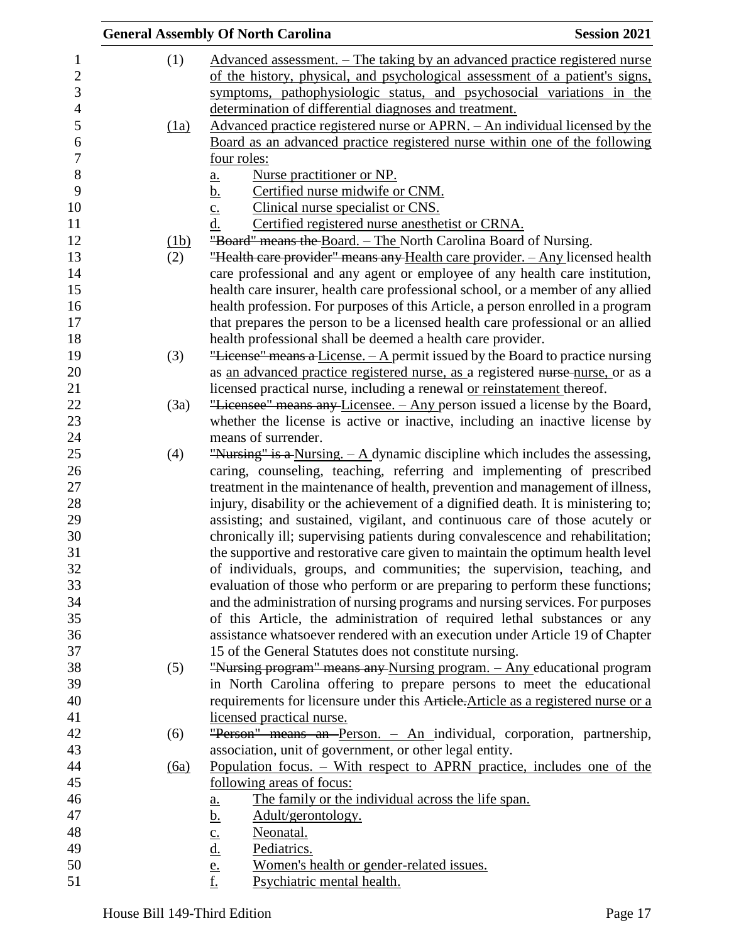|      | <b>General Assembly Of North Carolina</b>                                              | <b>Session 2021</b> |
|------|----------------------------------------------------------------------------------------|---------------------|
| (1)  | Advanced assessment. – The taking by an advanced practice registered nurse             |                     |
|      | of the history, physical, and psychological assessment of a patient's signs,           |                     |
|      | symptoms, pathophysiologic status, and psychosocial variations in the                  |                     |
|      | determination of differential diagnoses and treatment.                                 |                     |
| (1a) | <u>Advanced practice registered nurse or APRN. – An individual licensed by the</u>     |                     |
|      | Board as an advanced practice registered nurse within one of the following             |                     |
|      | four roles:                                                                            |                     |
|      | Nurse practitioner or NP.<br>a.                                                        |                     |
|      | <u>b.</u><br>Certified nurse midwife or CNM.                                           |                     |
|      | Clinical nurse specialist or CNS.                                                      |                     |
|      | $\frac{c}{d}$ .<br>Certified registered nurse anesthetist or CRNA.                     |                     |
| (1b) | "Board" means the Board. – The North Carolina Board of Nursing.                        |                     |
| (2)  | "Health care provider" means any Health care provider. - Any licensed health           |                     |
|      | care professional and any agent or employee of any health care institution,            |                     |
|      | health care insurer, health care professional school, or a member of any allied        |                     |
|      | health profession. For purposes of this Article, a person enrolled in a program        |                     |
|      | that prepares the person to be a licensed health care professional or an allied        |                     |
|      | health professional shall be deemed a health care provider.                            |                     |
| (3)  | "License" means a License. - A permit issued by the Board to practice nursing          |                     |
|      | as an advanced practice registered nurse, as a registered nurse-nurse, or as a         |                     |
|      | licensed practical nurse, including a renewal or reinstatement thereof.                |                     |
| (3a) | "Licensee" means any Licensee. - Any person issued a license by the Board,             |                     |
|      | whether the license is active or inactive, including an inactive license by            |                     |
|      | means of surrender.                                                                    |                     |
| (4)  | "Nursing" is a Nursing. $-\mathbf{A}$ dynamic discipline which includes the assessing, |                     |
|      | caring, counseling, teaching, referring and implementing of prescribed                 |                     |
|      | treatment in the maintenance of health, prevention and management of illness,          |                     |
|      | injury, disability or the achievement of a dignified death. It is ministering to;      |                     |
|      | assisting; and sustained, vigilant, and continuous care of those acutely or            |                     |
|      | chronically ill; supervising patients during convalescence and rehabilitation;         |                     |
|      | the supportive and restorative care given to maintain the optimum health level         |                     |
|      | of individuals, groups, and communities; the supervision, teaching, and                |                     |
|      | evaluation of those who perform or are preparing to perform these functions;           |                     |
|      | and the administration of nursing programs and nursing services. For purposes          |                     |
|      | of this Article, the administration of required lethal substances or any               |                     |
|      | assistance whatsoever rendered with an execution under Article 19 of Chapter           |                     |
|      | 15 of the General Statutes does not constitute nursing.                                |                     |
| (5)  | "Nursing program" means any Nursing program. - Any educational program                 |                     |
|      | in North Carolina offering to prepare persons to meet the educational                  |                     |
|      | requirements for licensure under this Article. Article as a registered nurse or a      |                     |
|      | licensed practical nurse.                                                              |                     |
| (6)  | "Person" means an Person. - An individual, corporation, partnership,                   |                     |
|      | association, unit of government, or other legal entity.                                |                     |
| (6a) | Population focus. – With respect to APRN practice, includes one of the                 |                     |
|      | <u>following areas of focus:</u>                                                       |                     |
|      | The family or the individual across the life span.<br>a.                               |                     |
|      | Adult/gerontology.                                                                     |                     |
|      | Neonatal.                                                                              |                     |
|      | $\frac{b}{c}$ .<br>$\frac{d}{d}$ .<br>Pediatrics.                                      |                     |
|      | Women's health or gender-related issues.                                               |                     |
|      | $\frac{e}{f}$<br>Psychiatric mental health.                                            |                     |
|      |                                                                                        |                     |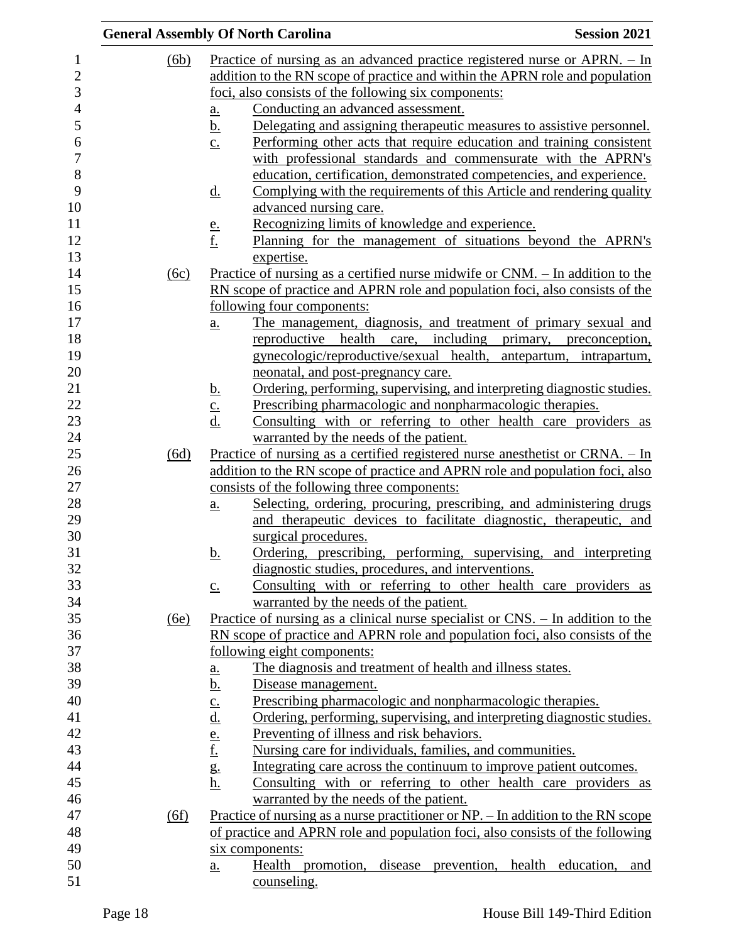|      | <b>General Assembly Of North Carolina</b>                                                                                                   | <b>Session 2021</b>      |
|------|---------------------------------------------------------------------------------------------------------------------------------------------|--------------------------|
| (6b) | Practice of nursing as an advanced practice registered nurse or $APRN. - In$                                                                |                          |
|      | addition to the RN scope of practice and within the APRN role and population                                                                |                          |
|      | foci, also consists of the following six components:                                                                                        |                          |
|      | Conducting an advanced assessment.<br><u>a.</u>                                                                                             |                          |
|      | Delegating and assigning therapeutic measures to assistive personnel.<br><u>b.</u>                                                          |                          |
|      | Performing other acts that require education and training consistent<br>$\underline{c}$ .                                                   |                          |
|      | with professional standards and commensurate with the APRN's                                                                                |                          |
|      | education, certification, demonstrated competencies, and experience.                                                                        |                          |
|      | Complying with the requirements of this Article and rendering quality<br><u>d.</u>                                                          |                          |
|      | advanced nursing care.                                                                                                                      |                          |
|      | Recognizing limits of knowledge and experience.                                                                                             |                          |
|      | $\frac{e}{f}$<br>Planning for the management of situations beyond the APRN's                                                                |                          |
|      | expertise.                                                                                                                                  |                          |
| (6c) | <u>Practice of nursing as a certified nurse midwife or CNM. – In addition to the</u>                                                        |                          |
|      | RN scope of practice and APRN role and population foci, also consists of the                                                                |                          |
|      | following four components:                                                                                                                  |                          |
|      | The management, diagnosis, and treatment of primary sexual and<br>$\underline{a}$ .                                                         |                          |
|      | reproductive health<br>care, including                                                                                                      | primary, preconception,  |
|      | gynecologic/reproductive/sexual health,                                                                                                     | antepartum, intrapartum, |
|      | neonatal, and post-pregnancy care.                                                                                                          |                          |
|      | Ordering, performing, supervising, and interpreting diagnostic studies.                                                                     |                          |
|      | $rac{\underline{b}}{\underline{c}}$ .<br>$rac{\underline{c}}{\underline{d}}$ .<br>Prescribing pharmacologic and nonpharmacologic therapies. |                          |
|      | Consulting with or referring to other health care providers as                                                                              |                          |
|      | warranted by the needs of the patient.                                                                                                      |                          |
| (6d) | Practice of nursing as a certified registered nurse anesthetist or CRNA. - In                                                               |                          |
|      | addition to the RN scope of practice and APRN role and population foci, also                                                                |                          |
|      | consists of the following three components:                                                                                                 |                          |
|      | Selecting, ordering, procuring, prescribing, and administering drugs<br>$\underline{a}$ .                                                   |                          |
|      | and therapeutic devices to facilitate diagnostic, therapeutic, and                                                                          |                          |
|      | surgical procedures.                                                                                                                        |                          |
|      | Ordering, prescribing, performing, supervising, and interpreting<br>b.                                                                      |                          |
|      | diagnostic studies, procedures, and interventions.                                                                                          |                          |
|      | Consulting with or referring to other health care providers as<br>$\underline{c}$ .                                                         |                          |
|      | warranted by the needs of the patient.                                                                                                      |                          |
| (6e) | Practice of nursing as a clinical nurse specialist or $CNS$ . - In addition to the                                                          |                          |
|      | RN scope of practice and APRN role and population foci, also consists of the                                                                |                          |
|      | following eight components:                                                                                                                 |                          |
|      | The diagnosis and treatment of health and illness states.<br><u>a.</u>                                                                      |                          |
|      | <u>b.</u><br>Disease management.                                                                                                            |                          |
|      | Prescribing pharmacologic and nonpharmacologic therapies.                                                                                   |                          |
|      | Ordering, performing, supervising, and interpreting diagnostic studies.                                                                     |                          |
|      | $rac{\underline{c}}{\underline{d}}$ .<br>$rac{\underline{e}}{\underline{f}}$ .<br>Preventing of illness and risk behaviors.                 |                          |
|      | Nursing care for individuals, families, and communities.                                                                                    |                          |
|      | g.<br>Integrating care across the continuum to improve patient outcomes.                                                                    |                          |
|      | Consulting with or referring to other health care providers as<br><u>h.</u>                                                                 |                          |
|      | warranted by the needs of the patient.                                                                                                      |                          |
| (6f) | Practice of nursing as a nurse practitioner or NP. – In addition to the RN scope                                                            |                          |
|      | of practice and APRN role and population foci, also consists of the following                                                               |                          |
|      | six components:                                                                                                                             |                          |
|      | Health promotion, disease prevention, health education,                                                                                     | and                      |
|      | a.<br>counseling.                                                                                                                           |                          |
|      |                                                                                                                                             |                          |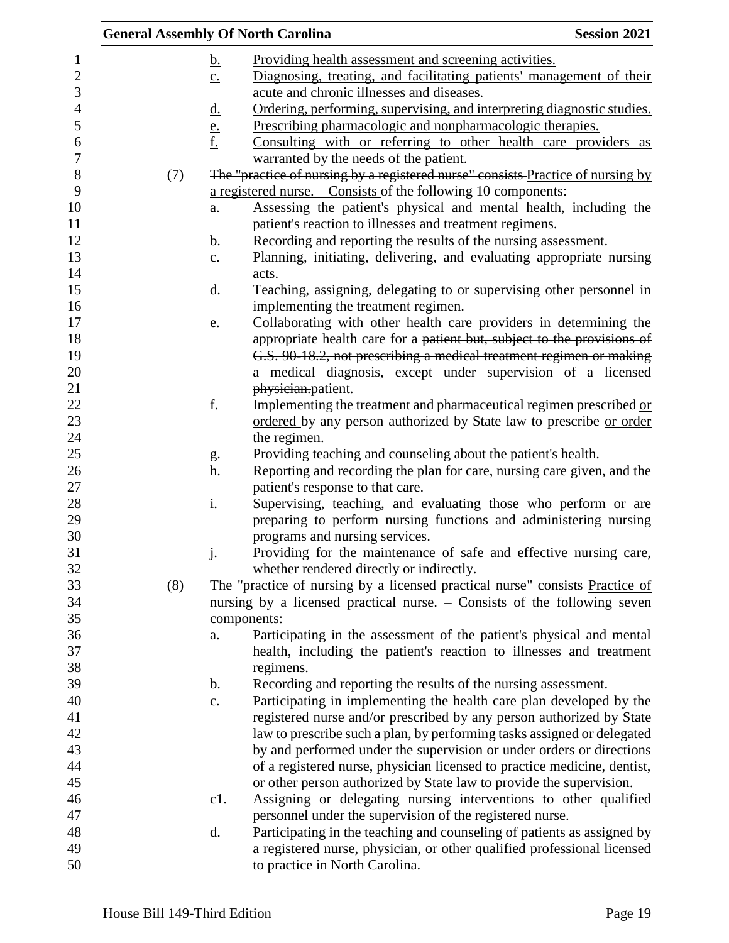|     | <b>General Assembly Of North Carolina</b>                                                                                          | <b>Session 2021</b> |
|-----|------------------------------------------------------------------------------------------------------------------------------------|---------------------|
|     | Providing health assessment and screening activities.<br><u>b.</u>                                                                 |                     |
|     | Diagnosing, treating, and facilitating patients' management of their<br>$\underline{c}$ .                                          |                     |
|     | acute and chronic illnesses and diseases.                                                                                          |                     |
|     | Ordering, performing, supervising, and interpreting diagnostic studies.<br><u>d.</u>                                               |                     |
|     | Prescribing pharmacologic and nonpharmacologic therapies.                                                                          |                     |
|     | $\frac{e}{f}$<br>Consulting with or referring to other health care providers as                                                    |                     |
|     | warranted by the needs of the patient.                                                                                             |                     |
|     | The "practice of nursing by a registered nurse" consists Practice of nursing by                                                    |                     |
| (7) |                                                                                                                                    |                     |
|     | a registered nurse. $-$ Consists of the following 10 components:                                                                   |                     |
|     | Assessing the patient's physical and mental health, including the<br>a.<br>patient's reaction to illnesses and treatment regimens. |                     |
|     | Recording and reporting the results of the nursing assessment.<br>$\mathbf b$ .                                                    |                     |
|     | Planning, initiating, delivering, and evaluating appropriate nursing<br>c.                                                         |                     |
|     | acts.                                                                                                                              |                     |
|     | Teaching, assigning, delegating to or supervising other personnel in<br>d.                                                         |                     |
|     | implementing the treatment regimen.                                                                                                |                     |
|     | Collaborating with other health care providers in determining the<br>e.                                                            |                     |
|     | appropriate health care for a patient but, subject to the provisions of                                                            |                     |
|     | G.S. 90-18.2, not prescribing a medical treatment regimen or making                                                                |                     |
|     | a medical diagnosis, except under supervision of a licensed                                                                        |                     |
|     | physician.patient.                                                                                                                 |                     |
| f.  | Implementing the treatment and pharmaceutical regimen prescribed or                                                                |                     |
|     | ordered by any person authorized by State law to prescribe or order                                                                |                     |
|     | the regimen.                                                                                                                       |                     |
|     | Providing teaching and counseling about the patient's health.<br>g.                                                                |                     |
|     | Reporting and recording the plan for care, nursing care given, and the<br>h.                                                       |                     |
|     | patient's response to that care.                                                                                                   |                     |
| i.  | Supervising, teaching, and evaluating those who perform or are                                                                     |                     |
|     | preparing to perform nursing functions and administering nursing                                                                   |                     |
|     | programs and nursing services.                                                                                                     |                     |
| j.  | Providing for the maintenance of safe and effective nursing care,                                                                  |                     |
|     | whether rendered directly or indirectly.                                                                                           |                     |
| (8) | The "practice of nursing by a licensed practical nurse" consists Practice of                                                       |                     |
|     | nursing by a licensed practical nurse. $-$ Consists of the following seven                                                         |                     |
|     | components:                                                                                                                        |                     |
|     | Participating in the assessment of the patient's physical and mental<br>a.                                                         |                     |
|     | health, including the patient's reaction to illnesses and treatment                                                                |                     |
|     | regimens.                                                                                                                          |                     |
|     | Recording and reporting the results of the nursing assessment.<br>$\mathbf b$ .                                                    |                     |
|     | Participating in implementing the health care plan developed by the<br>c.                                                          |                     |
|     | registered nurse and/or prescribed by any person authorized by State                                                               |                     |
|     | law to prescribe such a plan, by performing tasks assigned or delegated                                                            |                     |
|     | by and performed under the supervision or under orders or directions                                                               |                     |
|     | of a registered nurse, physician licensed to practice medicine, dentist,                                                           |                     |
|     | or other person authorized by State law to provide the supervision.                                                                |                     |
|     | Assigning or delegating nursing interventions to other qualified<br>c1.                                                            |                     |
|     | personnel under the supervision of the registered nurse.                                                                           |                     |
|     | Participating in the teaching and counseling of patients as assigned by<br>d.                                                      |                     |
|     | a registered nurse, physician, or other qualified professional licensed                                                            |                     |
|     | to practice in North Carolina.                                                                                                     |                     |
|     |                                                                                                                                    |                     |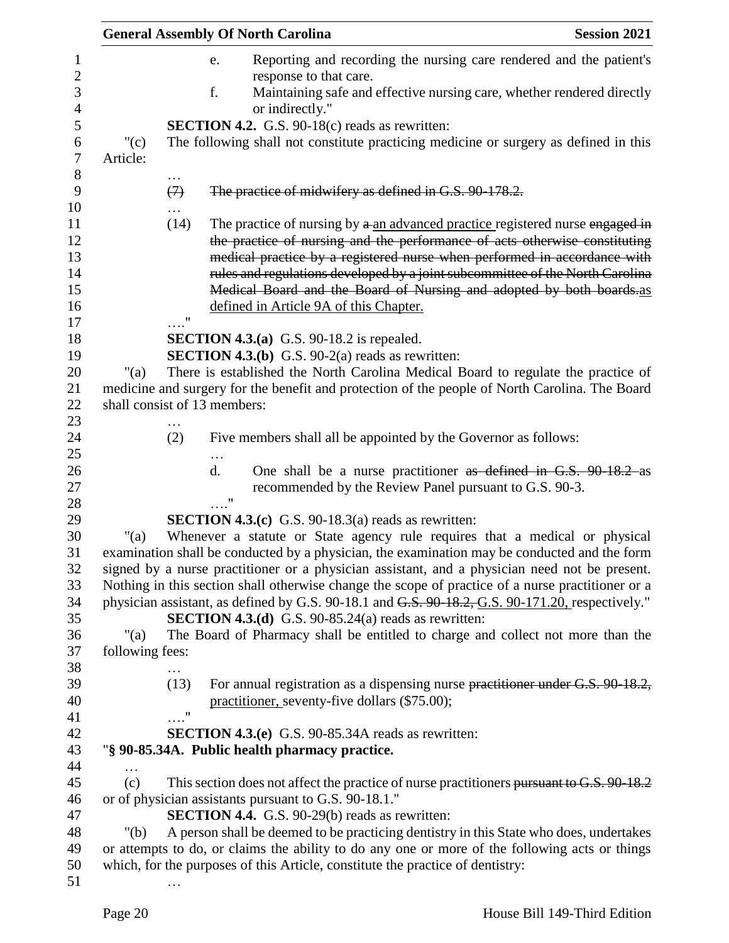|                 |                               | <b>General Assembly Of North Carolina</b>                                                                                                                                                     | <b>Session 2021</b> |
|-----------------|-------------------------------|-----------------------------------------------------------------------------------------------------------------------------------------------------------------------------------------------|---------------------|
|                 |                               | Reporting and recording the nursing care rendered and the patient's<br>e.                                                                                                                     |                     |
|                 |                               | response to that care.                                                                                                                                                                        |                     |
|                 |                               | f.<br>Maintaining safe and effective nursing care, whether rendered directly<br>or indirectly."                                                                                               |                     |
|                 |                               | <b>SECTION 4.2.</b> G.S. 90-18(c) reads as rewritten:                                                                                                                                         |                     |
| " $(c)$         |                               | The following shall not constitute practicing medicine or surgery as defined in this                                                                                                          |                     |
| Article:        |                               |                                                                                                                                                                                               |                     |
|                 | $\cdots$<br>$\leftrightarrow$ | The practice of midwifery as defined in G.S. 90-178.2.                                                                                                                                        |                     |
|                 | (14)                          | The practice of nursing by a an advanced practice registered nurse engaged in                                                                                                                 |                     |
|                 |                               | the practice of nursing and the performance of acts otherwise constituting                                                                                                                    |                     |
|                 |                               | medical practice by a registered nurse when performed in accordance with                                                                                                                      |                     |
|                 |                               | rules and regulations developed by a joint subcommittee of the North Carolina                                                                                                                 |                     |
|                 |                               | Medical Board and the Board of Nursing and adopted by both boards.as                                                                                                                          |                     |
|                 | $\mathbf{u}$                  | defined in Article 9A of this Chapter.                                                                                                                                                        |                     |
|                 |                               | <b>SECTION 4.3.(a)</b> G.S. 90-18.2 is repealed.                                                                                                                                              |                     |
|                 |                               | <b>SECTION 4.3.(b)</b> G.S. $90-2(a)$ reads as rewritten:                                                                                                                                     |                     |
| " $(a)$         |                               | There is established the North Carolina Medical Board to regulate the practice of                                                                                                             |                     |
|                 |                               | medicine and surgery for the benefit and protection of the people of North Carolina. The Board                                                                                                |                     |
|                 |                               | shall consist of 13 members:                                                                                                                                                                  |                     |
|                 |                               |                                                                                                                                                                                               |                     |
|                 | (2)                           | Five members shall all be appointed by the Governor as follows:                                                                                                                               |                     |
|                 |                               | $\mathbf{d}$ .<br>One shall be a nurse practitioner as defined in G.S. 90 18.2 as                                                                                                             |                     |
|                 |                               | recommended by the Review Panel pursuant to G.S. 90-3.                                                                                                                                        |                     |
|                 |                               | $\ldots$ "                                                                                                                                                                                    |                     |
|                 |                               | <b>SECTION 4.3.(c)</b> G.S. 90-18.3(a) reads as rewritten:                                                                                                                                    |                     |
| " $(a)$         |                               | Whenever a statute or State agency rule requires that a medical or physical                                                                                                                   |                     |
|                 |                               | examination shall be conducted by a physician, the examination may be conducted and the form<br>signed by a nurse practitioner or a physician assistant, and a physician need not be present. |                     |
|                 |                               | Nothing in this section shall otherwise change the scope of practice of a nurse practitioner or a                                                                                             |                     |
|                 |                               | physician assistant, as defined by G.S. 90-18.1 and G.S. 90-18.2, G.S. 90-171.20, respectively."                                                                                              |                     |
|                 |                               | <b>SECTION 4.3.(d)</b> G.S. 90-85.24(a) reads as rewritten:                                                                                                                                   |                     |
| " $(a)$         |                               | The Board of Pharmacy shall be entitled to charge and collect not more than the                                                                                                               |                     |
| following fees: |                               |                                                                                                                                                                                               |                     |
|                 |                               |                                                                                                                                                                                               |                     |
|                 | (13)                          | For annual registration as a dispensing nurse practitioner under G.S. 90-18.2,                                                                                                                |                     |
|                 |                               | practitioner, seventy-five dollars (\$75.00);                                                                                                                                                 |                     |
|                 | $\ldots$ "                    |                                                                                                                                                                                               |                     |
|                 |                               | <b>SECTION 4.3.(e)</b> G.S. 90-85.34A reads as rewritten:                                                                                                                                     |                     |
|                 |                               | "§ 90-85.34A. Public health pharmacy practice.                                                                                                                                                |                     |
| .<br>(c)        |                               | This section does not affect the practice of nurse practitioners pursuant to G.S. 90-18.2                                                                                                     |                     |
|                 |                               | or of physician assistants pursuant to G.S. 90-18.1."                                                                                                                                         |                     |
|                 |                               | <b>SECTION 4.4.</b> G.S. 90-29(b) reads as rewritten:                                                                                                                                         |                     |
| " $(b)$         |                               | A person shall be deemed to be practicing dentistry in this State who does, undertakes                                                                                                        |                     |
|                 |                               | or attempts to do, or claims the ability to do any one or more of the following acts or things                                                                                                |                     |
|                 |                               | which, for the purposes of this Article, constitute the practice of dentistry:                                                                                                                |                     |
|                 |                               |                                                                                                                                                                                               |                     |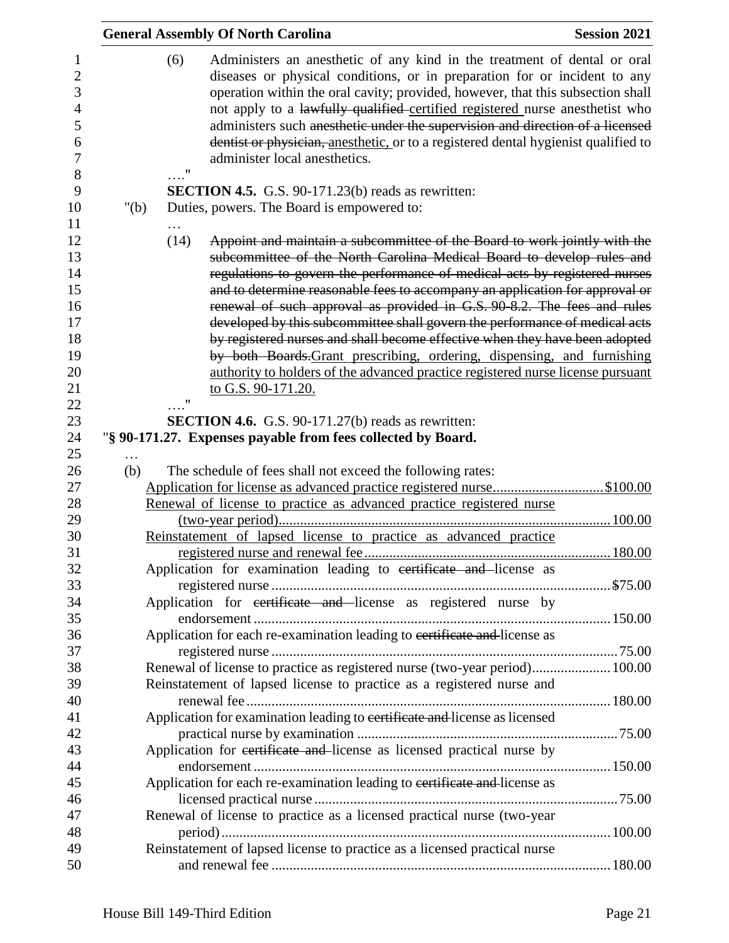|         |            | <b>General Assembly Of North Carolina</b>                                                                                                                                                                                                                                                                                                                                                                                                                                                                                                                                                                                                                                                                                                                                                                                                                                 | <b>Session 2021</b> |
|---------|------------|---------------------------------------------------------------------------------------------------------------------------------------------------------------------------------------------------------------------------------------------------------------------------------------------------------------------------------------------------------------------------------------------------------------------------------------------------------------------------------------------------------------------------------------------------------------------------------------------------------------------------------------------------------------------------------------------------------------------------------------------------------------------------------------------------------------------------------------------------------------------------|---------------------|
|         | (6)<br>. " | Administers an anesthetic of any kind in the treatment of dental or oral<br>diseases or physical conditions, or in preparation for or incident to any<br>operation within the oral cavity; provided, however, that this subsection shall<br>not apply to a lawfully qualified certified registered nurse anesthetist who<br>administers such anesthetic under the supervision and direction of a licensed<br>dentist or physician, anesthetic, or to a registered dental hygienist qualified to<br>administer local anesthetics.                                                                                                                                                                                                                                                                                                                                          |                     |
|         |            | <b>SECTION 4.5.</b> G.S. 90-171.23(b) reads as rewritten:                                                                                                                                                                                                                                                                                                                                                                                                                                                                                                                                                                                                                                                                                                                                                                                                                 |                     |
| " $(b)$ |            | Duties, powers. The Board is empowered to:                                                                                                                                                                                                                                                                                                                                                                                                                                                                                                                                                                                                                                                                                                                                                                                                                                |                     |
|         | (14)       | Appoint and maintain a subcommittee of the Board to work jointly with the<br>subcommittee of the North Carolina Medical Board to develop rules and<br>regulations to govern the performance of medical acts by registered nurses<br>and to determine reasonable fees to accompany an application for approval or<br>renewal of such approval as provided in G.S. 90-8.2. The fees and rules<br>developed by this subcommittee shall govern the performance of medical acts<br>by registered nurses and shall become effective when they have been adopted<br>by both Boards-Grant prescribing, ordering, dispensing, and furnishing<br>authority to holders of the advanced practice registered nurse license pursuant<br>to G.S. 90-171.20.<br><b>SECTION 4.6.</b> G.S. 90-171.27(b) reads as rewritten:<br>"§ 90-171.27. Expenses payable from fees collected by Board. |                     |
|         |            |                                                                                                                                                                                                                                                                                                                                                                                                                                                                                                                                                                                                                                                                                                                                                                                                                                                                           |                     |
| (b)     |            | The schedule of fees shall not exceed the following rates:                                                                                                                                                                                                                                                                                                                                                                                                                                                                                                                                                                                                                                                                                                                                                                                                                |                     |
|         |            | Application for license as advanced practice registered nurse\$100.00                                                                                                                                                                                                                                                                                                                                                                                                                                                                                                                                                                                                                                                                                                                                                                                                     |                     |
|         |            | Renewal of license to practice as advanced practice registered nurse                                                                                                                                                                                                                                                                                                                                                                                                                                                                                                                                                                                                                                                                                                                                                                                                      |                     |
|         |            | Reinstatement of lapsed license to practice as advanced practice                                                                                                                                                                                                                                                                                                                                                                                                                                                                                                                                                                                                                                                                                                                                                                                                          |                     |
|         |            |                                                                                                                                                                                                                                                                                                                                                                                                                                                                                                                                                                                                                                                                                                                                                                                                                                                                           |                     |
|         |            | Application for examination leading to certificate and license as                                                                                                                                                                                                                                                                                                                                                                                                                                                                                                                                                                                                                                                                                                                                                                                                         |                     |
|         |            |                                                                                                                                                                                                                                                                                                                                                                                                                                                                                                                                                                                                                                                                                                                                                                                                                                                                           |                     |
|         |            | Application for certificate and license as registered nurse by                                                                                                                                                                                                                                                                                                                                                                                                                                                                                                                                                                                                                                                                                                                                                                                                            |                     |
|         |            |                                                                                                                                                                                                                                                                                                                                                                                                                                                                                                                                                                                                                                                                                                                                                                                                                                                                           |                     |
|         |            |                                                                                                                                                                                                                                                                                                                                                                                                                                                                                                                                                                                                                                                                                                                                                                                                                                                                           |                     |
|         |            |                                                                                                                                                                                                                                                                                                                                                                                                                                                                                                                                                                                                                                                                                                                                                                                                                                                                           |                     |
|         |            | Application for each re-examination leading to certificate and license as                                                                                                                                                                                                                                                                                                                                                                                                                                                                                                                                                                                                                                                                                                                                                                                                 |                     |
|         |            | Renewal of license to practice as registered nurse (two-year period) 100.00                                                                                                                                                                                                                                                                                                                                                                                                                                                                                                                                                                                                                                                                                                                                                                                               |                     |
|         |            | Reinstatement of lapsed license to practice as a registered nurse and                                                                                                                                                                                                                                                                                                                                                                                                                                                                                                                                                                                                                                                                                                                                                                                                     |                     |
|         |            |                                                                                                                                                                                                                                                                                                                                                                                                                                                                                                                                                                                                                                                                                                                                                                                                                                                                           |                     |
|         |            | Application for examination leading to certificate and license as licensed                                                                                                                                                                                                                                                                                                                                                                                                                                                                                                                                                                                                                                                                                                                                                                                                |                     |
|         |            |                                                                                                                                                                                                                                                                                                                                                                                                                                                                                                                                                                                                                                                                                                                                                                                                                                                                           |                     |
|         |            | Application for certificate and license as licensed practical nurse by                                                                                                                                                                                                                                                                                                                                                                                                                                                                                                                                                                                                                                                                                                                                                                                                    |                     |
|         |            |                                                                                                                                                                                                                                                                                                                                                                                                                                                                                                                                                                                                                                                                                                                                                                                                                                                                           |                     |
|         |            | Application for each re-examination leading to certificate and license as                                                                                                                                                                                                                                                                                                                                                                                                                                                                                                                                                                                                                                                                                                                                                                                                 |                     |
|         |            |                                                                                                                                                                                                                                                                                                                                                                                                                                                                                                                                                                                                                                                                                                                                                                                                                                                                           |                     |
|         |            | Renewal of license to practice as a licensed practical nurse (two-year                                                                                                                                                                                                                                                                                                                                                                                                                                                                                                                                                                                                                                                                                                                                                                                                    |                     |
|         |            |                                                                                                                                                                                                                                                                                                                                                                                                                                                                                                                                                                                                                                                                                                                                                                                                                                                                           |                     |
|         |            | Reinstatement of lapsed license to practice as a licensed practical nurse                                                                                                                                                                                                                                                                                                                                                                                                                                                                                                                                                                                                                                                                                                                                                                                                 |                     |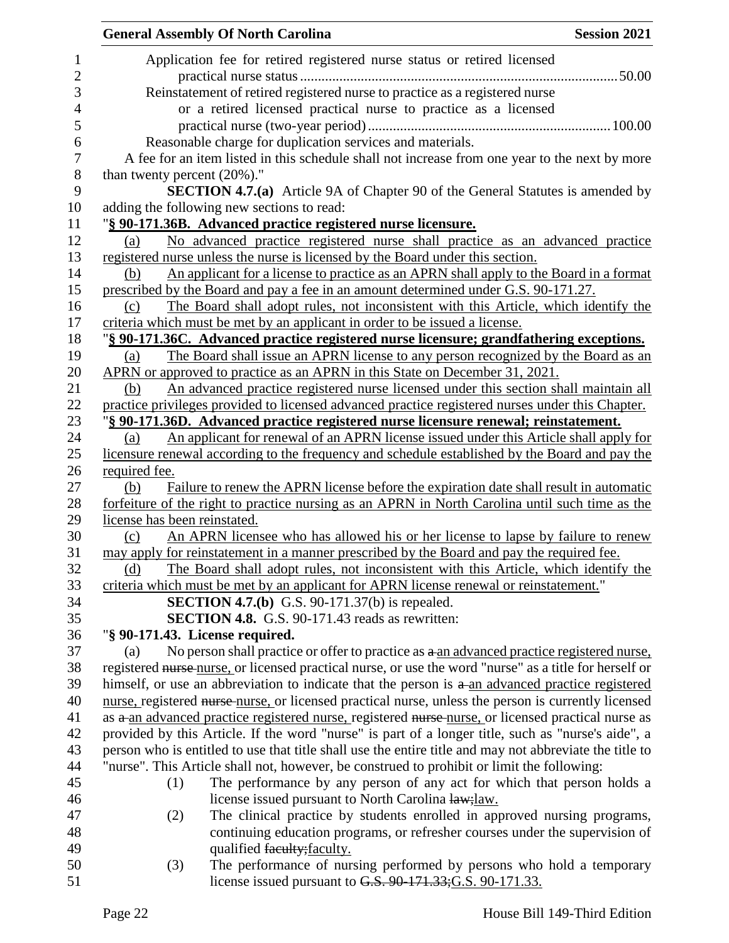|                                 | <b>General Assembly Of North Carolina</b>                                                                                                      | <b>Session 2021</b> |
|---------------------------------|------------------------------------------------------------------------------------------------------------------------------------------------|---------------------|
|                                 | Application fee for retired registered nurse status or retired licensed                                                                        |                     |
|                                 |                                                                                                                                                |                     |
|                                 | Reinstatement of retired registered nurse to practice as a registered nurse<br>or a retired licensed practical nurse to practice as a licensed |                     |
|                                 |                                                                                                                                                |                     |
|                                 |                                                                                                                                                |                     |
|                                 | Reasonable charge for duplication services and materials.                                                                                      |                     |
|                                 | A fee for an item listed in this schedule shall not increase from one year to the next by more                                                 |                     |
| than twenty percent $(20\%)$ ." |                                                                                                                                                |                     |
|                                 | <b>SECTION 4.7.(a)</b> Article 9A of Chapter 90 of the General Statutes is amended by                                                          |                     |
|                                 | adding the following new sections to read:                                                                                                     |                     |
|                                 | "§ 90-171.36B. Advanced practice registered nurse licensure.                                                                                   |                     |
| (a)                             | No advanced practice registered nurse shall practice as an advanced practice                                                                   |                     |
|                                 | registered nurse unless the nurse is licensed by the Board under this section.                                                                 |                     |
| (b)                             | An applicant for a license to practice as an APRN shall apply to the Board in a format                                                         |                     |
|                                 | prescribed by the Board and pay a fee in an amount determined under G.S. 90-171.27.                                                            |                     |
| (c)                             | The Board shall adopt rules, not inconsistent with this Article, which identify the                                                            |                     |
|                                 | criteria which must be met by an applicant in order to be issued a license.                                                                    |                     |
|                                 | "§ 90-171.36C. Advanced practice registered nurse licensure; grandfathering exceptions.                                                        |                     |
| (a)                             | The Board shall issue an APRN license to any person recognized by the Board as an                                                              |                     |
|                                 | APRN or approved to practice as an APRN in this State on December 31, 2021.                                                                    |                     |
| (b)                             | An advanced practice registered nurse licensed under this section shall maintain all                                                           |                     |
|                                 | practice privileges provided to licensed advanced practice registered nurses under this Chapter.                                               |                     |
|                                 | "§ 90-171.36D. Advanced practice registered nurse licensure renewal; reinstatement.                                                            |                     |
| (a)                             | An applicant for renewal of an APRN license issued under this Article shall apply for                                                          |                     |
|                                 | licensure renewal according to the frequency and schedule established by the Board and pay the                                                 |                     |
| required fee.                   |                                                                                                                                                |                     |
| (b)                             | Failure to renew the APRN license before the expiration date shall result in automatic                                                         |                     |
|                                 | forfeiture of the right to practice nursing as an APRN in North Carolina until such time as the                                                |                     |
| license has been reinstated.    |                                                                                                                                                |                     |
| (c)                             | An APRN licensee who has allowed his or her license to lapse by failure to renew                                                               |                     |
|                                 | may apply for reinstatement in a manner prescribed by the Board and pay the required fee.                                                      |                     |
| (d)                             | The Board shall adopt rules, not inconsistent with this Article, which identify the                                                            |                     |
|                                 | criteria which must be met by an applicant for APRN license renewal or reinstatement."                                                         |                     |
|                                 | <b>SECTION 4.7.(b)</b> G.S. 90-171.37(b) is repealed.                                                                                          |                     |
|                                 | SECTION 4.8. G.S. 90-171.43 reads as rewritten:                                                                                                |                     |
|                                 | "§ 90-171.43. License required.                                                                                                                |                     |
| (a)                             | No person shall practice or offer to practice as a an advanced practice registered nurse,                                                      |                     |
|                                 | registered nurse-nurse, or licensed practical nurse, or use the word "nurse" as a title for herself or                                         |                     |
|                                 | himself, or use an abbreviation to indicate that the person is a an advanced practice registered                                               |                     |
|                                 | nurse, registered nurse-nurse, or licensed practical nurse, unless the person is currently licensed                                            |                     |
|                                 | as a an advanced practice registered nurse, registered nurse nurse, or licensed practical nurse as                                             |                     |
|                                 | provided by this Article. If the word "nurse" is part of a longer title, such as "nurse's aide", a                                             |                     |
|                                 | person who is entitled to use that title shall use the entire title and may not abbreviate the title to                                        |                     |
|                                 |                                                                                                                                                |                     |
|                                 | "nurse". This Article shall not, however, be construed to prohibit or limit the following:                                                     |                     |
| (1)                             | The performance by any person of any act for which that person holds a                                                                         |                     |
|                                 | license issued pursuant to North Carolina law; law.                                                                                            |                     |
| (2)                             | The clinical practice by students enrolled in approved nursing programs,                                                                       |                     |
|                                 | continuing education programs, or refresher courses under the supervision of                                                                   |                     |
|                                 | qualified faculty; faculty.                                                                                                                    |                     |
| (3)                             | The performance of nursing performed by persons who hold a temporary                                                                           |                     |
|                                 | license issued pursuant to G.S. 90-171.33; G.S. 90-171.33.                                                                                     |                     |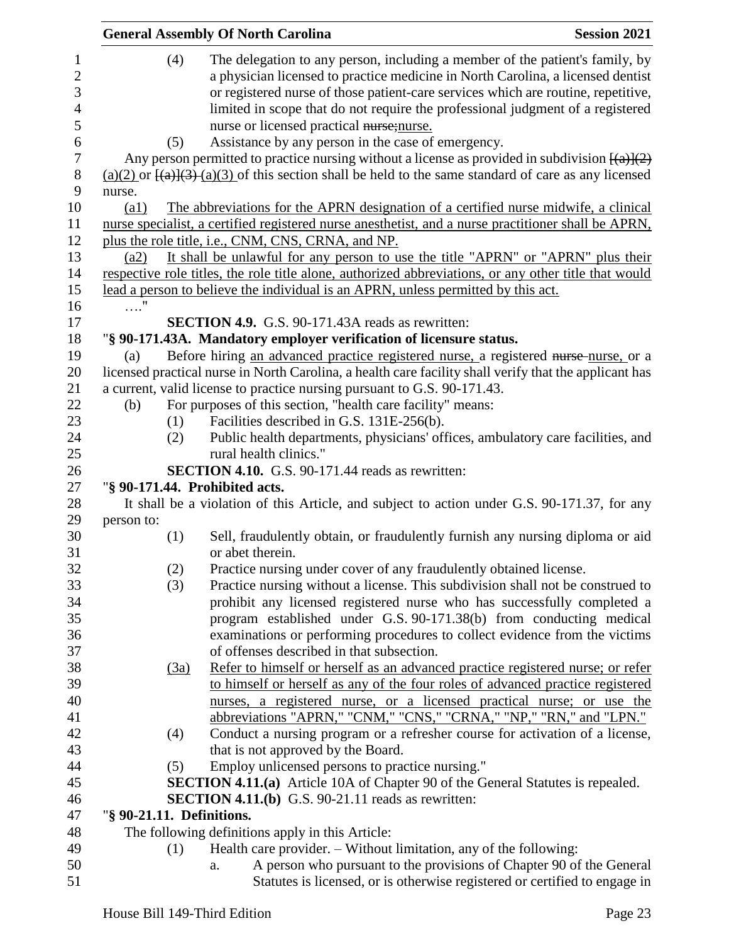|                                                                                |                           |            | <b>General Assembly Of North Carolina</b>                                                                                                                                                                                                                                                                                                                                                                                                 | <b>Session 2021</b> |
|--------------------------------------------------------------------------------|---------------------------|------------|-------------------------------------------------------------------------------------------------------------------------------------------------------------------------------------------------------------------------------------------------------------------------------------------------------------------------------------------------------------------------------------------------------------------------------------------|---------------------|
| $\mathbf{1}$<br>$\overline{c}$<br>3<br>$\overline{4}$<br>5<br>$\boldsymbol{6}$ |                           | (4)<br>(5) | The delegation to any person, including a member of the patient's family, by<br>a physician licensed to practice medicine in North Carolina, a licensed dentist<br>or registered nurse of those patient-care services which are routine, repetitive,<br>limited in scope that do not require the professional judgment of a registered<br>nurse or licensed practical nurse; nurse.<br>Assistance by any person in the case of emergency. |                     |
| $\boldsymbol{7}$                                                               |                           |            | Any person permitted to practice nursing without a license as provided in subdivision $\frac{(\{a\})\{2\}}{(\{a\})}$                                                                                                                                                                                                                                                                                                                      |                     |
| $\,8$                                                                          |                           |            | $(a)(2)$ or $\frac{[(a)](3)}{(a)(3)}$ of this section shall be held to the same standard of care as any licensed                                                                                                                                                                                                                                                                                                                          |                     |
| 9                                                                              | nurse.                    |            |                                                                                                                                                                                                                                                                                                                                                                                                                                           |                     |
| 10                                                                             | (a1)                      |            | The abbreviations for the APRN designation of a certified nurse midwife, a clinical                                                                                                                                                                                                                                                                                                                                                       |                     |
| 11                                                                             |                           |            | nurse specialist, a certified registered nurse anesthetist, and a nurse practitioner shall be APRN,                                                                                                                                                                                                                                                                                                                                       |                     |
| 12                                                                             |                           |            | plus the role title, i.e., CNM, CNS, CRNA, and NP.                                                                                                                                                                                                                                                                                                                                                                                        |                     |
| 13                                                                             | (a2)                      |            | It shall be unlawful for any person to use the title "APRN" or "APRN" plus their                                                                                                                                                                                                                                                                                                                                                          |                     |
| 14                                                                             |                           |            | respective role titles, the role title alone, authorized abbreviations, or any other title that would                                                                                                                                                                                                                                                                                                                                     |                     |
| 15                                                                             |                           |            | lead a person to believe the individual is an APRN, unless permitted by this act.                                                                                                                                                                                                                                                                                                                                                         |                     |
| 16                                                                             | $\ldots$ "                |            |                                                                                                                                                                                                                                                                                                                                                                                                                                           |                     |
| 17                                                                             |                           |            | <b>SECTION 4.9.</b> G.S. 90-171.43A reads as rewritten:                                                                                                                                                                                                                                                                                                                                                                                   |                     |
| 18                                                                             |                           |            | "§ 90-171.43A. Mandatory employer verification of licensure status.                                                                                                                                                                                                                                                                                                                                                                       |                     |
| 19                                                                             | (a)                       |            | Before hiring an advanced practice registered nurse, a registered nurse-nurse, or a                                                                                                                                                                                                                                                                                                                                                       |                     |
| 20                                                                             |                           |            | licensed practical nurse in North Carolina, a health care facility shall verify that the applicant has                                                                                                                                                                                                                                                                                                                                    |                     |
| 21                                                                             |                           |            | a current, valid license to practice nursing pursuant to G.S. 90-171.43.                                                                                                                                                                                                                                                                                                                                                                  |                     |
| 22                                                                             | (b)                       |            | For purposes of this section, "health care facility" means:                                                                                                                                                                                                                                                                                                                                                                               |                     |
| 23                                                                             |                           | (1)        | Facilities described in G.S. 131E-256(b).                                                                                                                                                                                                                                                                                                                                                                                                 |                     |
| 24                                                                             |                           | (2)        | Public health departments, physicians' offices, ambulatory care facilities, and                                                                                                                                                                                                                                                                                                                                                           |                     |
| 25                                                                             |                           |            | rural health clinics."                                                                                                                                                                                                                                                                                                                                                                                                                    |                     |
| 26                                                                             |                           |            | <b>SECTION 4.10.</b> G.S. 90-171.44 reads as rewritten:                                                                                                                                                                                                                                                                                                                                                                                   |                     |
| 27                                                                             |                           |            | "§ 90-171.44. Prohibited acts.                                                                                                                                                                                                                                                                                                                                                                                                            |                     |
| 28                                                                             |                           |            | It shall be a violation of this Article, and subject to action under G.S. 90-171.37, for any                                                                                                                                                                                                                                                                                                                                              |                     |
| 29                                                                             | person to:                |            |                                                                                                                                                                                                                                                                                                                                                                                                                                           |                     |
| 30                                                                             |                           | (1)        | Sell, fraudulently obtain, or fraudulently furnish any nursing diploma or aid                                                                                                                                                                                                                                                                                                                                                             |                     |
| 31                                                                             |                           |            | or abet therein.                                                                                                                                                                                                                                                                                                                                                                                                                          |                     |
| 32                                                                             |                           | (2)        | Practice nursing under cover of any fraudulently obtained license.                                                                                                                                                                                                                                                                                                                                                                        |                     |
| 33<br>34                                                                       |                           | (3)        | Practice nursing without a license. This subdivision shall not be construed to                                                                                                                                                                                                                                                                                                                                                            |                     |
| 35                                                                             |                           |            | prohibit any licensed registered nurse who has successfully completed a                                                                                                                                                                                                                                                                                                                                                                   |                     |
| 36                                                                             |                           |            | program established under G.S. 90-171.38(b) from conducting medical<br>examinations or performing procedures to collect evidence from the victims                                                                                                                                                                                                                                                                                         |                     |
| 37                                                                             |                           |            | of offenses described in that subsection.                                                                                                                                                                                                                                                                                                                                                                                                 |                     |
| 38                                                                             |                           | (3a)       | Refer to himself or herself as an advanced practice registered nurse; or refer                                                                                                                                                                                                                                                                                                                                                            |                     |
| 39                                                                             |                           |            | to himself or herself as any of the four roles of advanced practice registered                                                                                                                                                                                                                                                                                                                                                            |                     |
| 40                                                                             |                           |            | nurses, a registered nurse, or a licensed practical nurse; or use the                                                                                                                                                                                                                                                                                                                                                                     |                     |
| 41                                                                             |                           |            | abbreviations "APRN," "CNM," "CNS," "CRNA," "NP," "RN," and "LPN."                                                                                                                                                                                                                                                                                                                                                                        |                     |
| 42                                                                             |                           | (4)        | Conduct a nursing program or a refresher course for activation of a license,                                                                                                                                                                                                                                                                                                                                                              |                     |
| 43                                                                             |                           |            | that is not approved by the Board.                                                                                                                                                                                                                                                                                                                                                                                                        |                     |
| 44                                                                             |                           | (5)        | Employ unlicensed persons to practice nursing."                                                                                                                                                                                                                                                                                                                                                                                           |                     |
| 45                                                                             |                           |            | SECTION 4.11.(a) Article 10A of Chapter 90 of the General Statutes is repealed.                                                                                                                                                                                                                                                                                                                                                           |                     |
| 46                                                                             |                           |            | <b>SECTION 4.11.(b)</b> G.S. 90-21.11 reads as rewritten:                                                                                                                                                                                                                                                                                                                                                                                 |                     |
| 47                                                                             | "§ 90-21.11. Definitions. |            |                                                                                                                                                                                                                                                                                                                                                                                                                                           |                     |
| 48                                                                             |                           |            | The following definitions apply in this Article:                                                                                                                                                                                                                                                                                                                                                                                          |                     |
| 49                                                                             |                           | (1)        | Health care provider. - Without limitation, any of the following:                                                                                                                                                                                                                                                                                                                                                                         |                     |
| 50                                                                             |                           |            | A person who pursuant to the provisions of Chapter 90 of the General<br>a.                                                                                                                                                                                                                                                                                                                                                                |                     |
| 51                                                                             |                           |            | Statutes is licensed, or is otherwise registered or certified to engage in                                                                                                                                                                                                                                                                                                                                                                |                     |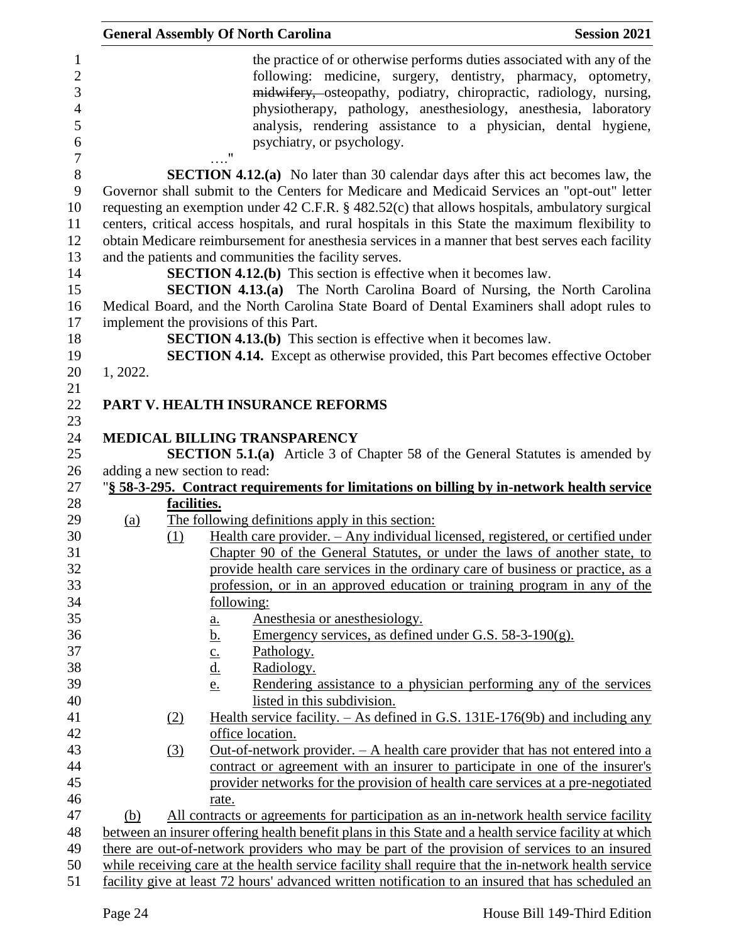|            |             | <b>General Assembly Of North Carolina</b>                                                                                                                                                                                                                                                                                                                                                               | <b>Session 2021</b> |
|------------|-------------|---------------------------------------------------------------------------------------------------------------------------------------------------------------------------------------------------------------------------------------------------------------------------------------------------------------------------------------------------------------------------------------------------------|---------------------|
|            |             | the practice of or otherwise performs duties associated with any of the<br>following: medicine, surgery, dentistry, pharmacy, optometry,<br>midwifery, osteopathy, podiatry, chiropractic, radiology, nursing,<br>physiotherapy, pathology, anesthesiology, anesthesia, laboratory<br>analysis, rendering assistance to a physician, dental hygiene,<br>psychiatry, or psychology.<br>$^{\prime\prime}$ |                     |
|            |             | <b>SECTION 4.12.(a)</b> No later than 30 calendar days after this act becomes law, the<br>Governor shall submit to the Centers for Medicare and Medicaid Services an "opt-out" letter<br>requesting an exemption under 42 C.F.R. § 482.52(c) that allows hospitals, ambulatory surgical<br>centers, critical access hospitals, and rural hospitals in this State the maximum flexibility to             |                     |
|            |             | obtain Medicare reimbursement for anesthesia services in a manner that best serves each facility<br>and the patients and communities the facility serves.                                                                                                                                                                                                                                               |                     |
|            |             | <b>SECTION 4.12.(b)</b> This section is effective when it becomes law.<br><b>SECTION 4.13.(a)</b> The North Carolina Board of Nursing, the North Carolina                                                                                                                                                                                                                                               |                     |
|            |             | Medical Board, and the North Carolina State Board of Dental Examiners shall adopt rules to<br>implement the provisions of this Part.                                                                                                                                                                                                                                                                    |                     |
|            |             | <b>SECTION 4.13.(b)</b> This section is effective when it becomes law.<br><b>SECTION 4.14.</b> Except as otherwise provided, this Part becomes effective October                                                                                                                                                                                                                                        |                     |
| 1, 2022.   |             |                                                                                                                                                                                                                                                                                                                                                                                                         |                     |
|            |             | PART V. HEALTH INSURANCE REFORMS                                                                                                                                                                                                                                                                                                                                                                        |                     |
|            |             | MEDICAL BILLING TRANSPARENCY                                                                                                                                                                                                                                                                                                                                                                            |                     |
|            |             | <b>SECTION 5.1.(a)</b> Article 3 of Chapter 58 of the General Statutes is amended by                                                                                                                                                                                                                                                                                                                    |                     |
|            |             | adding a new section to read:<br>"§ 58-3-295. Contract requirements for limitations on billing by in-network health service                                                                                                                                                                                                                                                                             |                     |
|            | facilities. |                                                                                                                                                                                                                                                                                                                                                                                                         |                     |
| <u>(a)</u> |             | The following definitions apply in this section:                                                                                                                                                                                                                                                                                                                                                        |                     |
|            | (1)         | Health care provider. - Any individual licensed, registered, or certified under                                                                                                                                                                                                                                                                                                                         |                     |
|            |             | Chapter 90 of the General Statutes, or under the laws of another state, to<br>provide health care services in the ordinary care of business or practice, as a                                                                                                                                                                                                                                           |                     |
|            |             | profession, or in an approved education or training program in any of the<br>following:                                                                                                                                                                                                                                                                                                                 |                     |
|            |             | Anesthesia or anesthesiology.<br><u>a.</u>                                                                                                                                                                                                                                                                                                                                                              |                     |
|            |             | <u>b.</u><br>Emergency services, as defined under G.S. $58-3-190(g)$ .                                                                                                                                                                                                                                                                                                                                  |                     |
|            |             | Pathology.<br>$\underline{c}$ .                                                                                                                                                                                                                                                                                                                                                                         |                     |
|            |             | $\underline{d}$ .<br>Radiology.                                                                                                                                                                                                                                                                                                                                                                         |                     |
|            |             | Rendering assistance to a physician performing any of the services<br>e.                                                                                                                                                                                                                                                                                                                                |                     |
|            |             | listed in this subdivision.                                                                                                                                                                                                                                                                                                                                                                             |                     |
|            | (2)         | Health service facility. $-$ As defined in G.S. 131E-176(9b) and including any                                                                                                                                                                                                                                                                                                                          |                     |
|            |             | office location.                                                                                                                                                                                                                                                                                                                                                                                        |                     |
|            | (3)         | Out-of-network provider. $- A$ health care provider that has not entered into a                                                                                                                                                                                                                                                                                                                         |                     |
|            |             | contract or agreement with an insurer to participate in one of the insurer's                                                                                                                                                                                                                                                                                                                            |                     |
|            |             | provider networks for the provision of health care services at a pre-negotiated                                                                                                                                                                                                                                                                                                                         |                     |
|            |             | rate.                                                                                                                                                                                                                                                                                                                                                                                                   |                     |
| (b)        |             | All contracts or agreements for participation as an in-network health service facility                                                                                                                                                                                                                                                                                                                  |                     |
|            |             | between an insurer offering health benefit plans in this State and a health service facility at which                                                                                                                                                                                                                                                                                                   |                     |
|            |             | there are out-of-network providers who may be part of the provision of services to an insured<br>while receiving care at the health service facility shall require that the in-network health service                                                                                                                                                                                                   |                     |
|            |             | facility give at least 72 hours' advanced written notification to an insured that has scheduled an                                                                                                                                                                                                                                                                                                      |                     |
|            |             |                                                                                                                                                                                                                                                                                                                                                                                                         |                     |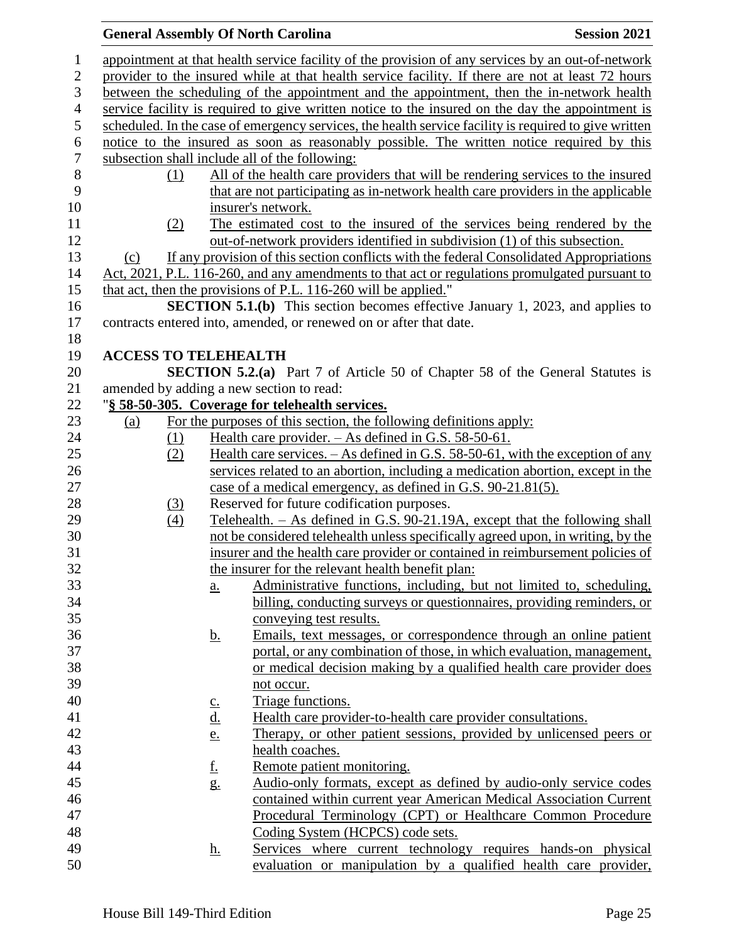### **General Assembly Of North Carolina Session 2021**  appointment at that health service facility of the provision of any services by an out-of-network provider to the insured while at that health service facility. If there are not at least 72 hours between the scheduling of the appointment and the appointment, then the in-network health service facility is required to give written notice to the insured on the day the appointment is scheduled. In the case of emergency services, the health service facility is required to give written notice to the insured as soon as reasonably possible. The written notice required by this subsection shall include all of the following: 8 (1) All of the health care providers that will be rendering services to the insured<br>9 that are not participating as in-network health care providers in the applicable that are not participating as in-network health care providers in the applicable insurer's network. (2) The estimated cost to the insured of the services being rendered by the out-of-network providers identified in subdivision (1) of this subsection. (c) If any provision of this section conflicts with the federal Consolidated Appropriations Act, 2021, P.L. 116-260, and any amendments to that act or regulations promulgated pursuant to that act, then the provisions of P.L. 116-260 will be applied." **SECTION 5.1.(b)** This section becomes effective January 1, 2023, and applies to contracts entered into, amended, or renewed on or after that date. **ACCESS TO TELEHEALTH SECTION 5.2.(a)** Part 7 of Article 50 of Chapter 58 of the General Statutes is amended by adding a new section to read: "**§ 58-50-305. Coverage for telehealth services.** (a) For the purposes of this section, the following definitions apply: (1) Health care provider. – As defined in G.S. 58-50-61. (2) Health care services. – As defined in G.S. 58-50-61, with the exception of any services related to an abortion, including a medication abortion, except in the case of a medical emergency, as defined in G.S. 90-21.81(5). 28 (3) Reserved for future codification purposes. (4) Telehealth. – As defined in G.S. 90-21.19A, except that the following shall not be considered telehealth unless specifically agreed upon, in writing, by the insurer and the health care provider or contained in reimbursement policies of the insurer for the relevant health benefit plan: a. Administrative functions, including, but not limited to, scheduling, billing, conducting surveys or questionnaires, providing reminders, or conveying test results. b. Emails, text messages, or correspondence through an online patient portal, or any combination of those, in which evaluation, management, or medical decision making by a qualified health care provider does not occur. 40 c. Triage functions. d. Health care provider-to-health care provider consultations. e. Therapy, or other patient sessions, provided by unlicensed peers or health coaches. **f.** Remote patient monitoring. g. Audio-only formats, except as defined by audio-only service codes contained within current year American Medical Association Current Procedural Terminology (CPT) or Healthcare Common Procedure Coding System (HCPCS) code sets. h. Services where current technology requires hands-on physical evaluation or manipulation by a qualified health care provider,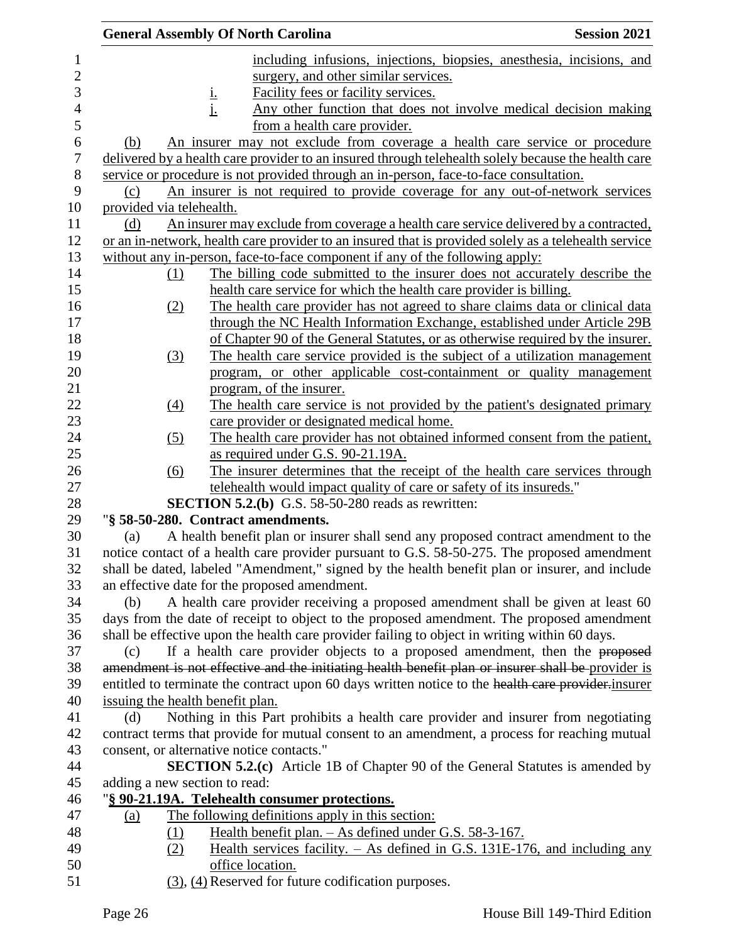| including infusions, injections, biopsies, anesthesia, incisions, and<br>1<br>$\overline{c}$<br>surgery, and other similar services.<br>3<br>Facility fees or facility services.<br><u>i.</u><br>j.<br>$\overline{4}$<br>Any other function that does not involve medical decision making<br>5<br>from a health care provider.<br>6<br>An insurer may not exclude from coverage a health care service or procedure<br>(b)<br>$\boldsymbol{7}$<br>delivered by a health care provider to an insured through telehealth solely because the health care<br>$8\,$<br>service or procedure is not provided through an in-person, face-to-face consultation.<br>9<br>An insurer is not required to provide coverage for any out-of-network services<br>(c)<br>10<br>provided via telehealth.<br>An insurer may exclude from coverage a health care service delivered by a contracted,<br>11<br>(d)<br>12<br>or an in-network, health care provider to an insured that is provided solely as a telehealth service<br>13<br>without any in-person, face-to-face component if any of the following apply:<br>14<br>The billing code submitted to the insurer does not accurately describe the<br>(1)<br>15<br>health care service for which the health care provider is billing.<br>16<br>The health care provider has not agreed to share claims data or clinical data<br>(2)<br>17<br>through the NC Health Information Exchange, established under Article 29B<br>18<br>of Chapter 90 of the General Statutes, or as otherwise required by the insurer.<br>19<br>The health care service provided is the subject of a utilization management<br>(3)<br>20<br>program, or other applicable cost-containment or quality management<br>21<br>program, of the insurer.<br>22<br>The health care service is not provided by the patient's designated primary<br>(4)<br>23<br>care provider or designated medical home.<br>24<br>The health care provider has not obtained informed consent from the patient,<br>(5)<br>25<br>as required under G.S. 90-21.19A.<br>26<br>The insurer determines that the receipt of the health care services through<br>(6)<br>27<br>telehealth would impact quality of care or safety of its insureds."<br>28<br>SECTION 5.2.(b) G.S. 58-50-280 reads as rewritten:<br>"§ 58-50-280. Contract amendments.<br>29<br>30<br>A health benefit plan or insurer shall send any proposed contract amendment to the<br>(a)<br>31<br>notice contact of a health care provider pursuant to G.S. 58-50-275. The proposed amendment<br>32<br>shall be dated, labeled "Amendment," signed by the health benefit plan or insurer, and include<br>33<br>an effective date for the proposed amendment.<br>34<br>A health care provider receiving a proposed amendment shall be given at least 60<br>(b)<br>days from the date of receipt to object to the proposed amendment. The proposed amendment<br>35<br>shall be effective upon the health care provider failing to object in writing within 60 days.<br>36<br>If a health care provider objects to a proposed amendment, then the proposed<br>37<br>(c)<br>amendment is not effective and the initiating health benefit plan or insurer shall be provider is<br>38<br>39<br>entitled to terminate the contract upon 60 days written notice to the health care provider-insurer<br>issuing the health benefit plan.<br>40<br>Nothing in this Part prohibits a health care provider and insurer from negotiating<br>41<br>(d)<br>42<br>contract terms that provide for mutual consent to an amendment, a process for reaching mutual<br>43<br>consent, or alternative notice contacts."<br><b>SECTION 5.2.(c)</b> Article 1B of Chapter 90 of the General Statutes is amended by<br>44<br>45<br>adding a new section to read: |  | <b>General Assembly Of North Carolina</b> | <b>Session 2021</b> |
|-----------------------------------------------------------------------------------------------------------------------------------------------------------------------------------------------------------------------------------------------------------------------------------------------------------------------------------------------------------------------------------------------------------------------------------------------------------------------------------------------------------------------------------------------------------------------------------------------------------------------------------------------------------------------------------------------------------------------------------------------------------------------------------------------------------------------------------------------------------------------------------------------------------------------------------------------------------------------------------------------------------------------------------------------------------------------------------------------------------------------------------------------------------------------------------------------------------------------------------------------------------------------------------------------------------------------------------------------------------------------------------------------------------------------------------------------------------------------------------------------------------------------------------------------------------------------------------------------------------------------------------------------------------------------------------------------------------------------------------------------------------------------------------------------------------------------------------------------------------------------------------------------------------------------------------------------------------------------------------------------------------------------------------------------------------------------------------------------------------------------------------------------------------------------------------------------------------------------------------------------------------------------------------------------------------------------------------------------------------------------------------------------------------------------------------------------------------------------------------------------------------------------------------------------------------------------------------------------------------------------------------------------------------------------------------------------------------------------------------------------------------------------------------------------------------------------------------------------------------------------------------------------------------------------------------------------------------------------------------------------------------------------------------------------------------------------------------------------------------------------------------------------------------------------------------------------------------------------------------------------------------------------------------------------------------------------------------------------------------------------------------------------------------------------------------------------------------------------------------------------------------------------------------------------------------------------------------------------------------------------------------------------------------------------------------------------------------------------------------------------------------------------------------------|--|-------------------------------------------|---------------------|
|                                                                                                                                                                                                                                                                                                                                                                                                                                                                                                                                                                                                                                                                                                                                                                                                                                                                                                                                                                                                                                                                                                                                                                                                                                                                                                                                                                                                                                                                                                                                                                                                                                                                                                                                                                                                                                                                                                                                                                                                                                                                                                                                                                                                                                                                                                                                                                                                                                                                                                                                                                                                                                                                                                                                                                                                                                                                                                                                                                                                                                                                                                                                                                                                                                                                                                                                                                                                                                                                                                                                                                                                                                                                                                                                                                                         |  |                                           |                     |
|                                                                                                                                                                                                                                                                                                                                                                                                                                                                                                                                                                                                                                                                                                                                                                                                                                                                                                                                                                                                                                                                                                                                                                                                                                                                                                                                                                                                                                                                                                                                                                                                                                                                                                                                                                                                                                                                                                                                                                                                                                                                                                                                                                                                                                                                                                                                                                                                                                                                                                                                                                                                                                                                                                                                                                                                                                                                                                                                                                                                                                                                                                                                                                                                                                                                                                                                                                                                                                                                                                                                                                                                                                                                                                                                                                                         |  |                                           |                     |
|                                                                                                                                                                                                                                                                                                                                                                                                                                                                                                                                                                                                                                                                                                                                                                                                                                                                                                                                                                                                                                                                                                                                                                                                                                                                                                                                                                                                                                                                                                                                                                                                                                                                                                                                                                                                                                                                                                                                                                                                                                                                                                                                                                                                                                                                                                                                                                                                                                                                                                                                                                                                                                                                                                                                                                                                                                                                                                                                                                                                                                                                                                                                                                                                                                                                                                                                                                                                                                                                                                                                                                                                                                                                                                                                                                                         |  |                                           |                     |
|                                                                                                                                                                                                                                                                                                                                                                                                                                                                                                                                                                                                                                                                                                                                                                                                                                                                                                                                                                                                                                                                                                                                                                                                                                                                                                                                                                                                                                                                                                                                                                                                                                                                                                                                                                                                                                                                                                                                                                                                                                                                                                                                                                                                                                                                                                                                                                                                                                                                                                                                                                                                                                                                                                                                                                                                                                                                                                                                                                                                                                                                                                                                                                                                                                                                                                                                                                                                                                                                                                                                                                                                                                                                                                                                                                                         |  |                                           |                     |
|                                                                                                                                                                                                                                                                                                                                                                                                                                                                                                                                                                                                                                                                                                                                                                                                                                                                                                                                                                                                                                                                                                                                                                                                                                                                                                                                                                                                                                                                                                                                                                                                                                                                                                                                                                                                                                                                                                                                                                                                                                                                                                                                                                                                                                                                                                                                                                                                                                                                                                                                                                                                                                                                                                                                                                                                                                                                                                                                                                                                                                                                                                                                                                                                                                                                                                                                                                                                                                                                                                                                                                                                                                                                                                                                                                                         |  |                                           |                     |
|                                                                                                                                                                                                                                                                                                                                                                                                                                                                                                                                                                                                                                                                                                                                                                                                                                                                                                                                                                                                                                                                                                                                                                                                                                                                                                                                                                                                                                                                                                                                                                                                                                                                                                                                                                                                                                                                                                                                                                                                                                                                                                                                                                                                                                                                                                                                                                                                                                                                                                                                                                                                                                                                                                                                                                                                                                                                                                                                                                                                                                                                                                                                                                                                                                                                                                                                                                                                                                                                                                                                                                                                                                                                                                                                                                                         |  |                                           |                     |
|                                                                                                                                                                                                                                                                                                                                                                                                                                                                                                                                                                                                                                                                                                                                                                                                                                                                                                                                                                                                                                                                                                                                                                                                                                                                                                                                                                                                                                                                                                                                                                                                                                                                                                                                                                                                                                                                                                                                                                                                                                                                                                                                                                                                                                                                                                                                                                                                                                                                                                                                                                                                                                                                                                                                                                                                                                                                                                                                                                                                                                                                                                                                                                                                                                                                                                                                                                                                                                                                                                                                                                                                                                                                                                                                                                                         |  |                                           |                     |
|                                                                                                                                                                                                                                                                                                                                                                                                                                                                                                                                                                                                                                                                                                                                                                                                                                                                                                                                                                                                                                                                                                                                                                                                                                                                                                                                                                                                                                                                                                                                                                                                                                                                                                                                                                                                                                                                                                                                                                                                                                                                                                                                                                                                                                                                                                                                                                                                                                                                                                                                                                                                                                                                                                                                                                                                                                                                                                                                                                                                                                                                                                                                                                                                                                                                                                                                                                                                                                                                                                                                                                                                                                                                                                                                                                                         |  |                                           |                     |
|                                                                                                                                                                                                                                                                                                                                                                                                                                                                                                                                                                                                                                                                                                                                                                                                                                                                                                                                                                                                                                                                                                                                                                                                                                                                                                                                                                                                                                                                                                                                                                                                                                                                                                                                                                                                                                                                                                                                                                                                                                                                                                                                                                                                                                                                                                                                                                                                                                                                                                                                                                                                                                                                                                                                                                                                                                                                                                                                                                                                                                                                                                                                                                                                                                                                                                                                                                                                                                                                                                                                                                                                                                                                                                                                                                                         |  |                                           |                     |
|                                                                                                                                                                                                                                                                                                                                                                                                                                                                                                                                                                                                                                                                                                                                                                                                                                                                                                                                                                                                                                                                                                                                                                                                                                                                                                                                                                                                                                                                                                                                                                                                                                                                                                                                                                                                                                                                                                                                                                                                                                                                                                                                                                                                                                                                                                                                                                                                                                                                                                                                                                                                                                                                                                                                                                                                                                                                                                                                                                                                                                                                                                                                                                                                                                                                                                                                                                                                                                                                                                                                                                                                                                                                                                                                                                                         |  |                                           |                     |
|                                                                                                                                                                                                                                                                                                                                                                                                                                                                                                                                                                                                                                                                                                                                                                                                                                                                                                                                                                                                                                                                                                                                                                                                                                                                                                                                                                                                                                                                                                                                                                                                                                                                                                                                                                                                                                                                                                                                                                                                                                                                                                                                                                                                                                                                                                                                                                                                                                                                                                                                                                                                                                                                                                                                                                                                                                                                                                                                                                                                                                                                                                                                                                                                                                                                                                                                                                                                                                                                                                                                                                                                                                                                                                                                                                                         |  |                                           |                     |
|                                                                                                                                                                                                                                                                                                                                                                                                                                                                                                                                                                                                                                                                                                                                                                                                                                                                                                                                                                                                                                                                                                                                                                                                                                                                                                                                                                                                                                                                                                                                                                                                                                                                                                                                                                                                                                                                                                                                                                                                                                                                                                                                                                                                                                                                                                                                                                                                                                                                                                                                                                                                                                                                                                                                                                                                                                                                                                                                                                                                                                                                                                                                                                                                                                                                                                                                                                                                                                                                                                                                                                                                                                                                                                                                                                                         |  |                                           |                     |
|                                                                                                                                                                                                                                                                                                                                                                                                                                                                                                                                                                                                                                                                                                                                                                                                                                                                                                                                                                                                                                                                                                                                                                                                                                                                                                                                                                                                                                                                                                                                                                                                                                                                                                                                                                                                                                                                                                                                                                                                                                                                                                                                                                                                                                                                                                                                                                                                                                                                                                                                                                                                                                                                                                                                                                                                                                                                                                                                                                                                                                                                                                                                                                                                                                                                                                                                                                                                                                                                                                                                                                                                                                                                                                                                                                                         |  |                                           |                     |
|                                                                                                                                                                                                                                                                                                                                                                                                                                                                                                                                                                                                                                                                                                                                                                                                                                                                                                                                                                                                                                                                                                                                                                                                                                                                                                                                                                                                                                                                                                                                                                                                                                                                                                                                                                                                                                                                                                                                                                                                                                                                                                                                                                                                                                                                                                                                                                                                                                                                                                                                                                                                                                                                                                                                                                                                                                                                                                                                                                                                                                                                                                                                                                                                                                                                                                                                                                                                                                                                                                                                                                                                                                                                                                                                                                                         |  |                                           |                     |
|                                                                                                                                                                                                                                                                                                                                                                                                                                                                                                                                                                                                                                                                                                                                                                                                                                                                                                                                                                                                                                                                                                                                                                                                                                                                                                                                                                                                                                                                                                                                                                                                                                                                                                                                                                                                                                                                                                                                                                                                                                                                                                                                                                                                                                                                                                                                                                                                                                                                                                                                                                                                                                                                                                                                                                                                                                                                                                                                                                                                                                                                                                                                                                                                                                                                                                                                                                                                                                                                                                                                                                                                                                                                                                                                                                                         |  |                                           |                     |
|                                                                                                                                                                                                                                                                                                                                                                                                                                                                                                                                                                                                                                                                                                                                                                                                                                                                                                                                                                                                                                                                                                                                                                                                                                                                                                                                                                                                                                                                                                                                                                                                                                                                                                                                                                                                                                                                                                                                                                                                                                                                                                                                                                                                                                                                                                                                                                                                                                                                                                                                                                                                                                                                                                                                                                                                                                                                                                                                                                                                                                                                                                                                                                                                                                                                                                                                                                                                                                                                                                                                                                                                                                                                                                                                                                                         |  |                                           |                     |
|                                                                                                                                                                                                                                                                                                                                                                                                                                                                                                                                                                                                                                                                                                                                                                                                                                                                                                                                                                                                                                                                                                                                                                                                                                                                                                                                                                                                                                                                                                                                                                                                                                                                                                                                                                                                                                                                                                                                                                                                                                                                                                                                                                                                                                                                                                                                                                                                                                                                                                                                                                                                                                                                                                                                                                                                                                                                                                                                                                                                                                                                                                                                                                                                                                                                                                                                                                                                                                                                                                                                                                                                                                                                                                                                                                                         |  |                                           |                     |
|                                                                                                                                                                                                                                                                                                                                                                                                                                                                                                                                                                                                                                                                                                                                                                                                                                                                                                                                                                                                                                                                                                                                                                                                                                                                                                                                                                                                                                                                                                                                                                                                                                                                                                                                                                                                                                                                                                                                                                                                                                                                                                                                                                                                                                                                                                                                                                                                                                                                                                                                                                                                                                                                                                                                                                                                                                                                                                                                                                                                                                                                                                                                                                                                                                                                                                                                                                                                                                                                                                                                                                                                                                                                                                                                                                                         |  |                                           |                     |
|                                                                                                                                                                                                                                                                                                                                                                                                                                                                                                                                                                                                                                                                                                                                                                                                                                                                                                                                                                                                                                                                                                                                                                                                                                                                                                                                                                                                                                                                                                                                                                                                                                                                                                                                                                                                                                                                                                                                                                                                                                                                                                                                                                                                                                                                                                                                                                                                                                                                                                                                                                                                                                                                                                                                                                                                                                                                                                                                                                                                                                                                                                                                                                                                                                                                                                                                                                                                                                                                                                                                                                                                                                                                                                                                                                                         |  |                                           |                     |
|                                                                                                                                                                                                                                                                                                                                                                                                                                                                                                                                                                                                                                                                                                                                                                                                                                                                                                                                                                                                                                                                                                                                                                                                                                                                                                                                                                                                                                                                                                                                                                                                                                                                                                                                                                                                                                                                                                                                                                                                                                                                                                                                                                                                                                                                                                                                                                                                                                                                                                                                                                                                                                                                                                                                                                                                                                                                                                                                                                                                                                                                                                                                                                                                                                                                                                                                                                                                                                                                                                                                                                                                                                                                                                                                                                                         |  |                                           |                     |
|                                                                                                                                                                                                                                                                                                                                                                                                                                                                                                                                                                                                                                                                                                                                                                                                                                                                                                                                                                                                                                                                                                                                                                                                                                                                                                                                                                                                                                                                                                                                                                                                                                                                                                                                                                                                                                                                                                                                                                                                                                                                                                                                                                                                                                                                                                                                                                                                                                                                                                                                                                                                                                                                                                                                                                                                                                                                                                                                                                                                                                                                                                                                                                                                                                                                                                                                                                                                                                                                                                                                                                                                                                                                                                                                                                                         |  |                                           |                     |
|                                                                                                                                                                                                                                                                                                                                                                                                                                                                                                                                                                                                                                                                                                                                                                                                                                                                                                                                                                                                                                                                                                                                                                                                                                                                                                                                                                                                                                                                                                                                                                                                                                                                                                                                                                                                                                                                                                                                                                                                                                                                                                                                                                                                                                                                                                                                                                                                                                                                                                                                                                                                                                                                                                                                                                                                                                                                                                                                                                                                                                                                                                                                                                                                                                                                                                                                                                                                                                                                                                                                                                                                                                                                                                                                                                                         |  |                                           |                     |
|                                                                                                                                                                                                                                                                                                                                                                                                                                                                                                                                                                                                                                                                                                                                                                                                                                                                                                                                                                                                                                                                                                                                                                                                                                                                                                                                                                                                                                                                                                                                                                                                                                                                                                                                                                                                                                                                                                                                                                                                                                                                                                                                                                                                                                                                                                                                                                                                                                                                                                                                                                                                                                                                                                                                                                                                                                                                                                                                                                                                                                                                                                                                                                                                                                                                                                                                                                                                                                                                                                                                                                                                                                                                                                                                                                                         |  |                                           |                     |
|                                                                                                                                                                                                                                                                                                                                                                                                                                                                                                                                                                                                                                                                                                                                                                                                                                                                                                                                                                                                                                                                                                                                                                                                                                                                                                                                                                                                                                                                                                                                                                                                                                                                                                                                                                                                                                                                                                                                                                                                                                                                                                                                                                                                                                                                                                                                                                                                                                                                                                                                                                                                                                                                                                                                                                                                                                                                                                                                                                                                                                                                                                                                                                                                                                                                                                                                                                                                                                                                                                                                                                                                                                                                                                                                                                                         |  |                                           |                     |
|                                                                                                                                                                                                                                                                                                                                                                                                                                                                                                                                                                                                                                                                                                                                                                                                                                                                                                                                                                                                                                                                                                                                                                                                                                                                                                                                                                                                                                                                                                                                                                                                                                                                                                                                                                                                                                                                                                                                                                                                                                                                                                                                                                                                                                                                                                                                                                                                                                                                                                                                                                                                                                                                                                                                                                                                                                                                                                                                                                                                                                                                                                                                                                                                                                                                                                                                                                                                                                                                                                                                                                                                                                                                                                                                                                                         |  |                                           |                     |
|                                                                                                                                                                                                                                                                                                                                                                                                                                                                                                                                                                                                                                                                                                                                                                                                                                                                                                                                                                                                                                                                                                                                                                                                                                                                                                                                                                                                                                                                                                                                                                                                                                                                                                                                                                                                                                                                                                                                                                                                                                                                                                                                                                                                                                                                                                                                                                                                                                                                                                                                                                                                                                                                                                                                                                                                                                                                                                                                                                                                                                                                                                                                                                                                                                                                                                                                                                                                                                                                                                                                                                                                                                                                                                                                                                                         |  |                                           |                     |
|                                                                                                                                                                                                                                                                                                                                                                                                                                                                                                                                                                                                                                                                                                                                                                                                                                                                                                                                                                                                                                                                                                                                                                                                                                                                                                                                                                                                                                                                                                                                                                                                                                                                                                                                                                                                                                                                                                                                                                                                                                                                                                                                                                                                                                                                                                                                                                                                                                                                                                                                                                                                                                                                                                                                                                                                                                                                                                                                                                                                                                                                                                                                                                                                                                                                                                                                                                                                                                                                                                                                                                                                                                                                                                                                                                                         |  |                                           |                     |
|                                                                                                                                                                                                                                                                                                                                                                                                                                                                                                                                                                                                                                                                                                                                                                                                                                                                                                                                                                                                                                                                                                                                                                                                                                                                                                                                                                                                                                                                                                                                                                                                                                                                                                                                                                                                                                                                                                                                                                                                                                                                                                                                                                                                                                                                                                                                                                                                                                                                                                                                                                                                                                                                                                                                                                                                                                                                                                                                                                                                                                                                                                                                                                                                                                                                                                                                                                                                                                                                                                                                                                                                                                                                                                                                                                                         |  |                                           |                     |
|                                                                                                                                                                                                                                                                                                                                                                                                                                                                                                                                                                                                                                                                                                                                                                                                                                                                                                                                                                                                                                                                                                                                                                                                                                                                                                                                                                                                                                                                                                                                                                                                                                                                                                                                                                                                                                                                                                                                                                                                                                                                                                                                                                                                                                                                                                                                                                                                                                                                                                                                                                                                                                                                                                                                                                                                                                                                                                                                                                                                                                                                                                                                                                                                                                                                                                                                                                                                                                                                                                                                                                                                                                                                                                                                                                                         |  |                                           |                     |
|                                                                                                                                                                                                                                                                                                                                                                                                                                                                                                                                                                                                                                                                                                                                                                                                                                                                                                                                                                                                                                                                                                                                                                                                                                                                                                                                                                                                                                                                                                                                                                                                                                                                                                                                                                                                                                                                                                                                                                                                                                                                                                                                                                                                                                                                                                                                                                                                                                                                                                                                                                                                                                                                                                                                                                                                                                                                                                                                                                                                                                                                                                                                                                                                                                                                                                                                                                                                                                                                                                                                                                                                                                                                                                                                                                                         |  |                                           |                     |
|                                                                                                                                                                                                                                                                                                                                                                                                                                                                                                                                                                                                                                                                                                                                                                                                                                                                                                                                                                                                                                                                                                                                                                                                                                                                                                                                                                                                                                                                                                                                                                                                                                                                                                                                                                                                                                                                                                                                                                                                                                                                                                                                                                                                                                                                                                                                                                                                                                                                                                                                                                                                                                                                                                                                                                                                                                                                                                                                                                                                                                                                                                                                                                                                                                                                                                                                                                                                                                                                                                                                                                                                                                                                                                                                                                                         |  |                                           |                     |
|                                                                                                                                                                                                                                                                                                                                                                                                                                                                                                                                                                                                                                                                                                                                                                                                                                                                                                                                                                                                                                                                                                                                                                                                                                                                                                                                                                                                                                                                                                                                                                                                                                                                                                                                                                                                                                                                                                                                                                                                                                                                                                                                                                                                                                                                                                                                                                                                                                                                                                                                                                                                                                                                                                                                                                                                                                                                                                                                                                                                                                                                                                                                                                                                                                                                                                                                                                                                                                                                                                                                                                                                                                                                                                                                                                                         |  |                                           |                     |
|                                                                                                                                                                                                                                                                                                                                                                                                                                                                                                                                                                                                                                                                                                                                                                                                                                                                                                                                                                                                                                                                                                                                                                                                                                                                                                                                                                                                                                                                                                                                                                                                                                                                                                                                                                                                                                                                                                                                                                                                                                                                                                                                                                                                                                                                                                                                                                                                                                                                                                                                                                                                                                                                                                                                                                                                                                                                                                                                                                                                                                                                                                                                                                                                                                                                                                                                                                                                                                                                                                                                                                                                                                                                                                                                                                                         |  |                                           |                     |
|                                                                                                                                                                                                                                                                                                                                                                                                                                                                                                                                                                                                                                                                                                                                                                                                                                                                                                                                                                                                                                                                                                                                                                                                                                                                                                                                                                                                                                                                                                                                                                                                                                                                                                                                                                                                                                                                                                                                                                                                                                                                                                                                                                                                                                                                                                                                                                                                                                                                                                                                                                                                                                                                                                                                                                                                                                                                                                                                                                                                                                                                                                                                                                                                                                                                                                                                                                                                                                                                                                                                                                                                                                                                                                                                                                                         |  |                                           |                     |
|                                                                                                                                                                                                                                                                                                                                                                                                                                                                                                                                                                                                                                                                                                                                                                                                                                                                                                                                                                                                                                                                                                                                                                                                                                                                                                                                                                                                                                                                                                                                                                                                                                                                                                                                                                                                                                                                                                                                                                                                                                                                                                                                                                                                                                                                                                                                                                                                                                                                                                                                                                                                                                                                                                                                                                                                                                                                                                                                                                                                                                                                                                                                                                                                                                                                                                                                                                                                                                                                                                                                                                                                                                                                                                                                                                                         |  |                                           |                     |
|                                                                                                                                                                                                                                                                                                                                                                                                                                                                                                                                                                                                                                                                                                                                                                                                                                                                                                                                                                                                                                                                                                                                                                                                                                                                                                                                                                                                                                                                                                                                                                                                                                                                                                                                                                                                                                                                                                                                                                                                                                                                                                                                                                                                                                                                                                                                                                                                                                                                                                                                                                                                                                                                                                                                                                                                                                                                                                                                                                                                                                                                                                                                                                                                                                                                                                                                                                                                                                                                                                                                                                                                                                                                                                                                                                                         |  |                                           |                     |
|                                                                                                                                                                                                                                                                                                                                                                                                                                                                                                                                                                                                                                                                                                                                                                                                                                                                                                                                                                                                                                                                                                                                                                                                                                                                                                                                                                                                                                                                                                                                                                                                                                                                                                                                                                                                                                                                                                                                                                                                                                                                                                                                                                                                                                                                                                                                                                                                                                                                                                                                                                                                                                                                                                                                                                                                                                                                                                                                                                                                                                                                                                                                                                                                                                                                                                                                                                                                                                                                                                                                                                                                                                                                                                                                                                                         |  |                                           |                     |
|                                                                                                                                                                                                                                                                                                                                                                                                                                                                                                                                                                                                                                                                                                                                                                                                                                                                                                                                                                                                                                                                                                                                                                                                                                                                                                                                                                                                                                                                                                                                                                                                                                                                                                                                                                                                                                                                                                                                                                                                                                                                                                                                                                                                                                                                                                                                                                                                                                                                                                                                                                                                                                                                                                                                                                                                                                                                                                                                                                                                                                                                                                                                                                                                                                                                                                                                                                                                                                                                                                                                                                                                                                                                                                                                                                                         |  |                                           |                     |
|                                                                                                                                                                                                                                                                                                                                                                                                                                                                                                                                                                                                                                                                                                                                                                                                                                                                                                                                                                                                                                                                                                                                                                                                                                                                                                                                                                                                                                                                                                                                                                                                                                                                                                                                                                                                                                                                                                                                                                                                                                                                                                                                                                                                                                                                                                                                                                                                                                                                                                                                                                                                                                                                                                                                                                                                                                                                                                                                                                                                                                                                                                                                                                                                                                                                                                                                                                                                                                                                                                                                                                                                                                                                                                                                                                                         |  |                                           |                     |
|                                                                                                                                                                                                                                                                                                                                                                                                                                                                                                                                                                                                                                                                                                                                                                                                                                                                                                                                                                                                                                                                                                                                                                                                                                                                                                                                                                                                                                                                                                                                                                                                                                                                                                                                                                                                                                                                                                                                                                                                                                                                                                                                                                                                                                                                                                                                                                                                                                                                                                                                                                                                                                                                                                                                                                                                                                                                                                                                                                                                                                                                                                                                                                                                                                                                                                                                                                                                                                                                                                                                                                                                                                                                                                                                                                                         |  |                                           |                     |
|                                                                                                                                                                                                                                                                                                                                                                                                                                                                                                                                                                                                                                                                                                                                                                                                                                                                                                                                                                                                                                                                                                                                                                                                                                                                                                                                                                                                                                                                                                                                                                                                                                                                                                                                                                                                                                                                                                                                                                                                                                                                                                                                                                                                                                                                                                                                                                                                                                                                                                                                                                                                                                                                                                                                                                                                                                                                                                                                                                                                                                                                                                                                                                                                                                                                                                                                                                                                                                                                                                                                                                                                                                                                                                                                                                                         |  |                                           |                     |
|                                                                                                                                                                                                                                                                                                                                                                                                                                                                                                                                                                                                                                                                                                                                                                                                                                                                                                                                                                                                                                                                                                                                                                                                                                                                                                                                                                                                                                                                                                                                                                                                                                                                                                                                                                                                                                                                                                                                                                                                                                                                                                                                                                                                                                                                                                                                                                                                                                                                                                                                                                                                                                                                                                                                                                                                                                                                                                                                                                                                                                                                                                                                                                                                                                                                                                                                                                                                                                                                                                                                                                                                                                                                                                                                                                                         |  |                                           |                     |
|                                                                                                                                                                                                                                                                                                                                                                                                                                                                                                                                                                                                                                                                                                                                                                                                                                                                                                                                                                                                                                                                                                                                                                                                                                                                                                                                                                                                                                                                                                                                                                                                                                                                                                                                                                                                                                                                                                                                                                                                                                                                                                                                                                                                                                                                                                                                                                                                                                                                                                                                                                                                                                                                                                                                                                                                                                                                                                                                                                                                                                                                                                                                                                                                                                                                                                                                                                                                                                                                                                                                                                                                                                                                                                                                                                                         |  |                                           |                     |
|                                                                                                                                                                                                                                                                                                                                                                                                                                                                                                                                                                                                                                                                                                                                                                                                                                                                                                                                                                                                                                                                                                                                                                                                                                                                                                                                                                                                                                                                                                                                                                                                                                                                                                                                                                                                                                                                                                                                                                                                                                                                                                                                                                                                                                                                                                                                                                                                                                                                                                                                                                                                                                                                                                                                                                                                                                                                                                                                                                                                                                                                                                                                                                                                                                                                                                                                                                                                                                                                                                                                                                                                                                                                                                                                                                                         |  |                                           |                     |
|                                                                                                                                                                                                                                                                                                                                                                                                                                                                                                                                                                                                                                                                                                                                                                                                                                                                                                                                                                                                                                                                                                                                                                                                                                                                                                                                                                                                                                                                                                                                                                                                                                                                                                                                                                                                                                                                                                                                                                                                                                                                                                                                                                                                                                                                                                                                                                                                                                                                                                                                                                                                                                                                                                                                                                                                                                                                                                                                                                                                                                                                                                                                                                                                                                                                                                                                                                                                                                                                                                                                                                                                                                                                                                                                                                                         |  |                                           |                     |
| 46<br>"§ 90-21.19A. Telehealth consumer protections.                                                                                                                                                                                                                                                                                                                                                                                                                                                                                                                                                                                                                                                                                                                                                                                                                                                                                                                                                                                                                                                                                                                                                                                                                                                                                                                                                                                                                                                                                                                                                                                                                                                                                                                                                                                                                                                                                                                                                                                                                                                                                                                                                                                                                                                                                                                                                                                                                                                                                                                                                                                                                                                                                                                                                                                                                                                                                                                                                                                                                                                                                                                                                                                                                                                                                                                                                                                                                                                                                                                                                                                                                                                                                                                                    |  |                                           |                     |
| The following definitions apply in this section:<br>47<br><u>(a)</u>                                                                                                                                                                                                                                                                                                                                                                                                                                                                                                                                                                                                                                                                                                                                                                                                                                                                                                                                                                                                                                                                                                                                                                                                                                                                                                                                                                                                                                                                                                                                                                                                                                                                                                                                                                                                                                                                                                                                                                                                                                                                                                                                                                                                                                                                                                                                                                                                                                                                                                                                                                                                                                                                                                                                                                                                                                                                                                                                                                                                                                                                                                                                                                                                                                                                                                                                                                                                                                                                                                                                                                                                                                                                                                                    |  |                                           |                     |
| 48<br><u>Health benefit plan. – As defined under G.S. 58-3-167.</u><br>(1)                                                                                                                                                                                                                                                                                                                                                                                                                                                                                                                                                                                                                                                                                                                                                                                                                                                                                                                                                                                                                                                                                                                                                                                                                                                                                                                                                                                                                                                                                                                                                                                                                                                                                                                                                                                                                                                                                                                                                                                                                                                                                                                                                                                                                                                                                                                                                                                                                                                                                                                                                                                                                                                                                                                                                                                                                                                                                                                                                                                                                                                                                                                                                                                                                                                                                                                                                                                                                                                                                                                                                                                                                                                                                                              |  |                                           |                     |
| 49<br>Health services facility. $-$ As defined in G.S. 131E-176, and including any<br>(2)                                                                                                                                                                                                                                                                                                                                                                                                                                                                                                                                                                                                                                                                                                                                                                                                                                                                                                                                                                                                                                                                                                                                                                                                                                                                                                                                                                                                                                                                                                                                                                                                                                                                                                                                                                                                                                                                                                                                                                                                                                                                                                                                                                                                                                                                                                                                                                                                                                                                                                                                                                                                                                                                                                                                                                                                                                                                                                                                                                                                                                                                                                                                                                                                                                                                                                                                                                                                                                                                                                                                                                                                                                                                                               |  |                                           |                     |
| office location.<br>50                                                                                                                                                                                                                                                                                                                                                                                                                                                                                                                                                                                                                                                                                                                                                                                                                                                                                                                                                                                                                                                                                                                                                                                                                                                                                                                                                                                                                                                                                                                                                                                                                                                                                                                                                                                                                                                                                                                                                                                                                                                                                                                                                                                                                                                                                                                                                                                                                                                                                                                                                                                                                                                                                                                                                                                                                                                                                                                                                                                                                                                                                                                                                                                                                                                                                                                                                                                                                                                                                                                                                                                                                                                                                                                                                                  |  |                                           |                     |
| 51<br>$(3)$ , $(4)$ Reserved for future codification purposes.                                                                                                                                                                                                                                                                                                                                                                                                                                                                                                                                                                                                                                                                                                                                                                                                                                                                                                                                                                                                                                                                                                                                                                                                                                                                                                                                                                                                                                                                                                                                                                                                                                                                                                                                                                                                                                                                                                                                                                                                                                                                                                                                                                                                                                                                                                                                                                                                                                                                                                                                                                                                                                                                                                                                                                                                                                                                                                                                                                                                                                                                                                                                                                                                                                                                                                                                                                                                                                                                                                                                                                                                                                                                                                                          |  |                                           |                     |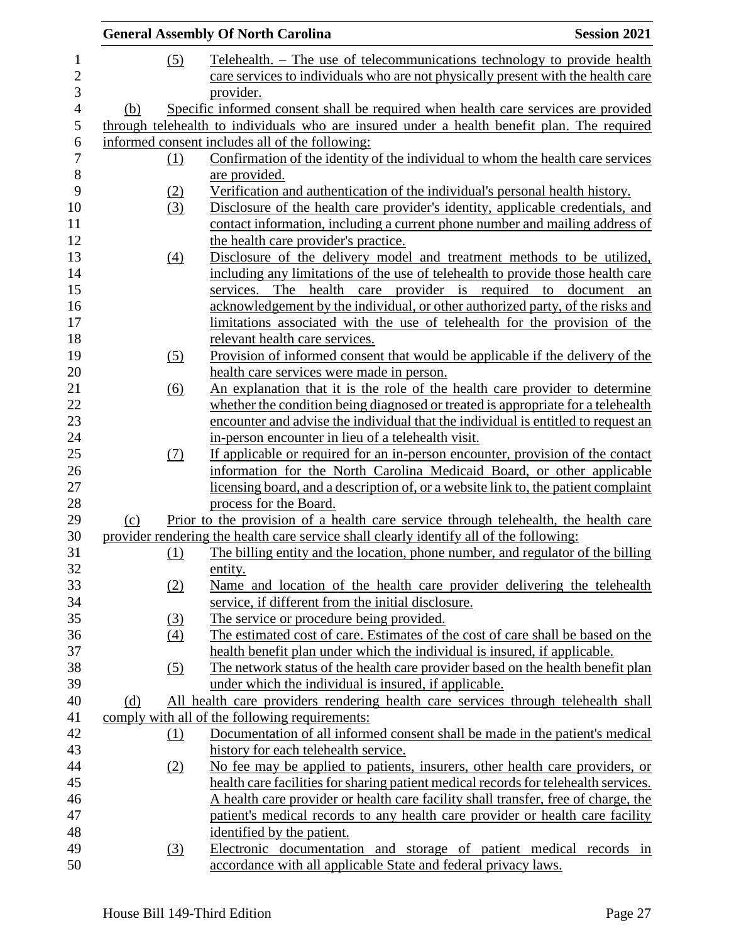|     |                   | <b>General Assembly Of North Carolina</b>                                                                    | <b>Session 2021</b> |
|-----|-------------------|--------------------------------------------------------------------------------------------------------------|---------------------|
|     | (5)               | Telehealth. – The use of telecommunications technology to provide health                                     |                     |
|     |                   | care services to individuals who are not physically present with the health care                             |                     |
|     |                   | provider.                                                                                                    |                     |
| (b) |                   | Specific informed consent shall be required when health care services are provided                           |                     |
|     |                   | through telehealth to individuals who are insured under a health benefit plan. The required                  |                     |
|     |                   | informed consent includes all of the following:                                                              |                     |
|     | (1)               | Confirmation of the identity of the individual to whom the health care services                              |                     |
|     |                   | are provided.                                                                                                |                     |
|     | (2)               | Verification and authentication of the individual's personal health history.                                 |                     |
|     | (3)               | Disclosure of the health care provider's identity, applicable credentials, and                               |                     |
|     |                   | contact information, including a current phone number and mailing address of                                 |                     |
|     |                   | the health care provider's practice.                                                                         |                     |
|     | (4)               | Disclosure of the delivery model and treatment methods to be utilized,                                       |                     |
|     |                   | including any limitations of the use of telehealth to provide those health care                              |                     |
|     |                   | services. The health care provider is required to document an                                                |                     |
|     |                   | acknowledgement by the individual, or other authorized party, of the risks and                               |                     |
|     |                   | limitations associated with the use of telehealth for the provision of the                                   |                     |
|     |                   | relevant health care services.                                                                               |                     |
|     | (5)               | Provision of informed consent that would be applicable if the delivery of the                                |                     |
|     |                   | health care services were made in person.                                                                    |                     |
|     | (6)               | An explanation that it is the role of the health care provider to determine                                  |                     |
|     |                   | whether the condition being diagnosed or treated is appropriate for a telehealth                             |                     |
|     |                   | encounter and advise the individual that the individual is entitled to request an                            |                     |
|     |                   | in-person encounter in lieu of a telehealth visit.                                                           |                     |
|     | (7)               | If applicable or required for an in-person encounter, provision of the contact                               |                     |
|     |                   | information for the North Carolina Medicaid Board, or other applicable                                       |                     |
|     |                   | licensing board, and a description of, or a website link to, the patient complaint<br>process for the Board. |                     |
| (c) |                   | Prior to the provision of a health care service through telehealth, the health care                          |                     |
|     |                   | provider rendering the health care service shall clearly identify all of the following:                      |                     |
|     | <u>(1)</u>        | The billing entity and the location, phone number, and regulator of the billing                              |                     |
|     |                   | entity.                                                                                                      |                     |
|     | (2)               | Name and location of the health care provider delivering the telehealth                                      |                     |
|     |                   | service, if different from the initial disclosure.                                                           |                     |
|     | (3)               | The service or procedure being provided.                                                                     |                     |
|     | $\left(4\right)$  | The estimated cost of care. Estimates of the cost of care shall be based on the                              |                     |
|     |                   | health benefit plan under which the individual is insured, if applicable.                                    |                     |
|     | $\left( 5\right)$ | The network status of the health care provider based on the health benefit plan                              |                     |
|     |                   | under which the individual is insured, if applicable.                                                        |                     |
| (d) |                   | All health care providers rendering health care services through telehealth shall                            |                     |
|     |                   | comply with all of the following requirements:                                                               |                     |
|     | <u>(1)</u>        | Documentation of all informed consent shall be made in the patient's medical                                 |                     |
|     |                   | history for each telehealth service.                                                                         |                     |
|     | (2)               | No fee may be applied to patients, insurers, other health care providers, or                                 |                     |
|     |                   | health care facilities for sharing patient medical records for telehealth services.                          |                     |
|     |                   | A health care provider or health care facility shall transfer, free of charge, the                           |                     |
|     |                   | patient's medical records to any health care provider or health care facility                                |                     |
|     |                   | identified by the patient.                                                                                   |                     |
|     | (3)               | Electronic documentation and storage of patient medical records in                                           |                     |
|     |                   | accordance with all applicable State and federal privacy laws.                                               |                     |